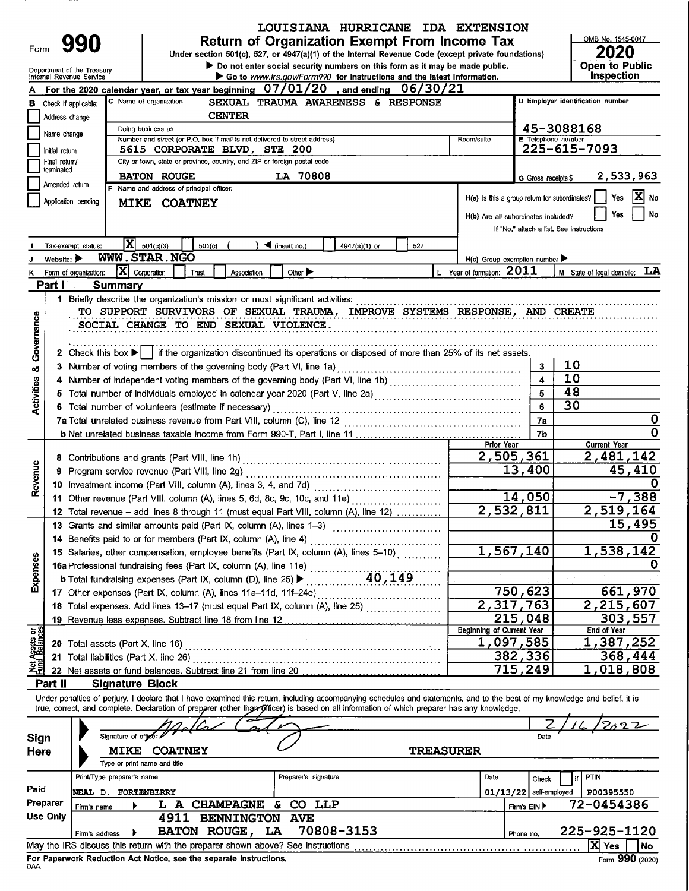|                           |                                                        |                                                                                                                               |                                                                                                                                                                                                                                                                                                                          |                                            | LOUISIANA HURRICANE IDA EXTENSION                                                                                                                                                 |                  |                                                 |                                  |                                          |  |  |  |
|---------------------------|--------------------------------------------------------|-------------------------------------------------------------------------------------------------------------------------------|--------------------------------------------------------------------------------------------------------------------------------------------------------------------------------------------------------------------------------------------------------------------------------------------------------------------------|--------------------------------------------|-----------------------------------------------------------------------------------------------------------------------------------------------------------------------------------|------------------|-------------------------------------------------|----------------------------------|------------------------------------------|--|--|--|
| Form                      | 990                                                    |                                                                                                                               |                                                                                                                                                                                                                                                                                                                          |                                            | <b>Return of Organization Exempt From Income Tax</b>                                                                                                                              |                  |                                                 |                                  | OMB No. 1545-0047                        |  |  |  |
|                           |                                                        |                                                                                                                               |                                                                                                                                                                                                                                                                                                                          |                                            | Under section 501(c), 527, or 4947(a)(1) of the Internal Revenue Code (except private foundations)<br>Do not enter social security numbers on this form as it may be made public. |                  |                                                 |                                  | 2020<br><b>Open to Public</b>            |  |  |  |
|                           | Department of the Treasury<br>Internal Revenue Service |                                                                                                                               |                                                                                                                                                                                                                                                                                                                          |                                            | Go to www.irs.gov/Form990 for instructions and the latest information.                                                                                                            |                  |                                                 |                                  | Inspection                               |  |  |  |
|                           |                                                        |                                                                                                                               | For the 2020 calendar year, or tax year beginning $07/01/20$ , and ending $06/30/21$                                                                                                                                                                                                                                     |                                            |                                                                                                                                                                                   |                  |                                                 |                                  |                                          |  |  |  |
|                           | <b>B</b> Check if applicable:                          |                                                                                                                               | C Name of organization                                                                                                                                                                                                                                                                                                   |                                            | SEXUAL TRAUMA AWARENESS & RESPONSE                                                                                                                                                |                  |                                                 |                                  | D Employer identification number         |  |  |  |
|                           | Address change                                         |                                                                                                                               | <b>CENTER</b>                                                                                                                                                                                                                                                                                                            |                                            |                                                                                                                                                                                   |                  |                                                 |                                  |                                          |  |  |  |
|                           | Name change                                            |                                                                                                                               | Doing business as<br>Number and street (or P.O. box if mail is not delivered to street address)                                                                                                                                                                                                                          |                                            |                                                                                                                                                                                   |                  |                                                 | 45-3088168<br>E Telephone number |                                          |  |  |  |
|                           | Initial return                                         |                                                                                                                               | 5615 CORPORATE BLVD. STE 200                                                                                                                                                                                                                                                                                             |                                            |                                                                                                                                                                                   |                  | Room/suite                                      |                                  | 225-615-7093                             |  |  |  |
|                           | Final return/                                          |                                                                                                                               | City or town, state or province, country, and ZIP or foreign postal code                                                                                                                                                                                                                                                 |                                            |                                                                                                                                                                                   |                  |                                                 |                                  |                                          |  |  |  |
|                           | terminated                                             |                                                                                                                               | <b>BATON ROUGE</b>                                                                                                                                                                                                                                                                                                       | LA 70808                                   |                                                                                                                                                                                   |                  |                                                 | G Gross receipts \$              | 2,533,963                                |  |  |  |
|                           | Amended return                                         |                                                                                                                               | F Name and address of principal officer:                                                                                                                                                                                                                                                                                 |                                            |                                                                                                                                                                                   |                  |                                                 |                                  | IXI<br>Yes<br>No                         |  |  |  |
|                           | Application pending                                    | <b>MIKE</b>                                                                                                                   | <b>COATNEY</b>                                                                                                                                                                                                                                                                                                           |                                            |                                                                                                                                                                                   |                  | $H(a)$ is this a group return for subordinates? |                                  |                                          |  |  |  |
|                           |                                                        |                                                                                                                               |                                                                                                                                                                                                                                                                                                                          |                                            |                                                                                                                                                                                   |                  | H(b) Are all subordinates included?             |                                  | Yes<br>No                                |  |  |  |
|                           |                                                        |                                                                                                                               |                                                                                                                                                                                                                                                                                                                          |                                            |                                                                                                                                                                                   |                  |                                                 |                                  | If "No." attach a list. See instructions |  |  |  |
|                           | Tax-exempt status:                                     | ΙXΙ                                                                                                                           | 501(c)(3)<br>501(c)                                                                                                                                                                                                                                                                                                      | $\triangleleft$ (insert no.)               | 4947(a)(1) or                                                                                                                                                                     | 527              |                                                 |                                  |                                          |  |  |  |
|                           | Website:                                               |                                                                                                                               | <b>WWW.STAR.NGO</b>                                                                                                                                                                                                                                                                                                      |                                            |                                                                                                                                                                                   |                  | $H(c)$ Group exemption number                   |                                  |                                          |  |  |  |
|                           | Form of organization:<br>Part I                        | $ \mathbf{X} $ Corporation<br>Summary                                                                                         | Trust                                                                                                                                                                                                                                                                                                                    | Other $\blacktriangleright$<br>Association |                                                                                                                                                                                   |                  | L Year of formation: 2011                       |                                  | LA<br>M State of legal domicile:         |  |  |  |
|                           |                                                        |                                                                                                                               |                                                                                                                                                                                                                                                                                                                          |                                            |                                                                                                                                                                                   |                  |                                                 |                                  |                                          |  |  |  |
|                           |                                                        |                                                                                                                               | 1 Briefly describe the organization's mission or most significant activities:<br>TO SUPPORT SURVIVORS OF SEXUAL TRAUMA, IMPROVE SYSTEMS RESPONSE, AND CREATE                                                                                                                                                             |                                            |                                                                                                                                                                                   |                  |                                                 |                                  |                                          |  |  |  |
| Governance                |                                                        |                                                                                                                               | SOCIAL CHANGE TO END SEXUAL VIOLENCE.                                                                                                                                                                                                                                                                                    |                                            |                                                                                                                                                                                   |                  |                                                 |                                  |                                          |  |  |  |
|                           |                                                        |                                                                                                                               |                                                                                                                                                                                                                                                                                                                          |                                            |                                                                                                                                                                                   |                  |                                                 |                                  |                                          |  |  |  |
|                           |                                                        |                                                                                                                               | 2 Check this box ▶   if the organization discontinued its operations or disposed of more than 25% of its net assets.                                                                                                                                                                                                     |                                            |                                                                                                                                                                                   |                  |                                                 |                                  |                                          |  |  |  |
|                           |                                                        |                                                                                                                               | 3 Number of voting members of the governing body (Part VI, line 1a)                                                                                                                                                                                                                                                      |                                            |                                                                                                                                                                                   |                  |                                                 |                                  | 10                                       |  |  |  |
| ø                         |                                                        |                                                                                                                               |                                                                                                                                                                                                                                                                                                                          |                                            |                                                                                                                                                                                   |                  |                                                 |                                  | 10                                       |  |  |  |
|                           | 5                                                      |                                                                                                                               |                                                                                                                                                                                                                                                                                                                          |                                            |                                                                                                                                                                                   |                  |                                                 |                                  | 48                                       |  |  |  |
| <b>Activities</b>         | 6 Total number of volunteers (estimate if necessary)   |                                                                                                                               |                                                                                                                                                                                                                                                                                                                          |                                            |                                                                                                                                                                                   |                  |                                                 | 6                                | 30                                       |  |  |  |
|                           |                                                        |                                                                                                                               |                                                                                                                                                                                                                                                                                                                          |                                            |                                                                                                                                                                                   |                  |                                                 | 7a                               | 0                                        |  |  |  |
|                           |                                                        |                                                                                                                               |                                                                                                                                                                                                                                                                                                                          |                                            |                                                                                                                                                                                   |                  |                                                 | 7b                               | 0                                        |  |  |  |
|                           |                                                        |                                                                                                                               |                                                                                                                                                                                                                                                                                                                          |                                            |                                                                                                                                                                                   |                  | Prior Year                                      |                                  | <b>Current Year</b>                      |  |  |  |
|                           |                                                        |                                                                                                                               |                                                                                                                                                                                                                                                                                                                          |                                            |                                                                                                                                                                                   |                  |                                                 | 2,505,361                        | 2,481,142                                |  |  |  |
|                           |                                                        | 9 Program service revenue (Part VIII, line 2g)<br>11 Other revenue (Part VIII, column (A), lines 5, 6d, 8c, 9c, 10c, and 11e) |                                                                                                                                                                                                                                                                                                                          |                                            |                                                                                                                                                                                   |                  |                                                 | 13,400                           | 45,410                                   |  |  |  |
| Revenue                   |                                                        |                                                                                                                               |                                                                                                                                                                                                                                                                                                                          |                                            |                                                                                                                                                                                   |                  |                                                 |                                  | O                                        |  |  |  |
|                           |                                                        |                                                                                                                               |                                                                                                                                                                                                                                                                                                                          |                                            |                                                                                                                                                                                   |                  |                                                 | 14,050<br>2,532,811              | $-7,388$<br>2,519,164                    |  |  |  |
|                           |                                                        |                                                                                                                               | 12 Total revenue - add lines 8 through 11 (must equal Part VIII, column (A), line 12)                                                                                                                                                                                                                                    |                                            |                                                                                                                                                                                   |                  |                                                 |                                  | 15,495                                   |  |  |  |
|                           |                                                        |                                                                                                                               | 13 Grants and similar amounts paid (Part IX, column (A), lines 1-3)                                                                                                                                                                                                                                                      |                                            |                                                                                                                                                                                   |                  |                                                 |                                  |                                          |  |  |  |
|                           |                                                        |                                                                                                                               | 14 Benefits paid to or for members (Part IX, column (A), line 4)<br>15 Salaries, other compensation, employee benefits (Part IX, column (A), lines 5-10)                                                                                                                                                                 |                                            |                                                                                                                                                                                   |                  |                                                 | 1,567,140                        | 1,538,142                                |  |  |  |
| Expenses                  |                                                        |                                                                                                                               | 15 Salaries, other compensation, surface<br>16a Professional fundraising fees (Part IX, column (A), line 11e)<br>25) <b>149</b>                                                                                                                                                                                          |                                            |                                                                                                                                                                                   |                  |                                                 |                                  |                                          |  |  |  |
|                           |                                                        |                                                                                                                               |                                                                                                                                                                                                                                                                                                                          |                                            |                                                                                                                                                                                   |                  |                                                 |                                  |                                          |  |  |  |
|                           |                                                        |                                                                                                                               | 17 Other expenses (Part IX, column (A), lines 11a-11d, 11f-24e)                                                                                                                                                                                                                                                          |                                            |                                                                                                                                                                                   |                  |                                                 | 750,623                          | 661,970                                  |  |  |  |
|                           |                                                        |                                                                                                                               |                                                                                                                                                                                                                                                                                                                          |                                            |                                                                                                                                                                                   |                  |                                                 | 2,317,763                        | 2,215,607                                |  |  |  |
|                           |                                                        |                                                                                                                               |                                                                                                                                                                                                                                                                                                                          |                                            |                                                                                                                                                                                   |                  |                                                 | 215,048                          | 303,557                                  |  |  |  |
| t Assets or<br>d Balances |                                                        |                                                                                                                               |                                                                                                                                                                                                                                                                                                                          |                                            |                                                                                                                                                                                   |                  | <b>Beginning of Current Year</b>                |                                  | <b>End of Year</b>                       |  |  |  |
|                           |                                                        |                                                                                                                               |                                                                                                                                                                                                                                                                                                                          |                                            |                                                                                                                                                                                   |                  |                                                 | 1,097,585                        | 1,387,252                                |  |  |  |
| ୬름                        |                                                        |                                                                                                                               |                                                                                                                                                                                                                                                                                                                          |                                            |                                                                                                                                                                                   |                  |                                                 | 382,336                          | 368,444                                  |  |  |  |
|                           |                                                        |                                                                                                                               |                                                                                                                                                                                                                                                                                                                          |                                            |                                                                                                                                                                                   |                  |                                                 | 715,249                          | 1,018,808                                |  |  |  |
|                           | Part II                                                | <b>Signature Block</b>                                                                                                        |                                                                                                                                                                                                                                                                                                                          |                                            |                                                                                                                                                                                   |                  |                                                 |                                  |                                          |  |  |  |
|                           |                                                        |                                                                                                                               | Under penalties of perjury, I declare that I have examined this return, including accompanying schedules and statements, and to the best of my knowledge and belief, it is<br>true, correct, and complete. Declaration of preparer (other then officer) is based on all information of which preparer has any knowledge. |                                            |                                                                                                                                                                                   |                  |                                                 |                                  |                                          |  |  |  |
|                           |                                                        |                                                                                                                               |                                                                                                                                                                                                                                                                                                                          |                                            |                                                                                                                                                                                   |                  |                                                 |                                  |                                          |  |  |  |
| Sign                      |                                                        | Signature of officer                                                                                                          |                                                                                                                                                                                                                                                                                                                          |                                            |                                                                                                                                                                                   |                  |                                                 | Date                             |                                          |  |  |  |
| <b>Here</b>               |                                                        | <b>MIKE</b>                                                                                                                   | <b>COATNEY</b>                                                                                                                                                                                                                                                                                                           |                                            |                                                                                                                                                                                   | <b>TREASURER</b> |                                                 |                                  |                                          |  |  |  |
|                           |                                                        | Type or print name and title                                                                                                  |                                                                                                                                                                                                                                                                                                                          |                                            |                                                                                                                                                                                   |                  |                                                 |                                  |                                          |  |  |  |
|                           |                                                        | Print/Type preparer's name                                                                                                    |                                                                                                                                                                                                                                                                                                                          | Preparer's signature                       |                                                                                                                                                                                   |                  | Date                                            | Check                            | PTIN<br>l if                             |  |  |  |
| Paid                      |                                                        | <b>NEAL D. FORTENBERRY</b>                                                                                                    |                                                                                                                                                                                                                                                                                                                          |                                            |                                                                                                                                                                                   |                  |                                                 | $01/13/22$ self-employed         | P00395550                                |  |  |  |
|                           | Preparer                                               | Firm's name                                                                                                                   | <b>CHAMPAGNE</b><br>L A                                                                                                                                                                                                                                                                                                  | CO LLP<br><b>δ</b>                         |                                                                                                                                                                                   |                  |                                                 | Firm's EIN ▶                     | 72-0454386                               |  |  |  |
|                           | <b>Use Only</b>                                        |                                                                                                                               | 4911                                                                                                                                                                                                                                                                                                                     | <b>BENNINGTON AVE</b>                      |                                                                                                                                                                                   |                  |                                                 |                                  |                                          |  |  |  |
|                           |                                                        | Firm's address                                                                                                                | BATON ROUGE, LA                                                                                                                                                                                                                                                                                                          |                                            | 70808-3153                                                                                                                                                                        |                  |                                                 | Phone no.                        | 225-925-1120                             |  |  |  |
|                           |                                                        |                                                                                                                               |                                                                                                                                                                                                                                                                                                                          |                                            |                                                                                                                                                                                   |                  |                                                 |                                  |                                          |  |  |  |

| May the IRS discuss this return with the preparer shown above? See instructions |  |
|---------------------------------------------------------------------------------|--|
| For Paperwork Reduction Act Notice, see the separate instructions.<br>DAA       |  |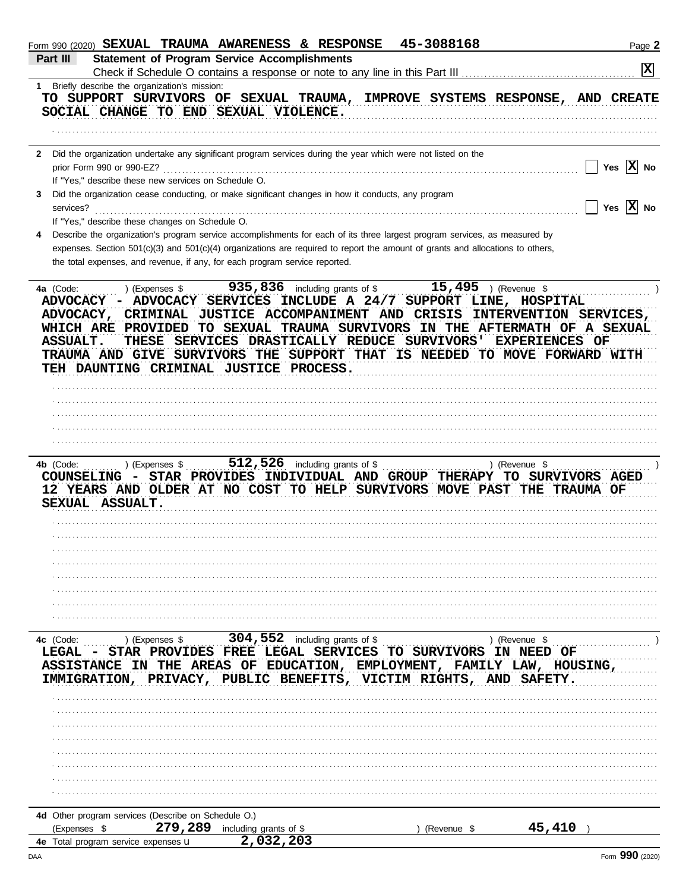| Form 990 (2020) SEXUAL TRAUMA AWARENESS & RESPONSE                                                                                                                                                                                                                                                                                            |                                                                                                                                                                                | 45-3088168  |                                                                         | Page 2                   |
|-----------------------------------------------------------------------------------------------------------------------------------------------------------------------------------------------------------------------------------------------------------------------------------------------------------------------------------------------|--------------------------------------------------------------------------------------------------------------------------------------------------------------------------------|-------------|-------------------------------------------------------------------------|--------------------------|
| Part III                                                                                                                                                                                                                                                                                                                                      | <b>Statement of Program Service Accomplishments</b>                                                                                                                            |             |                                                                         |                          |
|                                                                                                                                                                                                                                                                                                                                               |                                                                                                                                                                                |             |                                                                         | $ \mathbf{x} $           |
| Briefly describe the organization's mission:<br>1.                                                                                                                                                                                                                                                                                            |                                                                                                                                                                                |             |                                                                         |                          |
| TO SUPPORT SURVIVORS OF SEXUAL TRAUMA, IMPROVE SYSTEMS RESPONSE, AND CREATE                                                                                                                                                                                                                                                                   |                                                                                                                                                                                |             |                                                                         |                          |
| SOCIAL CHANGE TO END SEXUAL VIOLENCE.                                                                                                                                                                                                                                                                                                         |                                                                                                                                                                                |             |                                                                         |                          |
|                                                                                                                                                                                                                                                                                                                                               |                                                                                                                                                                                |             |                                                                         |                          |
|                                                                                                                                                                                                                                                                                                                                               |                                                                                                                                                                                |             |                                                                         |                          |
| Did the organization undertake any significant program services during the year which were not listed on the<br>$\mathbf{2}$<br>prior Form 990 or 990-EZ?                                                                                                                                                                                     |                                                                                                                                                                                |             |                                                                         | Yes $ \overline{X} $ No  |
| If "Yes," describe these new services on Schedule O.                                                                                                                                                                                                                                                                                          |                                                                                                                                                                                |             |                                                                         |                          |
| Did the organization cease conducting, or make significant changes in how it conducts, any program<br>3                                                                                                                                                                                                                                       |                                                                                                                                                                                |             |                                                                         |                          |
| services?                                                                                                                                                                                                                                                                                                                                     |                                                                                                                                                                                |             |                                                                         | Yes $ \mathbf{X} $ No    |
| If "Yes," describe these changes on Schedule O.                                                                                                                                                                                                                                                                                               |                                                                                                                                                                                |             |                                                                         |                          |
| Describe the organization's program service accomplishments for each of its three largest program services, as measured by<br>4                                                                                                                                                                                                               |                                                                                                                                                                                |             |                                                                         |                          |
| expenses. Section 501(c)(3) and 501(c)(4) organizations are required to report the amount of grants and allocations to others,                                                                                                                                                                                                                |                                                                                                                                                                                |             |                                                                         |                          |
| the total expenses, and revenue, if any, for each program service reported.                                                                                                                                                                                                                                                                   |                                                                                                                                                                                |             |                                                                         |                          |
|                                                                                                                                                                                                                                                                                                                                               |                                                                                                                                                                                |             |                                                                         |                          |
| 4a (Code:<br>) (Expenses \$<br><b>ADVOCACY</b><br>ADVOCACY, CRIMINAL JUSTICE ACCOMPANIMENT AND CRISIS<br>WHICH ARE PROVIDED TO SEXUAL TRAUMA SURVIVORS IN THE AFTERMATH OF A SEXUAL<br><b>ASSUALT.</b><br><b>THESE</b><br>TRAUMA AND GIVE SURVIVORS THE SUPPORT THAT IS NEEDED TO MOVE FORWARD WITH<br>TEH DAUNTING CRIMINAL JUSTICE PROCESS. | 935,836 including grants of \$<br>- ADVOCACY SERVICES INCLUDE A 24/7 SUPPORT LINE, HOSPITAL<br>SERVICES DRASTICALLY REDUCE SURVIVORS'                                          |             | 15,495 ) (Revenue \$<br>INTERVENTION SERVICES,<br><b>EXPERIENCES OF</b> |                          |
|                                                                                                                                                                                                                                                                                                                                               |                                                                                                                                                                                |             |                                                                         |                          |
|                                                                                                                                                                                                                                                                                                                                               |                                                                                                                                                                                |             |                                                                         |                          |
|                                                                                                                                                                                                                                                                                                                                               |                                                                                                                                                                                |             |                                                                         |                          |
|                                                                                                                                                                                                                                                                                                                                               |                                                                                                                                                                                |             |                                                                         |                          |
| 4b (Code:<br>) (Expenses \$<br><b>COUNSELING</b><br>12 YEARS AND OLDER AT NO COST TO HELP SURVIVORS MOVE PAST THE TRAUMA OF<br>SEXUAL ASSUALT.                                                                                                                                                                                                | 512, 526 including grants of \$<br>STAR PROVIDES INDIVIDUAL AND GROUP THERAPY                                                                                                  |             | ) (Revenue \$                                                           | <b>TO SURVIVORS AGED</b> |
| 4c (Code:<br>) (Expenses \$<br>LEGAL<br><b>ASSISTANCE</b><br>IN THE<br><b>IMMIGRATION,</b><br><b>PRIVACY,</b>                                                                                                                                                                                                                                 | 304, 552 including grants of \$<br>STAR PROVIDES FREE LEGAL SERVICES TO SURVIVORS<br>AREAS OF EDUCATION, EMPLOYMENT, FAMILY LAW, HOUSING,<br><b>BENEFITS,</b><br><b>PUBLIC</b> |             | ) (Revenue \$<br>IN NEED OF<br>VICTIM RIGHTS, AND SAFETY.               |                          |
| 4d Other program services (Describe on Schedule O.)                                                                                                                                                                                                                                                                                           |                                                                                                                                                                                |             |                                                                         |                          |
| (Expenses \$                                                                                                                                                                                                                                                                                                                                  | 279, 289 including grants of \$                                                                                                                                                | (Revenue \$ | 45,410                                                                  |                          |
| 4e Total program service expenses u                                                                                                                                                                                                                                                                                                           | 2,032,203                                                                                                                                                                      |             |                                                                         |                          |
|                                                                                                                                                                                                                                                                                                                                               |                                                                                                                                                                                |             |                                                                         |                          |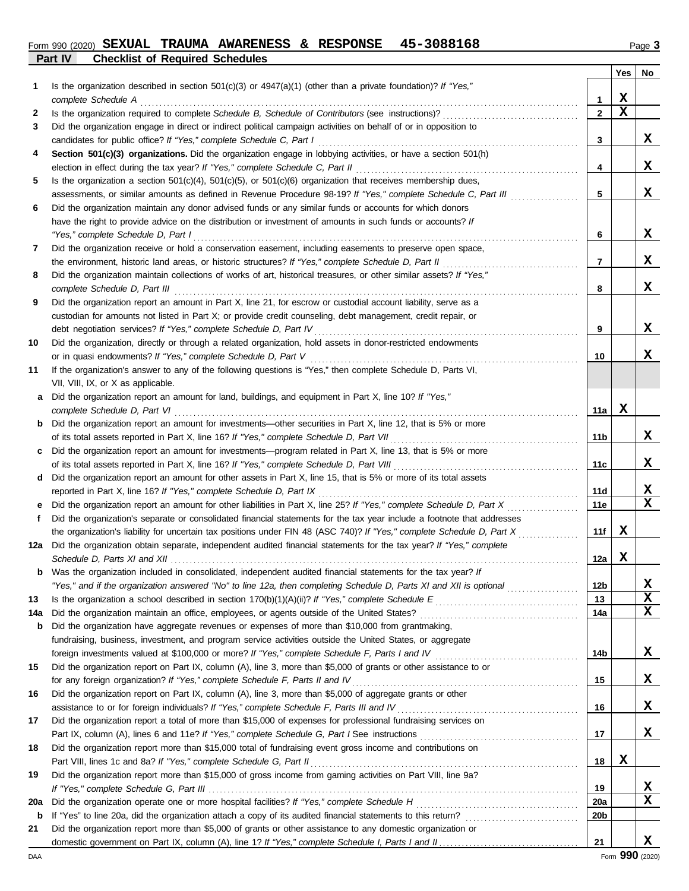### **Part IV Checklist of Required Schedules** Form 990 (2020) Page **3 SEXUAL TRAUMA AWARENESS & RESPONSE 45-3088168**

|     |                                                                                                                                                                                                                             |                 | Yes | No          |
|-----|-----------------------------------------------------------------------------------------------------------------------------------------------------------------------------------------------------------------------------|-----------------|-----|-------------|
| 1   | Is the organization described in section $501(c)(3)$ or $4947(a)(1)$ (other than a private foundation)? If "Yes,"<br>complete Schedule A                                                                                    | 1               | X   |             |
| 2   | Is the organization required to complete Schedule B, Schedule of Contributors (see instructions)?                                                                                                                           | $\mathbf{2}$    | X   |             |
| 3   | <u> 1986 - Johann Barbara, martin a</u><br>Did the organization engage in direct or indirect political campaign activities on behalf of or in opposition to                                                                 |                 |     |             |
|     | candidates for public office? If "Yes," complete Schedule C, Part I                                                                                                                                                         | 3               |     | X           |
| 4   | Section 501(c)(3) organizations. Did the organization engage in lobbying activities, or have a section 501(h)                                                                                                               |                 |     |             |
|     | election in effect during the tax year? If "Yes," complete Schedule C, Part II                                                                                                                                              | 4               |     | X           |
| 5   | Is the organization a section $501(c)(4)$ , $501(c)(5)$ , or $501(c)(6)$ organization that receives membership dues,                                                                                                        |                 |     |             |
|     | assessments, or similar amounts as defined in Revenue Procedure 98-19? If "Yes," complete Schedule C, Part III                                                                                                              | 5               |     | X           |
| 6   | Did the organization maintain any donor advised funds or any similar funds or accounts for which donors                                                                                                                     |                 |     |             |
|     | have the right to provide advice on the distribution or investment of amounts in such funds or accounts? If                                                                                                                 |                 |     |             |
|     | "Yes," complete Schedule D, Part I                                                                                                                                                                                          | 6               |     | X           |
| 7   | Did the organization receive or hold a conservation easement, including easements to preserve open space,                                                                                                                   |                 |     |             |
|     | the environment, historic land areas, or historic structures? If "Yes," complete Schedule D, Part II                                                                                                                        | 7               |     | X           |
| 8   | Did the organization maintain collections of works of art, historical treasures, or other similar assets? If "Yes,"                                                                                                         |                 |     |             |
|     | complete Schedule D, Part III                                                                                                                                                                                               | 8               |     | X           |
| 9   | Did the organization report an amount in Part X, line 21, for escrow or custodial account liability, serve as a                                                                                                             |                 |     |             |
|     | custodian for amounts not listed in Part X; or provide credit counseling, debt management, credit repair, or                                                                                                                |                 |     |             |
|     | debt negotiation services? If "Yes," complete Schedule D, Part IV                                                                                                                                                           | 9               |     | x           |
| 10  | Did the organization, directly or through a related organization, hold assets in donor-restricted endowments                                                                                                                |                 |     |             |
|     | or in quasi endowments? If "Yes," complete Schedule D, Part V                                                                                                                                                               | 10              |     | х           |
| 11  | If the organization's answer to any of the following questions is "Yes," then complete Schedule D, Parts VI,                                                                                                                |                 |     |             |
|     | VII, VIII, IX, or X as applicable.                                                                                                                                                                                          |                 |     |             |
| a   | Did the organization report an amount for land, buildings, and equipment in Part X, line 10? If "Yes,"<br>complete Schedule D, Part VI                                                                                      |                 | х   |             |
|     | Did the organization report an amount for investments—other securities in Part X, line 12, that is 5% or more                                                                                                               | 11a             |     |             |
| b   | of its total assets reported in Part X, line 16? If "Yes," complete Schedule D, Part VII                                                                                                                                    | 11b             |     | x           |
|     | Did the organization report an amount for investments—program related in Part X, line 13, that is 5% or more                                                                                                                |                 |     |             |
|     | of its total assets reported in Part X, line 16? If "Yes," complete Schedule D, Part VIII                                                                                                                                   | 11c             |     | х           |
| d   | Did the organization report an amount for other assets in Part X, line 15, that is 5% or more of its total assets                                                                                                           |                 |     |             |
|     | reported in Part X, line 16? If "Yes," complete Schedule D, Part IX                                                                                                                                                         | 11d             |     | x           |
|     | Did the organization report an amount for other liabilities in Part X, line 25? If "Yes," complete Schedule D, Part X                                                                                                       | 11e             |     | $\mathbf x$ |
| f   | Did the organization's separate or consolidated financial statements for the tax year include a footnote that addresses                                                                                                     |                 |     |             |
|     | the organization's liability for uncertain tax positions under FIN 48 (ASC 740)? If "Yes," complete Schedule D, Part X                                                                                                      | 11f             | x   |             |
| 12a | Did the organization obtain separate, independent audited financial statements for the tax year? If "Yes," complete                                                                                                         |                 |     |             |
|     | Schedule D, Parts XI and XII                                                                                                                                                                                                | 12a             | X   |             |
|     | <b>b</b> Was the organization included in consolidated, independent audited financial statements for the tax year? If                                                                                                       |                 |     |             |
|     | "Yes," and if the organization answered "No" to line 12a, then completing Schedule D, Parts XI and XII is optional                                                                                                          | 12b             |     | X           |
| 13  |                                                                                                                                                                                                                             | 13              |     | $\mathbf x$ |
| 14a |                                                                                                                                                                                                                             | 14a             |     | X           |
| b   | Did the organization have aggregate revenues or expenses of more than \$10,000 from grantmaking,                                                                                                                            |                 |     |             |
|     | fundraising, business, investment, and program service activities outside the United States, or aggregate                                                                                                                   |                 |     |             |
|     | foreign investments valued at \$100,000 or more? If "Yes," complete Schedule F, Parts I and IV [[[[[[[[[[[[[[[                                                                                                              | 14b             |     | X           |
| 15  | Did the organization report on Part IX, column (A), line 3, more than \$5,000 of grants or other assistance to or                                                                                                           |                 |     | X           |
|     | for any foreign organization? If "Yes," complete Schedule F, Parts II and IV [[[[[[[[[[[[[[[[[[[[[[[[[[[[[[[[[                                                                                                              | 15              |     |             |
| 16  | Did the organization report on Part IX, column (A), line 3, more than \$5,000 of aggregate grants or other<br>assistance to or for foreign individuals? If "Yes," complete Schedule F, Parts III and IV [[[[[[[[[[[[[[[[[[[ | 16              |     | X           |
| 17  | Did the organization report a total of more than \$15,000 of expenses for professional fundraising services on                                                                                                              |                 |     |             |
|     |                                                                                                                                                                                                                             | 17              |     | x           |
| 18  | Did the organization report more than \$15,000 total of fundraising event gross income and contributions on                                                                                                                 |                 |     |             |
|     |                                                                                                                                                                                                                             | 18              | X   |             |
| 19  | Did the organization report more than \$15,000 of gross income from gaming activities on Part VIII, line 9a?                                                                                                                |                 |     |             |
|     |                                                                                                                                                                                                                             | 19              |     | X           |
| 20a |                                                                                                                                                                                                                             | 20a             |     | X           |
| b   |                                                                                                                                                                                                                             | 20 <sub>b</sub> |     |             |
| 21  | Did the organization report more than \$5,000 of grants or other assistance to any domestic organization or                                                                                                                 |                 |     |             |
|     |                                                                                                                                                                                                                             | 21              |     | X           |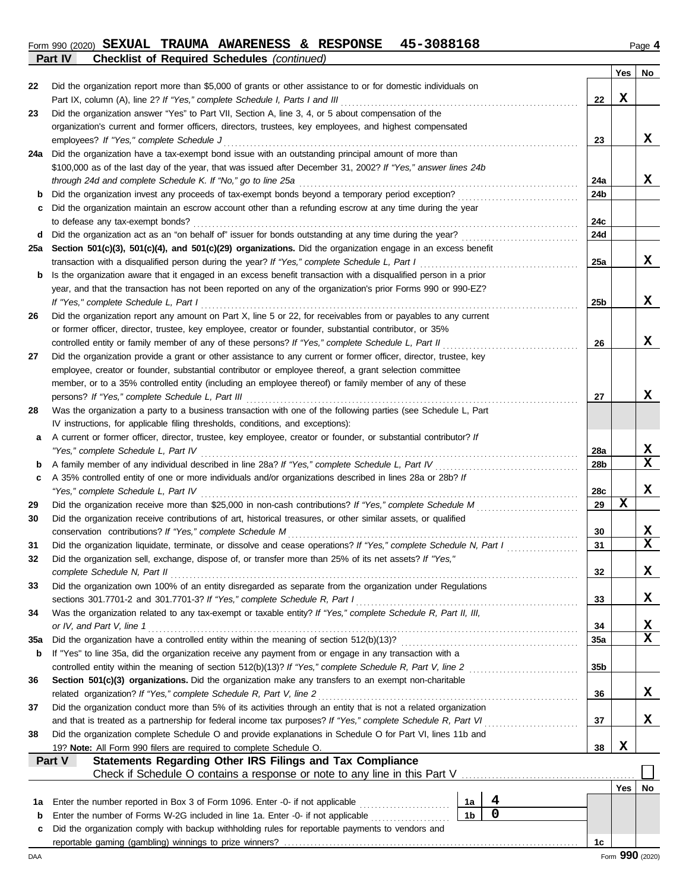#### **Form 990 (2020) SEXUAL TRAUMA AWARENESS & RESPONSE 45-3088168 Part IV Checklist of Required Schedules** *(continued)*

|     | <b>sonnot</b> or redunca concultive footimide                                                                                          |                 | Yes | No                      |
|-----|----------------------------------------------------------------------------------------------------------------------------------------|-----------------|-----|-------------------------|
| 22  | Did the organization report more than \$5,000 of grants or other assistance to or for domestic individuals on                          |                 |     |                         |
|     | Part IX, column (A), line 2? If "Yes," complete Schedule I, Parts I and III                                                            | 22              | X   |                         |
| 23  | Did the organization answer "Yes" to Part VII, Section A, line 3, 4, or 5 about compensation of the                                    |                 |     |                         |
|     | organization's current and former officers, directors, trustees, key employees, and highest compensated                                |                 |     |                         |
|     | employees? If "Yes," complete Schedule J                                                                                               | 23              |     | x                       |
| 24a | Did the organization have a tax-exempt bond issue with an outstanding principal amount of more than                                    |                 |     |                         |
|     | \$100,000 as of the last day of the year, that was issued after December 31, 2002? If "Yes," answer lines 24b                          |                 |     |                         |
|     | through 24d and complete Schedule K. If "No," go to line 25a                                                                           | 24a             |     | x                       |
| b   | Did the organization invest any proceeds of tax-exempt bonds beyond a temporary period exception?                                      | 24b             |     |                         |
| c   | Did the organization maintain an escrow account other than a refunding escrow at any time during the year                              |                 |     |                         |
|     | to defease any tax-exempt bonds?                                                                                                       | 24c             |     |                         |
| d   | Did the organization act as an "on behalf of" issuer for bonds outstanding at any time during the year?                                | 24d             |     |                         |
| 25a | Section 501(c)(3), 501(c)(4), and 501(c)(29) organizations. Did the organization engage in an excess benefit                           |                 |     |                         |
|     | transaction with a disqualified person during the year? If "Yes," complete Schedule L, Part I                                          | 25a             |     | x                       |
| b   | Is the organization aware that it engaged in an excess benefit transaction with a disqualified person in a prior                       |                 |     |                         |
|     | year, and that the transaction has not been reported on any of the organization's prior Forms 990 or 990-EZ?                           |                 |     |                         |
|     | If "Yes," complete Schedule L, Part I                                                                                                  | 25 <sub>b</sub> |     | x                       |
| 26  | Did the organization report any amount on Part X, line 5 or 22, for receivables from or payables to any current                        |                 |     |                         |
|     | or former officer, director, trustee, key employee, creator or founder, substantial contributor, or 35%                                |                 |     |                         |
|     | controlled entity or family member of any of these persons? If "Yes," complete Schedule L, Part II                                     | 26              |     | x                       |
| 27  | Did the organization provide a grant or other assistance to any current or former officer, director, trustee, key                      |                 |     |                         |
|     | employee, creator or founder, substantial contributor or employee thereof, a grant selection committee                                 |                 |     |                         |
|     | member, or to a 35% controlled entity (including an employee thereof) or family member of any of these                                 |                 |     |                         |
|     | persons? If "Yes," complete Schedule L, Part III                                                                                       | 27              |     | x.                      |
| 28  | Was the organization a party to a business transaction with one of the following parties (see Schedule L, Part                         |                 |     |                         |
|     | IV instructions, for applicable filing thresholds, conditions, and exceptions):                                                        |                 |     |                         |
| а   | A current or former officer, director, trustee, key employee, creator or founder, or substantial contributor? If                       |                 |     | x                       |
|     | "Yes," complete Schedule L, Part IV<br>A family member of any individual described in line 28a? If "Yes," complete Schedule L, Part IV | 28a<br>28b      |     | X                       |
| b   | A 35% controlled entity of one or more individuals and/or organizations described in lines 28a or 28b? If                              |                 |     |                         |
| c   | "Yes," complete Schedule L, Part IV                                                                                                    | 28c             |     | x                       |
| 29  | Did the organization receive more than \$25,000 in non-cash contributions? If "Yes," complete Schedule M                               | 29              | X   |                         |
| 30  | Did the organization receive contributions of art, historical treasures, or other similar assets, or qualified                         |                 |     |                         |
|     | conservation contributions? If "Yes," complete Schedule M                                                                              | 30              |     | X                       |
| 31  | Did the organization liquidate, terminate, or dissolve and cease operations? If "Yes," complete Schedule N, Part I                     | 31              |     | $\overline{\mathbf{x}}$ |
| 32  | Did the organization sell, exchange, dispose of, or transfer more than 25% of its net assets? If "Yes,"                                |                 |     |                         |
|     | complete Schedule N, Part II                                                                                                           | 32              |     | x                       |
| 33  | Did the organization own 100% of an entity disregarded as separate from the organization under Regulations                             |                 |     |                         |
|     | sections 301.7701-2 and 301.7701-3? If "Yes," complete Schedule R, Part I                                                              | 33              |     | x                       |
| 34  | Was the organization related to any tax-exempt or taxable entity? If "Yes," complete Schedule R, Part II, III,                         |                 |     |                         |
|     | or IV, and Part V, line 1                                                                                                              | 34              |     | X                       |
| 35a |                                                                                                                                        | 35a             |     | X                       |
| b   | If "Yes" to line 35a, did the organization receive any payment from or engage in any transaction with a                                |                 |     |                         |
|     | controlled entity within the meaning of section 512(b)(13)? If "Yes," complete Schedule R, Part V, line 2                              | 35 <sub>b</sub> |     |                         |
| 36  | Section 501(c)(3) organizations. Did the organization make any transfers to an exempt non-charitable                                   |                 |     |                         |
|     | related organization? If "Yes," complete Schedule R, Part V, line 2                                                                    | 36              |     | X                       |
| 37  | Did the organization conduct more than 5% of its activities through an entity that is not a related organization                       |                 |     |                         |
|     | and that is treated as a partnership for federal income tax purposes? If "Yes," complete Schedule R, Part VI                           | 37              |     | x                       |
| 38  | Did the organization complete Schedule O and provide explanations in Schedule O for Part VI, lines 11b and                             |                 |     |                         |
|     | 19? Note: All Form 990 filers are required to complete Schedule O.                                                                     | 38              | X   |                         |
|     | Statements Regarding Other IRS Filings and Tax Compliance<br>Part V                                                                    |                 |     |                         |
|     | Check if Schedule O contains a response or note to any line in this Part V                                                             |                 |     |                         |
|     |                                                                                                                                        |                 | Yes | No                      |
| 1а  | 4<br>Enter the number reported in Box 3 of Form 1096. Enter -0- if not applicable<br>1a                                                |                 |     |                         |
| b   | $\mathbf 0$<br>1 <sub>b</sub><br>Enter the number of Forms W-2G included in line 1a. Enter -0- if not applicable                       |                 |     |                         |
| с   | Did the organization comply with backup withholding rules for reportable payments to vendors and                                       |                 |     |                         |
|     |                                                                                                                                        | 1c              |     |                         |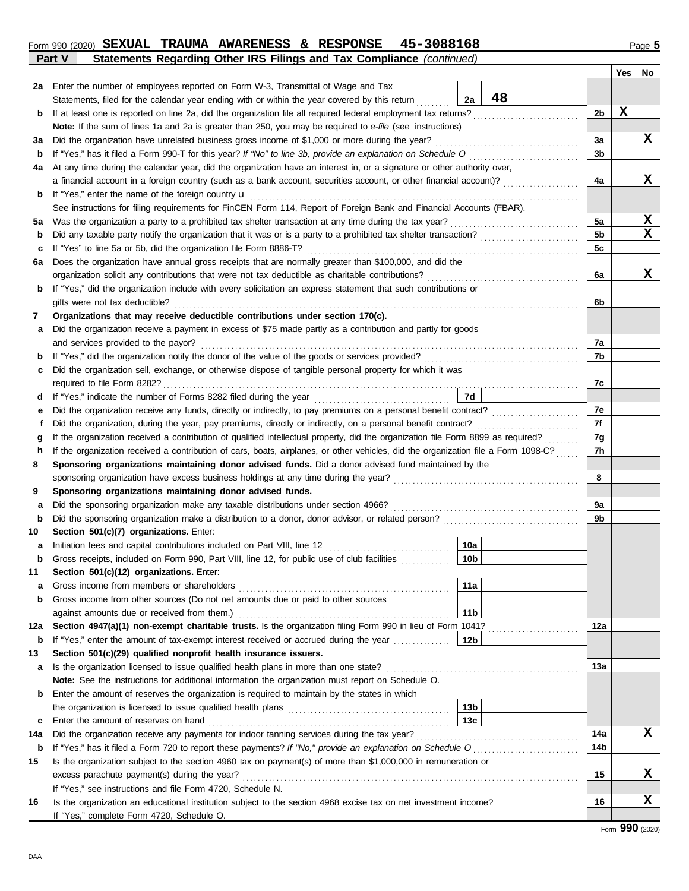#### **Part V Statements Regarding Other IRS Filings and Tax Compliance** *(continued)* Form 990 (2020) Page **5 SEXUAL TRAUMA AWARENESS & RESPONSE 45-3088168**

|     |                                                                                                                                                                                            |                 |    |                | Yes         | No          |
|-----|--------------------------------------------------------------------------------------------------------------------------------------------------------------------------------------------|-----------------|----|----------------|-------------|-------------|
|     | 2a Enter the number of employees reported on Form W-3, Transmittal of Wage and Tax                                                                                                         |                 |    |                |             |             |
|     | Statements, filed for the calendar year ending with or within the year covered by this return                                                                                              | 2a              | 48 |                |             |             |
| b   |                                                                                                                                                                                            |                 |    | 2b             | $\mathbf x$ |             |
|     | Note: If the sum of lines 1a and 2a is greater than 250, you may be required to e-file (see instructions)                                                                                  |                 |    |                |             |             |
| За  | Did the organization have unrelated business gross income of \$1,000 or more during the year?                                                                                              |                 |    | За             |             | X           |
| b   | If "Yes," has it filed a Form 990-T for this year? If "No" to line 3b, provide an explanation on Schedule O                                                                                |                 |    | 3 <sub>b</sub> |             |             |
| 4a  | At any time during the calendar year, did the organization have an interest in, or a signature or other authority over,                                                                    |                 |    |                |             |             |
|     | a financial account in a foreign country (such as a bank account, securities account, or other financial account)?                                                                         |                 |    | 4a             |             | x           |
| b   | If "Yes," enter the name of the foreign country <b>u</b>                                                                                                                                   |                 |    |                |             |             |
|     | See instructions for filing requirements for FinCEN Form 114, Report of Foreign Bank and Financial Accounts (FBAR).                                                                        |                 |    |                |             |             |
| 5a  | Was the organization a party to a prohibited tax shelter transaction at any time during the tax year?                                                                                      |                 |    | 5a             |             | X           |
| b   |                                                                                                                                                                                            |                 |    | 5 <sub>b</sub> |             | $\mathbf x$ |
| c   | If "Yes" to line 5a or 5b, did the organization file Form 8886-T?                                                                                                                          |                 |    | 5c             |             |             |
| 6а  | Does the organization have annual gross receipts that are normally greater than \$100,000, and did the                                                                                     |                 |    |                |             |             |
|     | organization solicit any contributions that were not tax deductible as charitable contributions?                                                                                           |                 |    | 6a             |             | X           |
| b   | If "Yes," did the organization include with every solicitation an express statement that such contributions or                                                                             |                 |    |                |             |             |
|     | gifts were not tax deductible?                                                                                                                                                             |                 |    | 6b             |             |             |
| 7   | Organizations that may receive deductible contributions under section 170(c).                                                                                                              |                 |    |                |             |             |
| a   | Did the organization receive a payment in excess of \$75 made partly as a contribution and partly for goods                                                                                |                 |    |                |             |             |
|     | and services provided to the payor?                                                                                                                                                        |                 |    | 7a             |             |             |
| b   |                                                                                                                                                                                            |                 |    | 7b             |             |             |
| c   | Did the organization sell, exchange, or otherwise dispose of tangible personal property for which it was                                                                                   |                 |    |                |             |             |
|     |                                                                                                                                                                                            |                 |    | 7c             |             |             |
| d   |                                                                                                                                                                                            | 7d              |    |                |             |             |
| е   | Did the organization receive any funds, directly or indirectly, to pay premiums on a personal benefit contract?                                                                            |                 |    | 7e             |             |             |
| f   |                                                                                                                                                                                            |                 |    | 7f             |             |             |
| g   |                                                                                                                                                                                            |                 |    | 7g<br>7h       |             |             |
| h   | If the organization received a contribution of cars, boats, airplanes, or other vehicles, did the organization file a Form 1098-C?                                                         |                 |    |                |             |             |
| 8   | Sponsoring organizations maintaining donor advised funds. Did a donor advised fund maintained by the<br>sponsoring organization have excess business holdings at any time during the year? |                 |    | 8              |             |             |
| 9   | Sponsoring organizations maintaining donor advised funds.                                                                                                                                  |                 |    |                |             |             |
| а   | Did the sponsoring organization make any taxable distributions under section 4966?                                                                                                         |                 |    | 9a             |             |             |
| b   |                                                                                                                                                                                            |                 |    | 9b             |             |             |
| 10  | Section 501(c)(7) organizations. Enter:                                                                                                                                                    |                 |    |                |             |             |
| а   |                                                                                                                                                                                            | 10a             |    |                |             |             |
| b   | Gross receipts, included on Form 990, Part VIII, line 12, for public use of club facilities                                                                                                | 10 <sub>b</sub> |    |                |             |             |
| 11  | Section 501(c)(12) organizations. Enter:                                                                                                                                                   |                 |    |                |             |             |
| а   | Gross income from members or shareholders                                                                                                                                                  | 11a             |    |                |             |             |
| b   | Gross income from other sources (Do not net amounts due or paid to other sources                                                                                                           |                 |    |                |             |             |
|     |                                                                                                                                                                                            | 11 <sub>b</sub> |    |                |             |             |
| 12a | Section 4947(a)(1) non-exempt charitable trusts. Is the organization filing Form 990 in lieu of Form 1041?                                                                                 |                 |    | 12a            |             |             |
| b   |                                                                                                                                                                                            |                 |    |                |             |             |
| 13  | Section 501(c)(29) qualified nonprofit health insurance issuers.                                                                                                                           |                 |    |                |             |             |
| a   | Is the organization licensed to issue qualified health plans in more than one state?                                                                                                       |                 |    | 13a            |             |             |
|     | Note: See the instructions for additional information the organization must report on Schedule O.                                                                                          |                 |    |                |             |             |
| b   | Enter the amount of reserves the organization is required to maintain by the states in which                                                                                               |                 |    |                |             |             |
|     |                                                                                                                                                                                            | 13 <sub>b</sub> |    |                |             |             |
| c   | Enter the amount of reserves on hand                                                                                                                                                       | 13c             |    |                |             |             |
| 14a |                                                                                                                                                                                            |                 |    | 14a            |             | X           |
| b   |                                                                                                                                                                                            |                 |    | 14b            |             |             |
| 15  | Is the organization subject to the section 4960 tax on payment(s) of more than \$1,000,000 in remuneration or                                                                              |                 |    |                |             |             |
|     |                                                                                                                                                                                            |                 |    | 15             |             | X           |
|     | If "Yes," see instructions and file Form 4720, Schedule N.                                                                                                                                 |                 |    |                |             | X           |
| 16  | Is the organization an educational institution subject to the section 4968 excise tax on net investment income?                                                                            |                 |    | 16             |             |             |
|     | If "Yes," complete Form 4720, Schedule O.                                                                                                                                                  |                 |    |                |             |             |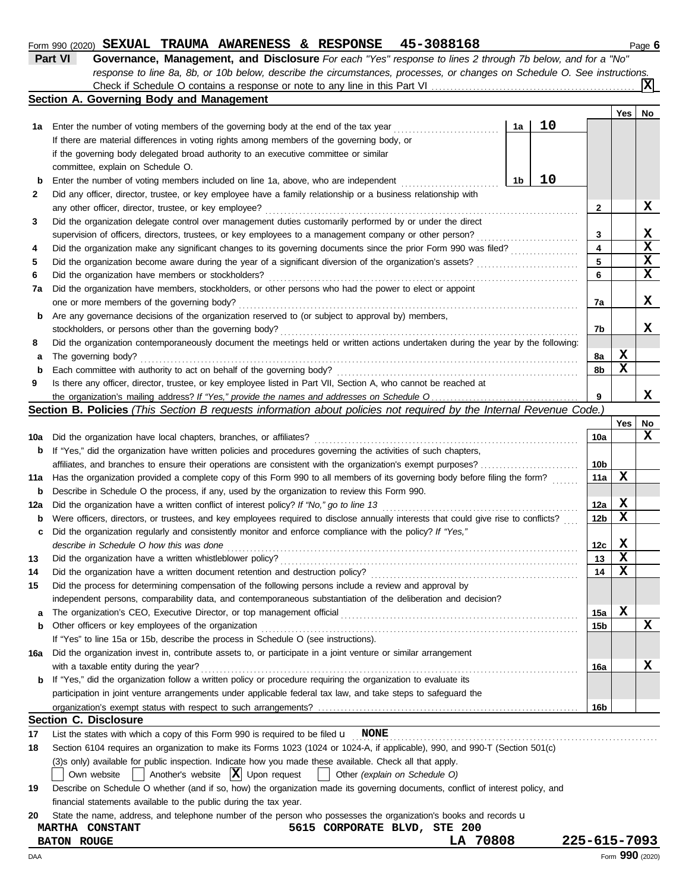### Form 990 (2020) Page **6 SEXUAL TRAUMA AWARENESS & RESPONSE 45-3088168**

| Part VI | Governance, Management, and Disclosure For each "Yes" response to lines 2 through 7b below, and for a "No"                |
|---------|---------------------------------------------------------------------------------------------------------------------------|
|         | response to line 8a, 8b, or 10b below, describe the circumstances, processes, or changes on Schedule O. See instructions. |
|         | $\sqrt{\textbf{x}}$<br>Check if Schedule O contains a response or note to any line in this Part VI.                       |

|     | <b>Section A. Governing Body and Management</b>                                                                                     |    |    |                         |             |                         |
|-----|-------------------------------------------------------------------------------------------------------------------------------------|----|----|-------------------------|-------------|-------------------------|
|     |                                                                                                                                     |    |    |                         | Yes         | No                      |
| 1a  | Enter the number of voting members of the governing body at the end of the tax year                                                 | 1a | 10 |                         |             |                         |
|     | If there are material differences in voting rights among members of the governing body, or                                          |    |    |                         |             |                         |
|     | if the governing body delegated broad authority to an executive committee or similar                                                |    |    |                         |             |                         |
|     | committee, explain on Schedule O.                                                                                                   |    |    |                         |             |                         |
| b   | Enter the number of voting members included on line 1a, above, who are independent                                                  | 1b | 10 |                         |             |                         |
| 2   | Did any officer, director, trustee, or key employee have a family relationship or a business relationship with                      |    |    |                         |             |                         |
|     | any other officer, director, trustee, or key employee?                                                                              |    |    | $\mathbf{2}$            |             | X                       |
| 3   | Did the organization delegate control over management duties customarily performed by or under the direct                           |    |    |                         |             |                         |
|     | supervision of officers, directors, trustees, or key employees to a management company or other person?                             |    |    | 3                       |             | X                       |
| 4   | Did the organization make any significant changes to its governing documents since the prior Form 990 was filed?                    |    |    | $\overline{\mathbf{4}}$ |             | $\overline{\mathbf{x}}$ |
| 5   |                                                                                                                                     |    |    | 5                       |             | $\mathbf x$             |
| 6   | Did the organization have members or stockholders?                                                                                  |    |    | 6                       |             | $\mathbf x$             |
| 7a  | Did the organization have members, stockholders, or other persons who had the power to elect or appoint                             |    |    |                         |             |                         |
|     | one or more members of the governing body?                                                                                          |    |    | 7a                      |             | x                       |
| b   | Are any governance decisions of the organization reserved to (or subject to approval by) members,                                   |    |    |                         |             |                         |
|     | stockholders, or persons other than the governing body?                                                                             |    |    | 7b                      |             | x                       |
| 8   | Did the organization contemporaneously document the meetings held or written actions undertaken during the year by the following:   |    |    |                         |             |                         |
| а   | The governing body?                                                                                                                 |    |    | 8a                      | X           |                         |
| b   | Each committee with authority to act on behalf of the governing body?                                                               |    |    | 8b                      | x           |                         |
| 9   | Is there any officer, director, trustee, or key employee listed in Part VII, Section A, who cannot be reached at                    |    |    |                         |             | X                       |
|     | Section B. Policies (This Section B requests information about policies not required by the Internal Revenue Code.)                 |    |    | 9                       |             |                         |
|     |                                                                                                                                     |    |    |                         | Yes         | No                      |
| 10a | Did the organization have local chapters, branches, or affiliates?                                                                  |    |    | 10a                     |             | $\mathbf x$             |
|     | <b>b</b> If "Yes," did the organization have written policies and procedures governing the activities of such chapters,             |    |    |                         |             |                         |
|     |                                                                                                                                     |    |    | 10 <sub>b</sub>         |             |                         |
| 11a | Has the organization provided a complete copy of this Form 990 to all members of its governing body before filing the form?         |    |    | 11a                     | X           |                         |
| b   | Describe in Schedule O the process, if any, used by the organization to review this Form 990.                                       |    |    |                         |             |                         |
| 12a |                                                                                                                                     |    |    | 12a                     | X           |                         |
| b   | Were officers, directors, or trustees, and key employees required to disclose annually interests that could give rise to conflicts? |    |    | 12 <sub>b</sub>         | X           |                         |
| c   | Did the organization regularly and consistently monitor and enforce compliance with the policy? If "Yes,"                           |    |    |                         |             |                         |
|     | describe in Schedule O how this was done                                                                                            |    |    | 12c                     | X           |                         |
| 13  |                                                                                                                                     |    |    | 13                      | X           |                         |
| 14  |                                                                                                                                     |    |    | 14                      | X           |                         |
| 15  | Did the process for determining compensation of the following persons include a review and approval by                              |    |    |                         |             |                         |
|     | independent persons, comparability data, and contemporaneous substantiation of the deliberation and decision?                       |    |    |                         |             |                         |
| a   |                                                                                                                                     |    |    | 15a                     | $\mathbf x$ |                         |
| b   | Other officers or key employees of the organization                                                                                 |    |    | 15b                     |             | X                       |
|     | If "Yes" to line 15a or 15b, describe the process in Schedule O (see instructions).                                                 |    |    |                         |             |                         |
| 16a | Did the organization invest in, contribute assets to, or participate in a joint venture or similar arrangement                      |    |    |                         |             |                         |
|     | with a taxable entity during the year?                                                                                              |    |    | 16a                     |             | X                       |
| b   | If "Yes," did the organization follow a written policy or procedure requiring the organization to evaluate its                      |    |    |                         |             |                         |
|     | participation in joint venture arrangements under applicable federal tax law, and take steps to safeguard the                       |    |    |                         |             |                         |
|     |                                                                                                                                     |    |    | 16b                     |             |                         |
|     | <b>Section C. Disclosure</b>                                                                                                        |    |    |                         |             |                         |
| 17  | List the states with which a copy of this Form 990 is required to be filed $\mathbf{u}$ NONE                                        |    |    |                         |             |                         |
| 18  | Section 6104 requires an organization to make its Forms 1023 (1024 or 1024-A, if applicable), 990, and 990-T (Section 501(c)        |    |    |                         |             |                         |
|     | (3) sonly) available for public inspection. Indicate how you made these available. Check all that apply.                            |    |    |                         |             |                         |
|     | $ \mathbf{X} $ Upon request<br>Another's website<br>Own website<br>Other (explain on Schedule O)                                    |    |    |                         |             |                         |
| 19  | Describe on Schedule O whether (and if so, how) the organization made its governing documents, conflict of interest policy, and     |    |    |                         |             |                         |
|     | financial statements available to the public during the tax year.                                                                   |    |    |                         |             |                         |
| 20  | State the name, address, and telephone number of the person who possesses the organization's books and records u                    |    |    |                         |             |                         |
|     | 5615 CORPORATE BLVD, STE 200<br><b>MARTHA CONSTANT</b>                                                                              |    |    |                         |             |                         |
|     | LA 70808<br><b>BATON ROUGE</b>                                                                                                      |    |    | 225-615-7093            |             |                         |

**BATE: BATE: PATE: PATE: PATE: PATE: PATE: PATE: PATE: PATE: PATE: PATE: PATE: PATE: PATE: PATE: PATE: PATE: PATE: PATE: PATE: PATE: PATE: PATE: PATE: PATE: PATE: PATE:**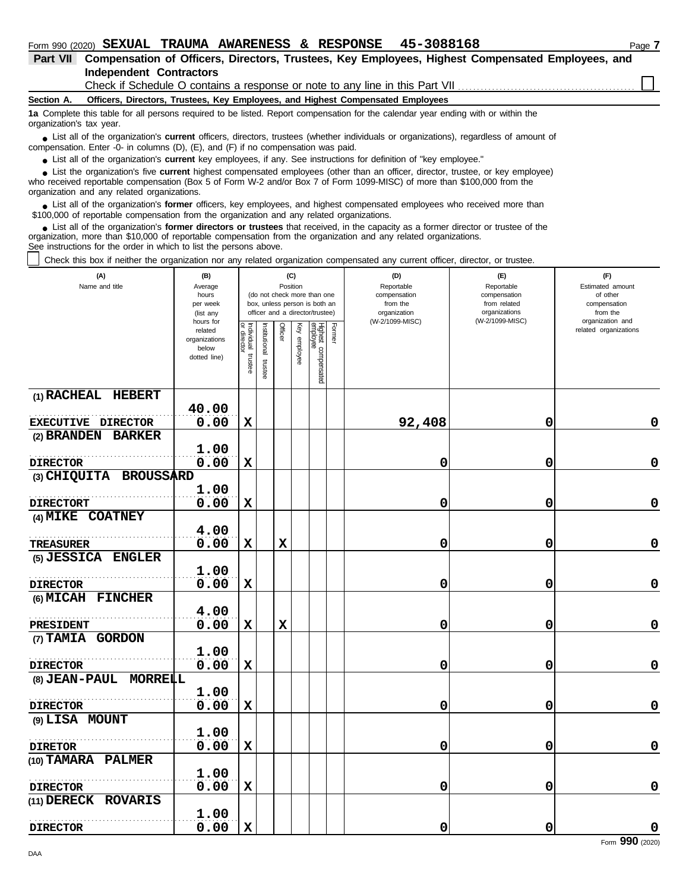| Form 990 (2020)          | SEXUAL TRAUMA AWARENESS & RESPONSE 45-3088168                                                                                                                                                                                       | Page 7 |
|--------------------------|-------------------------------------------------------------------------------------------------------------------------------------------------------------------------------------------------------------------------------------|--------|
| <b>Part VII</b>          | Compensation of Officers, Directors, Trustees, Key Employees, Highest Compensated Employees, and                                                                                                                                    |        |
|                          | <b>Independent Contractors</b>                                                                                                                                                                                                      |        |
|                          |                                                                                                                                                                                                                                     |        |
| Section A.               | Officers, Directors, Trustees, Key Employees, and Highest Compensated Employees                                                                                                                                                     |        |
| organization's tax year. | 1a Complete this table for all persons required to be listed. Report compensation for the calendar year ending with or within the                                                                                                   |        |
|                          | • List all of the organization's current officers, directors, trustees (whether individuals or organizations), regardless of amount of<br>compensation. Enter -0- in columns $(D)$ , $(E)$ , and $(F)$ if no compensation was paid. |        |
|                          | • List all of the organization's current key employees, if any. See instructions for definition of "key employee."                                                                                                                  |        |
|                          | • List the organization's five current highest compensated employees (other than an officer, director, trustee, or key employee)                                                                                                    |        |

who received reportable compensation (Box 5 of Form W-2 and/or Box 7 of Form 1099-MISC) of more than \$100,000 from the organization and any related organizations. **•**

List all of the organization's **former** officers, key employees, and highest compensated employees who received more than • List all of the organization's **former** officers, key employees, and highest compensate \$100,000 of reportable compensation from the organization and any related organizations.

List all of the organization's **former directors or trustees** that received, in the capacity as a former director or trustee of the organization, more than \$10,000 of reportable compensation from the organization and any related organizations. See instructions for the order in which to list the persons above. **•**

Check this box if neither the organization nor any related organization compensated any current officer, director, or trustee.

| (A)<br>Name and title                  | (B)<br>Average<br>hours<br>per week<br>(list any<br>hours for |                                   |                          | (C)<br>Position |                 | (do not check more than one<br>box, unless person is both an<br>officer and a director/trustee) |        | (D)<br>Reportable<br>compensation<br>from the<br>organization<br>(W-2/1099-MISC) | (E)<br>Reportable<br>compensation<br>from related<br>organizations<br>(W-2/1099-MISC) | (F)<br>Estimated amount<br>of other<br>compensation<br>from the<br>organization and |
|----------------------------------------|---------------------------------------------------------------|-----------------------------------|--------------------------|-----------------|-----------------|-------------------------------------------------------------------------------------------------|--------|----------------------------------------------------------------------------------|---------------------------------------------------------------------------------------|-------------------------------------------------------------------------------------|
|                                        | related<br>organizations<br>below<br>dotted line)             | Individual trustee<br>or director | Institutional<br>trustee | Officer         | Key<br>employee | Highest compensated<br>employee                                                                 | Former |                                                                                  |                                                                                       | related organizations                                                               |
| (1) RACHEAL HEBERT                     | 40.00                                                         |                                   |                          |                 |                 |                                                                                                 |        |                                                                                  |                                                                                       |                                                                                     |
| EXECUTIVE DIRECTOR                     | 0.00                                                          | $\mathbf x$                       |                          |                 |                 |                                                                                                 |        | 92,408                                                                           | 0                                                                                     | $\mathbf 0$                                                                         |
| (2) BRANDEN BARKER                     |                                                               |                                   |                          |                 |                 |                                                                                                 |        |                                                                                  |                                                                                       |                                                                                     |
|                                        | 1.00                                                          |                                   |                          |                 |                 |                                                                                                 |        |                                                                                  |                                                                                       |                                                                                     |
| <b>DIRECTOR</b>                        | 0.00                                                          | $\mathbf x$                       |                          |                 |                 |                                                                                                 |        | 0                                                                                | 0                                                                                     | $\mathbf 0$                                                                         |
| (3) CHIQUITA BROUSSARD                 |                                                               |                                   |                          |                 |                 |                                                                                                 |        |                                                                                  |                                                                                       |                                                                                     |
|                                        | 1.00                                                          |                                   |                          |                 |                 |                                                                                                 |        |                                                                                  |                                                                                       |                                                                                     |
| <b>DIRECTORT</b>                       | 0.00                                                          | $\mathbf x$                       |                          |                 |                 |                                                                                                 |        | 0                                                                                | 0                                                                                     | $\mathbf 0$                                                                         |
| (4) MIKE COATNEY                       |                                                               |                                   |                          |                 |                 |                                                                                                 |        |                                                                                  |                                                                                       |                                                                                     |
|                                        | 4.00                                                          |                                   |                          |                 |                 |                                                                                                 |        |                                                                                  | 0                                                                                     | 0                                                                                   |
| <b>TREASURER</b><br>(5) JESSICA ENGLER | 0.00                                                          | $\mathbf x$                       |                          | X               |                 |                                                                                                 |        | 0                                                                                |                                                                                       |                                                                                     |
|                                        | 1.00                                                          |                                   |                          |                 |                 |                                                                                                 |        |                                                                                  |                                                                                       |                                                                                     |
| <b>DIRECTOR</b>                        | 0.00                                                          | $\mathbf x$                       |                          |                 |                 |                                                                                                 |        | 0                                                                                | 0                                                                                     | $\mathbf 0$                                                                         |
| (6) MICAH FINCHER                      |                                                               |                                   |                          |                 |                 |                                                                                                 |        |                                                                                  |                                                                                       |                                                                                     |
|                                        | 4.00                                                          |                                   |                          |                 |                 |                                                                                                 |        |                                                                                  |                                                                                       |                                                                                     |
| <b>PRESIDENT</b>                       | 0.00                                                          | $\mathbf x$                       |                          | $\mathbf x$     |                 |                                                                                                 |        | 0                                                                                | 0                                                                                     | $\mathbf 0$                                                                         |
| (7) TAMIA GORDON                       |                                                               |                                   |                          |                 |                 |                                                                                                 |        |                                                                                  |                                                                                       |                                                                                     |
|                                        | 1.00                                                          |                                   |                          |                 |                 |                                                                                                 |        |                                                                                  |                                                                                       |                                                                                     |
| <b>DIRECTOR</b>                        | 0.00                                                          | $\mathbf x$                       |                          |                 |                 |                                                                                                 |        | 0                                                                                | 0                                                                                     | $\mathbf 0$                                                                         |
| (8) JEAN-PAUL MORRELL                  | 1.00                                                          |                                   |                          |                 |                 |                                                                                                 |        |                                                                                  |                                                                                       |                                                                                     |
| <b>DIRECTOR</b>                        | 0.00                                                          | $\mathbf x$                       |                          |                 |                 |                                                                                                 |        | 0                                                                                | 0                                                                                     | $\mathbf 0$                                                                         |
| (9) LISA MOUNT                         |                                                               |                                   |                          |                 |                 |                                                                                                 |        |                                                                                  |                                                                                       |                                                                                     |
|                                        | 1.00                                                          |                                   |                          |                 |                 |                                                                                                 |        |                                                                                  |                                                                                       |                                                                                     |
| <b>DIRETOR</b>                         | 0.00                                                          | $\mathbf x$                       |                          |                 |                 |                                                                                                 |        | 0                                                                                | $\mathbf 0$                                                                           | $\mathbf 0$                                                                         |
| (10) TAMARA<br><b>PALMER</b>           |                                                               |                                   |                          |                 |                 |                                                                                                 |        |                                                                                  |                                                                                       |                                                                                     |
|                                        | 1.00                                                          |                                   |                          |                 |                 |                                                                                                 |        |                                                                                  |                                                                                       |                                                                                     |
| <b>DIRECTOR</b>                        | 0.00                                                          | $\mathbf x$                       |                          |                 |                 |                                                                                                 |        | 0                                                                                | 0                                                                                     | $\mathbf 0$                                                                         |
| (11) DERECK ROVARIS                    |                                                               |                                   |                          |                 |                 |                                                                                                 |        |                                                                                  |                                                                                       |                                                                                     |
|                                        | 1.00                                                          |                                   |                          |                 |                 |                                                                                                 |        |                                                                                  |                                                                                       |                                                                                     |
| <b>DIRECTOR</b>                        | 0.00                                                          | X                                 |                          |                 |                 |                                                                                                 |        | 0                                                                                | 0                                                                                     | $\mathbf 0$                                                                         |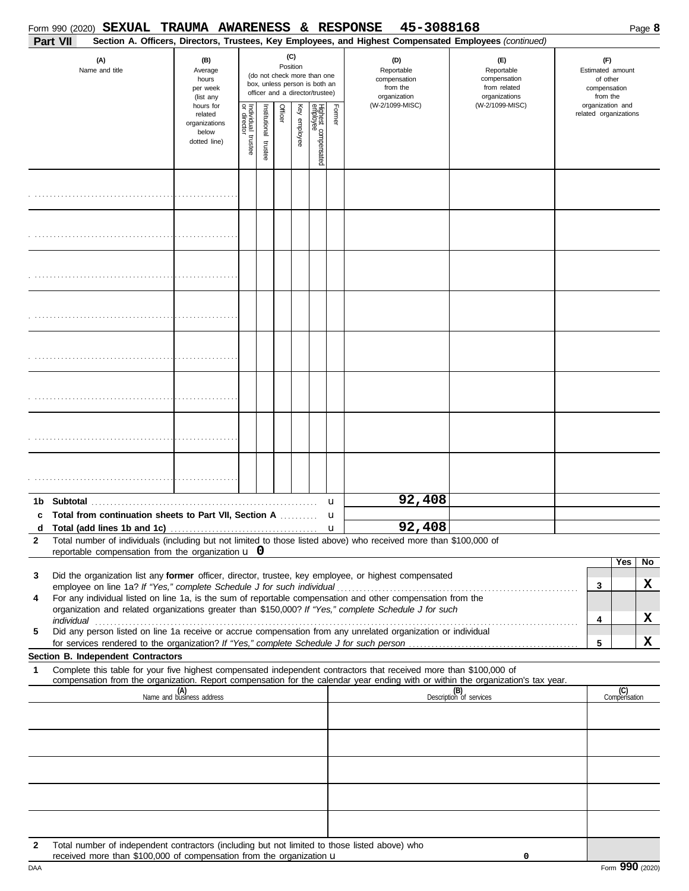|              | Form 990 (2020) SEXUAL                                                                                                                                                                                                                                                                                                        | TRAUMA AWARENESS & RESPONSE                                    |                       |                      |          |              |                                                                                                 |        | 45-3088168                                                                                                                                                              |                                                                    |                                                                 | Page 8              |
|--------------|-------------------------------------------------------------------------------------------------------------------------------------------------------------------------------------------------------------------------------------------------------------------------------------------------------------------------------|----------------------------------------------------------------|-----------------------|----------------------|----------|--------------|-------------------------------------------------------------------------------------------------|--------|-------------------------------------------------------------------------------------------------------------------------------------------------------------------------|--------------------------------------------------------------------|-----------------------------------------------------------------|---------------------|
|              | Part VII<br>(A)<br>Name and title                                                                                                                                                                                                                                                                                             | (B)<br>Average<br>hours<br>per week<br>(list any               |                       |                      | Position | (C)          | (do not check more than one<br>box, unless person is both an<br>officer and a director/trustee) |        | Section A. Officers, Directors, Trustees, Key Employees, and Highest Compensated Employees (continued)<br>(D)<br>Reportable<br>compensation<br>from the<br>organization | (E)<br>Reportable<br>compensation<br>from related<br>organizations | (F)<br>Estimated amount<br>of other<br>compensation<br>from the |                     |
|              |                                                                                                                                                                                                                                                                                                                               | hours for<br>related<br>organizations<br>below<br>dotted line) | Individual<br>trustee | nstitutional trustee | Officer  | Key employee | Highest compensated<br>employee                                                                 | Former | (W-2/1099-MISC)                                                                                                                                                         | (W-2/1099-MISC)                                                    | organization and<br>related organizations                       |                     |
|              |                                                                                                                                                                                                                                                                                                                               |                                                                |                       |                      |          |              |                                                                                                 |        |                                                                                                                                                                         |                                                                    |                                                                 |                     |
|              |                                                                                                                                                                                                                                                                                                                               |                                                                |                       |                      |          |              |                                                                                                 |        |                                                                                                                                                                         |                                                                    |                                                                 |                     |
|              |                                                                                                                                                                                                                                                                                                                               |                                                                |                       |                      |          |              |                                                                                                 |        |                                                                                                                                                                         |                                                                    |                                                                 |                     |
|              |                                                                                                                                                                                                                                                                                                                               |                                                                |                       |                      |          |              |                                                                                                 |        |                                                                                                                                                                         |                                                                    |                                                                 |                     |
|              |                                                                                                                                                                                                                                                                                                                               |                                                                |                       |                      |          |              |                                                                                                 |        |                                                                                                                                                                         |                                                                    |                                                                 |                     |
|              |                                                                                                                                                                                                                                                                                                                               |                                                                |                       |                      |          |              |                                                                                                 |        |                                                                                                                                                                         |                                                                    |                                                                 |                     |
|              |                                                                                                                                                                                                                                                                                                                               |                                                                |                       |                      |          |              |                                                                                                 |        |                                                                                                                                                                         |                                                                    |                                                                 |                     |
|              |                                                                                                                                                                                                                                                                                                                               |                                                                |                       |                      |          |              |                                                                                                 |        |                                                                                                                                                                         |                                                                    |                                                                 |                     |
| c            | Total from continuation sheets to Part VII, Section A                                                                                                                                                                                                                                                                         |                                                                |                       |                      |          |              |                                                                                                 | u<br>u | 92,408<br>92,408                                                                                                                                                        |                                                                    |                                                                 |                     |
| $\mathbf{2}$ | Total number of individuals (including but not limited to those listed above) who received more than \$100,000 of<br>reportable compensation from the organization $\bf{u}$ 0                                                                                                                                                 |                                                                |                       |                      |          |              |                                                                                                 |        |                                                                                                                                                                         |                                                                    |                                                                 |                     |
| 3<br>4       | Did the organization list any former officer, director, trustee, key employee, or highest compensated<br>For any individual listed on line 1a, is the sum of reportable compensation and other compensation from the<br>organization and related organizations greater than \$150,000? If "Yes," complete Schedule J for such |                                                                |                       |                      |          |              |                                                                                                 |        |                                                                                                                                                                         |                                                                    | 3<br>4                                                          | Yes<br>No<br>X<br>X |
| 5            | Did any person listed on line 1a receive or accrue compensation from any unrelated organization or individual<br>Section B. Independent Contractors                                                                                                                                                                           |                                                                |                       |                      |          |              |                                                                                                 |        |                                                                                                                                                                         |                                                                    | 5                                                               | X                   |
| 1            | Complete this table for your five highest compensated independent contractors that received more than \$100,000 of<br>compensation from the organization. Report compensation for the calendar year ending with or within the organization's tax year.                                                                        |                                                                |                       |                      |          |              |                                                                                                 |        |                                                                                                                                                                         |                                                                    |                                                                 |                     |
|              |                                                                                                                                                                                                                                                                                                                               | (A)<br>Name and business address                               |                       |                      |          |              |                                                                                                 |        |                                                                                                                                                                         | (B)<br>Description of services                                     |                                                                 | (C)<br>Compensation |
|              |                                                                                                                                                                                                                                                                                                                               |                                                                |                       |                      |          |              |                                                                                                 |        |                                                                                                                                                                         |                                                                    |                                                                 |                     |
|              |                                                                                                                                                                                                                                                                                                                               |                                                                |                       |                      |          |              |                                                                                                 |        |                                                                                                                                                                         |                                                                    |                                                                 |                     |
| $\mathbf{2}$ | Total number of independent contractors (including but not limited to those listed above) who                                                                                                                                                                                                                                 |                                                                |                       |                      |          |              |                                                                                                 |        |                                                                                                                                                                         |                                                                    |                                                                 |                     |
|              | received more than \$100,000 of compensation from the organization $\mathbf u$                                                                                                                                                                                                                                                |                                                                |                       |                      |          |              |                                                                                                 |        |                                                                                                                                                                         | 0                                                                  |                                                                 |                     |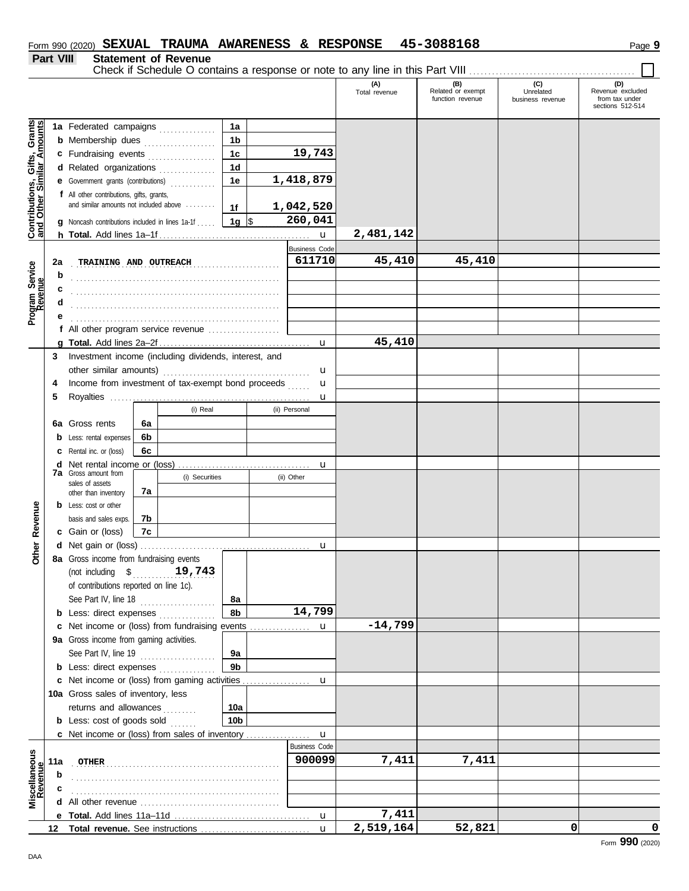|  |  |  | Form 990 (2020) SEXUAL TRAUMA AWARENESS & RESPONSE $45-3088168$ | $P$ ade $9$ |
|--|--|--|-----------------------------------------------------------------|-------------|
|  |  |  |                                                                 |             |

### **Part VIII Statement of Revenue**

Check if Schedule O contains a response or note to any line in this Part VIII . . . . . . . . . . . . . . . . . . . . . . . . . . . . . . . . . . . . . . . . . . . .

|                                                           |     |                                                                                    |    |                                            |                 |                      | (A)<br>Total revenue | (B)<br>Related or exempt<br>function revenue | (C)<br>Unrelated<br>business revenue | (D)<br>Revenue excluded<br>from tax under<br>sections 512-514 |
|-----------------------------------------------------------|-----|------------------------------------------------------------------------------------|----|--------------------------------------------|-----------------|----------------------|----------------------|----------------------------------------------|--------------------------------------|---------------------------------------------------------------|
|                                                           |     | 1a Federated campaigns                                                             |    |                                            | 1a              |                      |                      |                                              |                                      |                                                               |
|                                                           |     | <b>b</b> Membership dues                                                           |    |                                            | 1b              |                      |                      |                                              |                                      |                                                               |
|                                                           |     | c Fundraising events                                                               |    | .                                          | 1 <sub>c</sub>  | 19,743               |                      |                                              |                                      |                                                               |
|                                                           |     | d Related organizations                                                            |    | .                                          | 1 <sub>d</sub>  |                      |                      |                                              |                                      |                                                               |
|                                                           |     | e Government grants (contributions)                                                |    | <u>.</u><br>1980 - Paul Barbara, president | 1e              | 1,418,879            |                      |                                              |                                      |                                                               |
|                                                           |     | <b>f</b> All other contributions, gifts, grants,                                   |    |                                            |                 |                      |                      |                                              |                                      |                                                               |
|                                                           |     | and similar amounts not included above                                             |    |                                            | 1f              | 1,042,520            |                      |                                              |                                      |                                                               |
|                                                           |     | <b>g</b> Noncash contributions included in lines 1a-1f                             |    |                                            | 1g $\sqrt{3}$   | 260,041              |                      |                                              |                                      |                                                               |
| Contributions, Gifts, Grants<br>and Other Similar Amounts |     |                                                                                    |    |                                            |                 | $\mathbf u$          | 2,481,142            |                                              |                                      |                                                               |
|                                                           |     |                                                                                    |    |                                            |                 | <b>Business Code</b> |                      |                                              |                                      |                                                               |
|                                                           | 2a  | TRAINING AND OUTREACH                                                              |    |                                            |                 | 611710               | 45,410               | 45,410                                       |                                      |                                                               |
| Program Service<br>Revenue                                | b   |                                                                                    |    |                                            |                 |                      |                      |                                              |                                      |                                                               |
|                                                           |     |                                                                                    |    |                                            |                 |                      |                      |                                              |                                      |                                                               |
|                                                           |     |                                                                                    |    |                                            |                 |                      |                      |                                              |                                      |                                                               |
|                                                           |     |                                                                                    |    |                                            |                 |                      |                      |                                              |                                      |                                                               |
|                                                           |     | f All other program service revenue                                                |    |                                            |                 |                      |                      |                                              |                                      |                                                               |
|                                                           |     |                                                                                    |    |                                            |                 | u                    | 45,410               |                                              |                                      |                                                               |
|                                                           | 3   | Investment income (including dividends, interest, and                              |    |                                            |                 |                      |                      |                                              |                                      |                                                               |
|                                                           |     | other similar amounts)                                                             |    |                                            |                 | u                    |                      |                                              |                                      |                                                               |
|                                                           | 4   | Income from investment of tax-exempt bond proceeds                                 |    |                                            |                 | u                    |                      |                                              |                                      |                                                               |
|                                                           | 5   |                                                                                    |    |                                            |                 | u                    |                      |                                              |                                      |                                                               |
|                                                           |     |                                                                                    |    | (i) Real                                   |                 | (ii) Personal        |                      |                                              |                                      |                                                               |
|                                                           | 6а  | Gross rents                                                                        | 6а |                                            |                 |                      |                      |                                              |                                      |                                                               |
|                                                           | b   | Less: rental expenses                                                              | 6b |                                            |                 |                      |                      |                                              |                                      |                                                               |
|                                                           | c   | Rental inc. or (loss)                                                              | 6с |                                            |                 |                      |                      |                                              |                                      |                                                               |
|                                                           | d   | Net rental income or (loss)                                                        |    |                                            |                 | u                    |                      |                                              |                                      |                                                               |
|                                                           |     | <b>7a</b> Gross amount from<br>sales of assets                                     |    | (i) Securities                             |                 | (ii) Other           |                      |                                              |                                      |                                                               |
|                                                           |     | other than inventory                                                               | 7а |                                            |                 |                      |                      |                                              |                                      |                                                               |
|                                                           |     | <b>b</b> Less: cost or other                                                       |    |                                            |                 |                      |                      |                                              |                                      |                                                               |
| Revenue                                                   |     | basis and sales exps.                                                              | 7b |                                            |                 |                      |                      |                                              |                                      |                                                               |
|                                                           |     | c Gain or (loss)                                                                   | 7c |                                            |                 |                      |                      |                                              |                                      |                                                               |
| <b>Other</b>                                              |     |                                                                                    |    |                                            |                 | u                    |                      |                                              |                                      |                                                               |
|                                                           |     | 8a Gross income from fundraising events                                            |    |                                            |                 |                      |                      |                                              |                                      |                                                               |
|                                                           |     | (not including $\quad \text{\$}$<br>of contributions reported on line 1c).         |    | 19,743                                     |                 |                      |                      |                                              |                                      |                                                               |
|                                                           |     | See Part IV, line 18                                                               |    |                                            |                 |                      |                      |                                              |                                      |                                                               |
|                                                           |     | <b>b</b> Less: direct expenses                                                     |    |                                            | 8а<br>8b        | 14,799               |                      |                                              |                                      |                                                               |
|                                                           |     | c Net income or (loss) from fundraising events                                     |    |                                            |                 | u                    | $-14,799$            |                                              |                                      |                                                               |
|                                                           |     | 9a Gross income from gaming activities.                                            |    |                                            |                 |                      |                      |                                              |                                      |                                                               |
|                                                           |     | See Part IV, line 19                                                               |    |                                            | 9a              |                      |                      |                                              |                                      |                                                               |
|                                                           |     | <b>b</b> Less: direct expenses                                                     |    | .                                          | 9 <sub>b</sub>  |                      |                      |                                              |                                      |                                                               |
|                                                           |     | c Net income or (loss) from gaming activities                                      |    |                                            |                 | u                    |                      |                                              |                                      |                                                               |
|                                                           |     | 10a Gross sales of inventory, less                                                 |    |                                            |                 |                      |                      |                                              |                                      |                                                               |
|                                                           |     | returns and allowances                                                             |    |                                            | 10a             |                      |                      |                                              |                                      |                                                               |
|                                                           |     | <b>b</b> Less: cost of goods sold                                                  |    |                                            | 10 <sub>b</sub> |                      |                      |                                              |                                      |                                                               |
|                                                           |     | <b>c</b> Net income or (loss) from sales of inventory                              |    |                                            |                 | $\mathbf{u}$         |                      |                                              |                                      |                                                               |
|                                                           |     |                                                                                    |    |                                            |                 | <b>Business Code</b> |                      |                                              |                                      |                                                               |
|                                                           | 11a | OTHER                                                                              |    |                                            |                 | 900099               | 7,411                | 7,411                                        |                                      |                                                               |
|                                                           | b   |                                                                                    |    |                                            |                 |                      |                      |                                              |                                      |                                                               |
| Miscellaneous<br>Revenue                                  |     |                                                                                    |    |                                            |                 |                      |                      |                                              |                                      |                                                               |
|                                                           | d   | All other revenue <i>containance</i> and <i>All</i> other revenue <i>container</i> |    |                                            |                 |                      |                      |                                              |                                      |                                                               |
|                                                           | е   |                                                                                    |    |                                            |                 |                      | 7,411                |                                              |                                      |                                                               |
|                                                           | 12  |                                                                                    |    |                                            |                 | $\mathbf{u}$         | 2,519,164            | 52,821                                       | 0                                    | 0                                                             |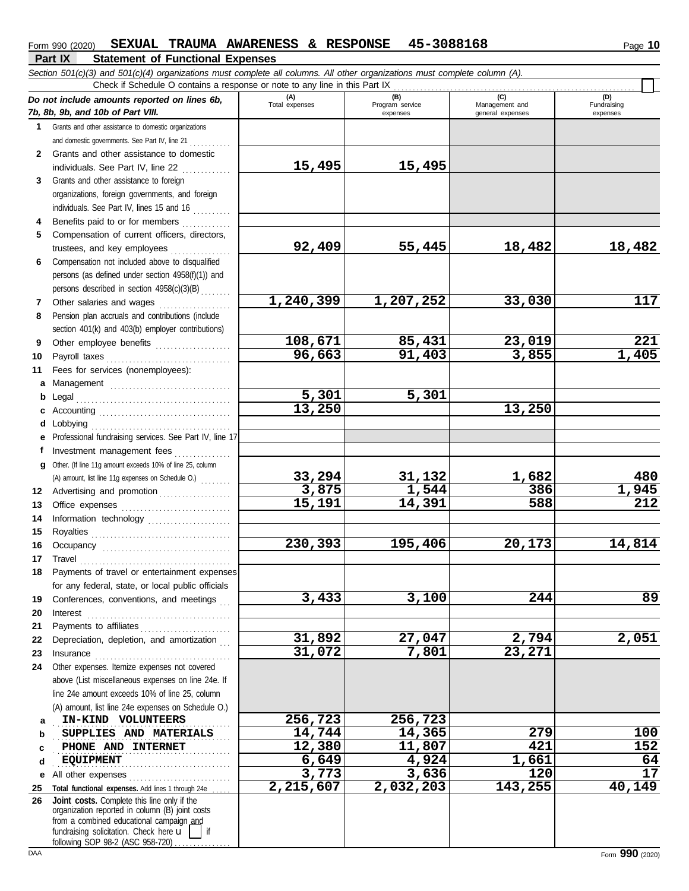#### **Part IX Statement of Functional Expenses** Form 990 (2020) Page **10 SEXUAL TRAUMA AWARENESS & RESPONSE 45-3088168**

#### *Section 501(c)(3) and 501(c)(4) organizations must complete all columns. All other organizations must complete column (A). Do not include amounts reported on lines 6b, 7b, 8b, 9b, and 10b of Part VIII.* **1 2 3** Grants and other assistance to foreign **4 5 6 7 8 9 10 11 a** Management ................................. **b** Legal . . . . . . . . . . . . . . . . . . . . . . . . . . . . . . . . . . . . . . . . . **c** Accounting . . . . . . . . . . . . . . . . . . . . . . . . . . . . . . . . . . . **d** Lobbying . . . . . . . . . . . . . . . . . . . . . . . . . . . . . . . . . . . . . **e** Professional fundraising services. See Part IV, line 17 **f g** Other. (If line 11g amount exceeds 10% of line 25, column **12** Advertising and promotion . . . . . . . . . . . . . . . . . . **13 14 15 16 17 18 19 20 21 22** Depreciation, depletion, and amortization . . . **23 24 a b c d e** All other expenses . . . . . . . . . . . . . . . . . . . . . . . . . . . **25 Total functional expenses.** Add lines 1 through 24e . . . . . **26** Grants and other assistance to domestic organizations and domestic governments. See Part IV, line 21 . . . . . . . . . . Grants and other assistance to domestic individuals. See Part IV, line 22 . . . . . . . . . . . . . organizations, foreign governments, and foreign individuals. See Part IV, lines 15 and 16 Benefits paid to or for members ............. Compensation of current officers, directors, trustees, and key employees . . . . . . . . . . . . . . . . Compensation not included above to disqualified persons (as defined under section 4958(f)(1)) and persons described in section 4958(c)(3)(B) . . . . . . . . Other salaries and wages ................... Pension plan accruals and contributions (include section 401(k) and 403(b) employer contributions) Other employee benefits .................... Payroll taxes . . . . . . . . . . . . . . . . . . . . . . . . . . . . . . . . . Fees for services (nonemployees): Investment management fees ................ Office expenses ................................ Information technology ...................... Royalties . . . . . . . . . . . . . . . . . . . . . . . . . . . . . . . . . . . . . Occupancy . . . . . . . . . . . . . . . . . . . . . . . . . . . . . . . . . . Travel . . . . . . . . . . . . . . . . . . . . . . . . . . . . . . . . . . . . . . . . Payments of travel or entertainment expenses for any federal, state, or local public officials Conferences, conventions, and meetings Interest . . . . . . . . . . . . . . . . . . . . . . . . . . . . . . . . . . . . . . Payments to affiliates . . . . . . . . . . . . . . . . . . . . . . . . Insurance . . . . . . . . . . . . . . . . . . . . . . . . . . . . . . . . . . . . Other expenses. Itemize expenses not covered above (List miscellaneous expenses on line 24e. If line 24e amount exceeds 10% of line 25, column (A) amount, list line 24e expenses on Schedule O.) fundraising solicitation. Check here  $\mathbf{u}$  | if organization reported in column (B) joint costs from a combined educational campaign and **(A) (B) (C) (D)** Total expenses Program service Management and expenses and general expenses (D)<br>Fundraising expenses . . . . . . . . . . . . . . . . . . . . . . . . . . . . . . . . . . . . . . . . . . . . . . . **IN-KIND VOLUNTEERS 256,723 256,723** . . . . . . . . . . . . . . . . . . . . . . . . . . . . . . . . . . . . . . . . . . . . . . . **SUPPLIES AND MATERIALS 14,744 14,365 279 100** . . . . . . . . . . . . . . . . . . . . . . . . . . . . . . . . . . . . . . . . . . . . . . . **PHONE AND INTERNET 12,380 11,807 421 152** . . . . . . . . . . . . . . . . . . . . . . . . . . . . . . . . . . . . . . . . . . . . . . . Check if Schedule O contains a response or note to any line in this Part IX **Joint costs.** Complete this line only if the (A) amount, list line 11g expenses on Schedule O.) ....... **15,495 15,495 92,409 55,445 18,482 18,482 1,240,399 1,207,252 33,030 117 108,671 85,431 23,019 221 96,663 91,403 3,855 1,405 5,301 5,301 13,250 13,250 33,294 31,132 1,682 480 3,875 1,544 386 1,945 15,191 14,391 588 212 230,393 195,406 20,173 14,814 3,433 3,100 244 89 31,892 27,047 2,794 2,051 31,072 7,801 23,271 EQUIPMENT 6,649 4,924 1,661 64 3,773 3,636 120 17 2,215,607 2,032,203 143,255 40,149**

following SOP 98-2 (ASC 958-720)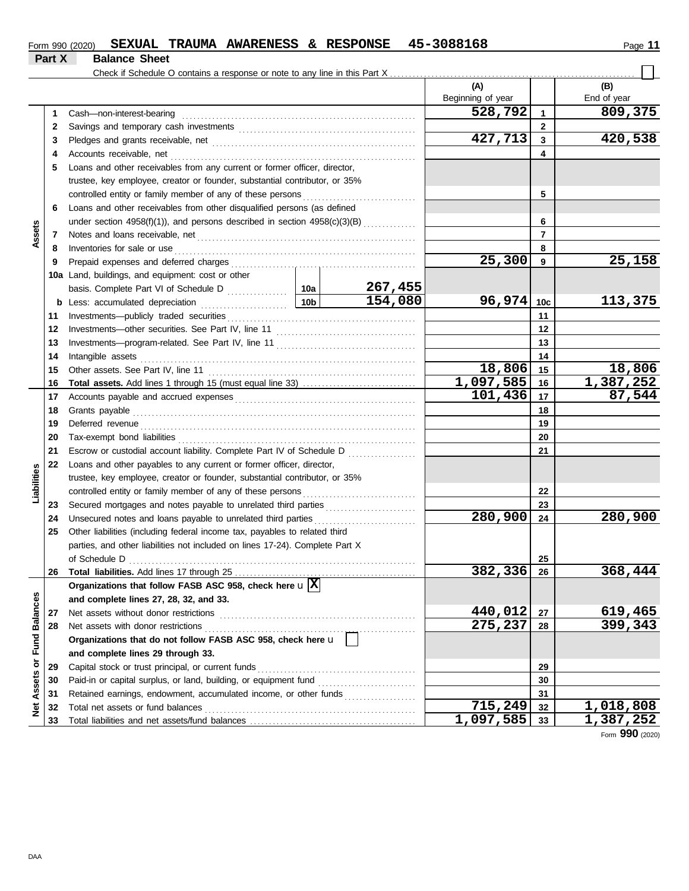#### Form 990 (2020) Page **11 SEXUAL TRAUMA AWARENESS & RESPONSE 45-3088168 Part X Balance Sheet**

|                         |    | Check if Schedule O contains a response or note to any line in this Part X     |     |         |                           |                         |                    |
|-------------------------|----|--------------------------------------------------------------------------------|-----|---------|---------------------------|-------------------------|--------------------|
|                         |    |                                                                                |     |         | (A)<br>Beginning of year  |                         | (B)<br>End of year |
|                         | 1  | Cash-non-interest-bearing                                                      |     |         | 528,792                   | $\mathbf{1}$            | 809,375            |
|                         | 2  |                                                                                |     |         |                           | $\overline{2}$          |                    |
|                         | 3  |                                                                                |     |         | 427,713                   | $\overline{\mathbf{3}}$ | 420,538            |
|                         | 4  | Accounts receivable, net                                                       |     |         |                           | 4                       |                    |
|                         | 5  | Loans and other receivables from any current or former officer, director,      |     |         |                           |                         |                    |
|                         |    | trustee, key employee, creator or founder, substantial contributor, or 35%     |     |         |                           |                         |                    |
|                         |    | controlled entity or family member of any of these persons                     |     |         |                           | 5                       |                    |
|                         | 6  | Loans and other receivables from other disqualified persons (as defined        |     |         |                           |                         |                    |
|                         |    | under section $4958(f)(1)$ ), and persons described in section $4958(c)(3)(B)$ |     |         |                           | 6                       |                    |
| Assets                  | 7  |                                                                                |     |         |                           | $\overline{7}$          |                    |
|                         | 8  | Inventories for sale or use                                                    |     |         |                           | 8                       |                    |
|                         | 9  | Prepaid expenses and deferred charges                                          |     |         | 25,300                    | 9                       | 25,158             |
|                         |    | 10a Land, buildings, and equipment: cost or other                              |     |         |                           |                         |                    |
|                         |    |                                                                                |     | 267,455 |                           |                         |                    |
|                         | b  | Less: accumulated depreciation                                                 | 10b | 154,080 | 96,974                    | 10 <sub>c</sub>         | 113,375            |
|                         | 11 | Investments-publicly traded securities                                         |     |         |                           | 11                      |                    |
|                         | 12 |                                                                                |     |         |                           | 12                      |                    |
|                         | 13 |                                                                                |     |         |                           | 13                      |                    |
|                         | 14 | Intangible assets                                                              |     |         |                           | 14                      |                    |
|                         | 15 |                                                                                |     |         | 18,806                    | 15                      | 18,806             |
|                         | 16 |                                                                                |     |         | 1,097,585                 | 16                      | 1,387,252          |
|                         | 17 |                                                                                |     | 101,436 | 17                        | 87,544                  |                    |
|                         | 18 | Grants payable                                                                 |     |         |                           | 18                      |                    |
|                         | 19 | Deferred revenue                                                               |     |         |                           | 19                      |                    |
|                         | 20 |                                                                                |     |         |                           | 20                      |                    |
|                         | 21 | Escrow or custodial account liability. Complete Part IV of Schedule D          |     | .       |                           | 21                      |                    |
|                         | 22 | Loans and other payables to any current or former officer, director,           |     |         |                           |                         |                    |
| Liabilities             |    | trustee, key employee, creator or founder, substantial contributor, or 35%     |     |         |                           |                         |                    |
|                         |    | controlled entity or family member of any of these persons                     |     |         |                           | 22                      |                    |
|                         | 23 | Secured mortgages and notes payable to unrelated third parties                 |     |         |                           | 23                      |                    |
|                         | 24 | Unsecured notes and loans payable to unrelated third parties                   |     |         | 280,900                   | 24                      | 280,900            |
|                         | 25 | Other liabilities (including federal income tax, payables to related third     |     |         |                           |                         |                    |
|                         |    | parties, and other liabilities not included on lines 17-24). Complete Part X   |     |         |                           |                         |                    |
|                         |    |                                                                                |     |         |                           | 25                      |                    |
|                         | 26 | Total liabilities. Add lines 17 through 25                                     |     |         | $\overline{382}$ ,<br>336 | 26                      | 368,444            |
|                         |    | Organizations that follow FASB ASC 958, check here $\mathbf{u} \mathbf{X} $    |     |         |                           |                         |                    |
|                         |    | and complete lines 27, 28, 32, and 33.                                         |     |         |                           |                         |                    |
|                         | 27 | Net assets without donor restrictions                                          |     |         | 440,012                   | 27                      | 619,465            |
|                         | 28 | Net assets with donor restrictions                                             |     |         | 275,237                   | 28                      | 399,343            |
|                         |    | Organizations that do not follow FASB ASC 958, check here u                    |     |         |                           |                         |                    |
|                         |    | and complete lines 29 through 33.                                              |     |         |                           |                         |                    |
| Assets or Fund Balances | 29 | Capital stock or trust principal, or current funds                             |     |         |                           | 29                      |                    |
|                         | 30 | Paid-in or capital surplus, or land, building, or equipment fund               |     |         |                           | 30                      |                    |
|                         | 31 | Retained earnings, endowment, accumulated income, or other funds               |     |         |                           | 31                      |                    |
| ğ                       | 32 |                                                                                |     |         | 715,249                   | 32                      | 1,018,808          |
|                         | 33 |                                                                                |     |         | 1,097,585                 | 33                      | 1,387,252          |

Form **990** (2020)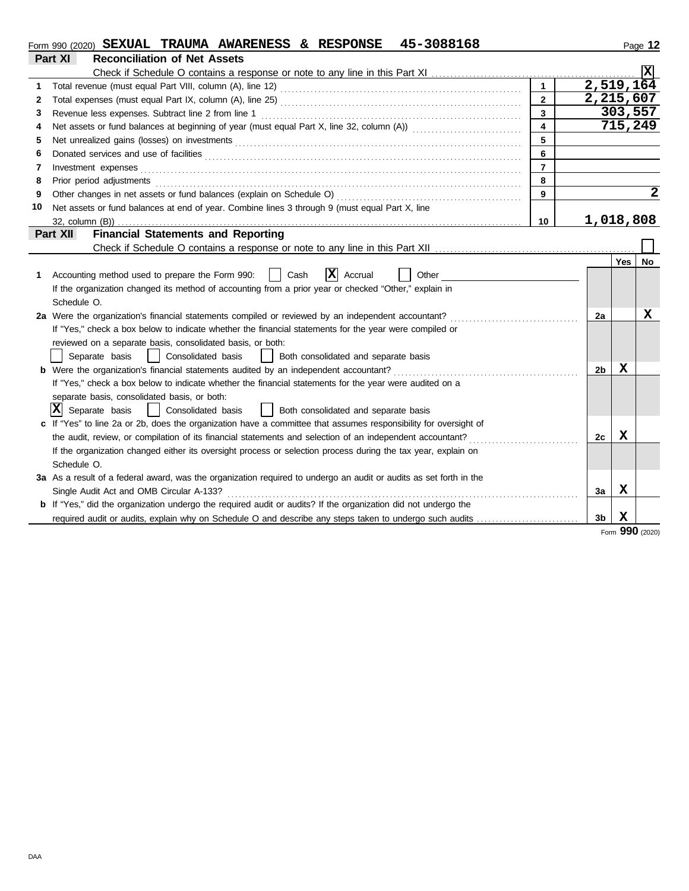| <b>Reconciliation of Net Assets</b>                                                                                   |                         |                | Page 12                 |
|-----------------------------------------------------------------------------------------------------------------------|-------------------------|----------------|-------------------------|
| Part XI                                                                                                               |                         |                |                         |
|                                                                                                                       |                         |                | $\overline{\mathbf{x}}$ |
|                                                                                                                       | $\mathbf{1}$            |                | 2,519,164               |
| 2                                                                                                                     | $\overline{2}$          |                | 2,215,607               |
| 3                                                                                                                     | $\overline{\mathbf{3}}$ |                | 303,557                 |
| 4                                                                                                                     | $\overline{\mathbf{4}}$ |                | 715,249                 |
| 5                                                                                                                     | 5                       |                |                         |
| 6                                                                                                                     | 6                       |                |                         |
| Investment expenses<br>7                                                                                              | $\overline{7}$          |                |                         |
| Prior period adjustments<br>8                                                                                         | 8                       |                |                         |
| Other changes in net assets or fund balances (explain on Schedule O)<br>9                                             | 9                       |                | $\overline{2}$          |
| Net assets or fund balances at end of year. Combine lines 3 through 9 (must equal Part X, line<br>10                  |                         |                |                         |
| $32$ , column $(B)$ )                                                                                                 | 10                      |                | 1,018,808               |
| <b>Financial Statements and Reporting</b><br>Part XII                                                                 |                         |                |                         |
|                                                                                                                       |                         |                |                         |
|                                                                                                                       |                         |                | Yes<br>No               |
| $\overline{\mathbf{x}}$<br>Accounting method used to prepare the Form 990:<br>Cash<br>Accrual<br>Other<br>1.          |                         |                |                         |
| If the organization changed its method of accounting from a prior year or checked "Other," explain in                 |                         |                |                         |
| Schedule O.                                                                                                           |                         |                |                         |
| 2a Were the organization's financial statements compiled or reviewed by an independent accountant?                    |                         | 2a             | X                       |
| If "Yes," check a box below to indicate whether the financial statements for the year were compiled or                |                         |                |                         |
| reviewed on a separate basis, consolidated basis, or both:                                                            |                         |                |                         |
| Separate basis<br>Consolidated basis<br>Both consolidated and separate basis<br>$\mathbf{1}$                          |                         |                |                         |
| <b>b</b> Were the organization's financial statements audited by an independent accountant?                           |                         | 2b             | х                       |
| If "Yes," check a box below to indicate whether the financial statements for the year were audited on a               |                         |                |                         |
| separate basis, consolidated basis, or both:                                                                          |                         |                |                         |
| $ \mathbf{X} $ Separate basis<br>Consolidated basis<br>  Both consolidated and separate basis                         |                         |                |                         |
| If "Yes" to line 2a or 2b, does the organization have a committee that assumes responsibility for oversight of        |                         |                |                         |
| the audit, review, or compilation of its financial statements and selection of an independent accountant?             |                         | 2c             | $\mathbf x$             |
| If the organization changed either its oversight process or selection process during the tax year, explain on         |                         |                |                         |
| Schedule O.                                                                                                           |                         |                |                         |
| 3a As a result of a federal award, was the organization required to undergo an audit or audits as set forth in the    |                         |                |                         |
| Single Audit Act and OMB Circular A-133?                                                                              |                         | 3a             | x                       |
| <b>b</b> If "Yes," did the organization undergo the required audit or audits? If the organization did not undergo the |                         |                |                         |
| required audit or audits, explain why on Schedule O and describe any steps taken to undergo such audits               |                         | 3 <sub>b</sub> | X                       |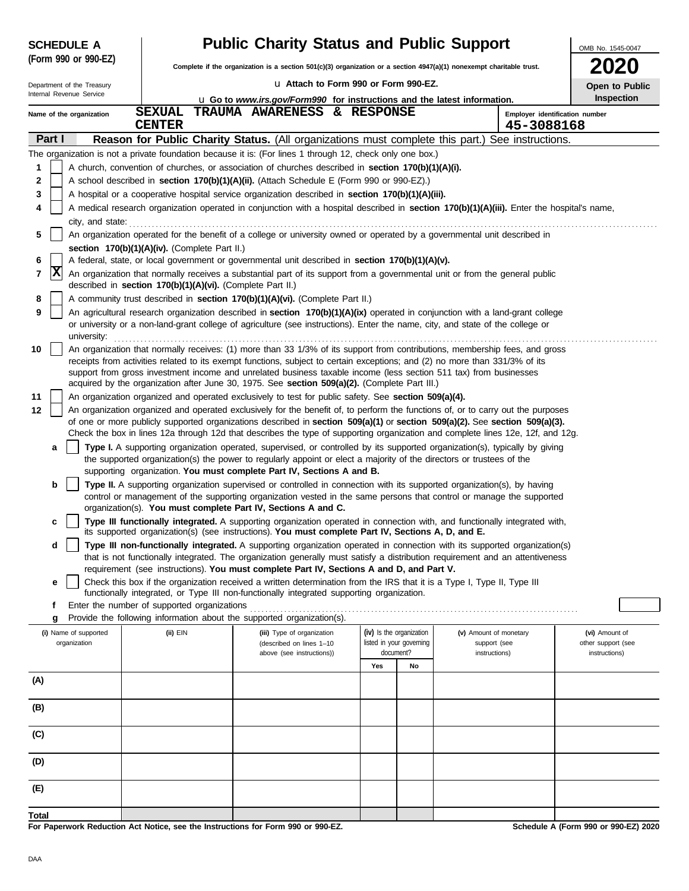|        | <b>Public Charity Status and Public Support</b><br><b>SCHEDULE A</b><br>OMB No. 1545-0047                                                                                                                          |                                                            |  |  |                                                                                                                                                                                                                                                                 |     |                                                      |                                        |            |                                      |  |
|--------|--------------------------------------------------------------------------------------------------------------------------------------------------------------------------------------------------------------------|------------------------------------------------------------|--|--|-----------------------------------------------------------------------------------------------------------------------------------------------------------------------------------------------------------------------------------------------------------------|-----|------------------------------------------------------|----------------------------------------|------------|--------------------------------------|--|
|        | (Form 990 or 990-EZ)                                                                                                                                                                                               |                                                            |  |  | Complete if the organization is a section 501(c)(3) organization or a section 4947(a)(1) nonexempt charitable trust.                                                                                                                                            |     |                                                      |                                        |            | ZUZ0                                 |  |
|        | Department of the Treasury                                                                                                                                                                                         |                                                            |  |  | La Attach to Form 990 or Form 990-EZ.                                                                                                                                                                                                                           |     |                                                      |                                        |            | Open to Public                       |  |
|        | Internal Revenue Service                                                                                                                                                                                           |                                                            |  |  | <b>u</b> Go to www.irs.gov/Form990 for instructions and the latest information.                                                                                                                                                                                 |     |                                                      |                                        |            | Inspection                           |  |
|        | Name of the organization                                                                                                                                                                                           | <b>SEXUAL</b><br><b>CENTER</b>                             |  |  | TRAUMA AWARENESS & RESPONSE                                                                                                                                                                                                                                     |     |                                                      |                                        | 45-3088168 | Employer identification number       |  |
| Part I |                                                                                                                                                                                                                    |                                                            |  |  | Reason for Public Charity Status. (All organizations must complete this part.) See instructions.                                                                                                                                                                |     |                                                      |                                        |            |                                      |  |
|        |                                                                                                                                                                                                                    |                                                            |  |  | The organization is not a private foundation because it is: (For lines 1 through 12, check only one box.)                                                                                                                                                       |     |                                                      |                                        |            |                                      |  |
| 1      |                                                                                                                                                                                                                    |                                                            |  |  | A church, convention of churches, or association of churches described in section 170(b)(1)(A)(i).                                                                                                                                                              |     |                                                      |                                        |            |                                      |  |
| 2      |                                                                                                                                                                                                                    |                                                            |  |  | A school described in section 170(b)(1)(A)(ii). (Attach Schedule E (Form 990 or 990-EZ).)                                                                                                                                                                       |     |                                                      |                                        |            |                                      |  |
| 3<br>4 |                                                                                                                                                                                                                    |                                                            |  |  | A hospital or a cooperative hospital service organization described in section 170(b)(1)(A)(iii).<br>A medical research organization operated in conjunction with a hospital described in section 170(b)(1)(A)(iii). Enter the hospital's name,                 |     |                                                      |                                        |            |                                      |  |
|        | city, and state:                                                                                                                                                                                                   |                                                            |  |  |                                                                                                                                                                                                                                                                 |     |                                                      |                                        |            |                                      |  |
| 5      |                                                                                                                                                                                                                    |                                                            |  |  | An organization operated for the benefit of a college or university owned or operated by a governmental unit described in                                                                                                                                       |     |                                                      |                                        |            |                                      |  |
|        |                                                                                                                                                                                                                    | section 170(b)(1)(A)(iv). (Complete Part II.)              |  |  |                                                                                                                                                                                                                                                                 |     |                                                      |                                        |            |                                      |  |
| 6      | x                                                                                                                                                                                                                  |                                                            |  |  | A federal, state, or local government or governmental unit described in section 170(b)(1)(A)(v).                                                                                                                                                                |     |                                                      |                                        |            |                                      |  |
| 7      |                                                                                                                                                                                                                    | described in section 170(b)(1)(A)(vi). (Complete Part II.) |  |  | An organization that normally receives a substantial part of its support from a governmental unit or from the general public                                                                                                                                    |     |                                                      |                                        |            |                                      |  |
| 8      |                                                                                                                                                                                                                    |                                                            |  |  | A community trust described in section 170(b)(1)(A)(vi). (Complete Part II.)                                                                                                                                                                                    |     |                                                      |                                        |            |                                      |  |
| 9      | university:                                                                                                                                                                                                        |                                                            |  |  | An agricultural research organization described in section 170(b)(1)(A)(ix) operated in conjunction with a land-grant college<br>or university or a non-land-grant college of agriculture (see instructions). Enter the name, city, and state of the college or |     |                                                      |                                        |            |                                      |  |
| 10     | An organization that normally receives: (1) more than 33 1/3% of its support from contributions, membership fees, and gross                                                                                        |                                                            |  |  |                                                                                                                                                                                                                                                                 |     |                                                      |                                        |            |                                      |  |
|        | receipts from activities related to its exempt functions, subject to certain exceptions; and (2) no more than 331/3% of its                                                                                        |                                                            |  |  |                                                                                                                                                                                                                                                                 |     |                                                      |                                        |            |                                      |  |
|        | support from gross investment income and unrelated business taxable income (less section 511 tax) from businesses<br>acquired by the organization after June 30, 1975. See section 509(a)(2). (Complete Part III.) |                                                            |  |  |                                                                                                                                                                                                                                                                 |     |                                                      |                                        |            |                                      |  |
| 11     | An organization organized and operated exclusively to test for public safety. See section 509(a)(4).                                                                                                               |                                                            |  |  |                                                                                                                                                                                                                                                                 |     |                                                      |                                        |            |                                      |  |
| 12     |                                                                                                                                                                                                                    |                                                            |  |  | An organization organized and operated exclusively for the benefit of, to perform the functions of, or to carry out the purposes<br>of one or more publicly supported organizations described in section 509(a)(1) or section 509(a)(2). See section 509(a)(3). |     |                                                      |                                        |            |                                      |  |
|        |                                                                                                                                                                                                                    |                                                            |  |  | Check the box in lines 12a through 12d that describes the type of supporting organization and complete lines 12e, 12f, and 12g.                                                                                                                                 |     |                                                      |                                        |            |                                      |  |
|        | a                                                                                                                                                                                                                  |                                                            |  |  | Type I. A supporting organization operated, supervised, or controlled by its supported organization(s), typically by giving                                                                                                                                     |     |                                                      |                                        |            |                                      |  |
|        |                                                                                                                                                                                                                    |                                                            |  |  | the supported organization(s) the power to regularly appoint or elect a majority of the directors or trustees of the<br>supporting organization. You must complete Part IV, Sections A and B.                                                                   |     |                                                      |                                        |            |                                      |  |
|        | b                                                                                                                                                                                                                  |                                                            |  |  | Type II. A supporting organization supervised or controlled in connection with its supported organization(s), by having                                                                                                                                         |     |                                                      |                                        |            |                                      |  |
|        |                                                                                                                                                                                                                    |                                                            |  |  | control or management of the supporting organization vested in the same persons that control or manage the supported                                                                                                                                            |     |                                                      |                                        |            |                                      |  |
|        | c                                                                                                                                                                                                                  |                                                            |  |  | organization(s). You must complete Part IV, Sections A and C.<br>Type III functionally integrated. A supporting organization operated in connection with, and functionally integrated with,                                                                     |     |                                                      |                                        |            |                                      |  |
|        |                                                                                                                                                                                                                    |                                                            |  |  | its supported organization(s) (see instructions). You must complete Part IV, Sections A, D, and E.                                                                                                                                                              |     |                                                      |                                        |            |                                      |  |
|        | d                                                                                                                                                                                                                  |                                                            |  |  | Type III non-functionally integrated. A supporting organization operated in connection with its supported organization(s)<br>that is not functionally integrated. The organization generally must satisfy a distribution requirement and an attentiveness       |     |                                                      |                                        |            |                                      |  |
|        |                                                                                                                                                                                                                    |                                                            |  |  | requirement (see instructions). You must complete Part IV, Sections A and D, and Part V.                                                                                                                                                                        |     |                                                      |                                        |            |                                      |  |
|        | е                                                                                                                                                                                                                  |                                                            |  |  | Check this box if the organization received a written determination from the IRS that it is a Type I, Type II, Type III<br>functionally integrated, or Type III non-functionally integrated supporting organization.                                            |     |                                                      |                                        |            |                                      |  |
|        | f                                                                                                                                                                                                                  | Enter the number of supported organizations                |  |  |                                                                                                                                                                                                                                                                 |     |                                                      |                                        |            |                                      |  |
|        | g                                                                                                                                                                                                                  |                                                            |  |  | Provide the following information about the supported organization(s).                                                                                                                                                                                          |     |                                                      |                                        |            |                                      |  |
|        | (i) Name of supported<br>organization                                                                                                                                                                              | (ii) EIN                                                   |  |  | (iii) Type of organization<br>(described on lines 1-10                                                                                                                                                                                                          |     | (iv) Is the organization<br>listed in your governing | (v) Amount of monetary<br>support (see |            | (vi) Amount of<br>other support (see |  |
|        |                                                                                                                                                                                                                    |                                                            |  |  | above (see instructions))                                                                                                                                                                                                                                       |     | document?                                            | instructions)                          |            | instructions)                        |  |
| (A)    |                                                                                                                                                                                                                    |                                                            |  |  |                                                                                                                                                                                                                                                                 | Yes | No                                                   |                                        |            |                                      |  |
|        |                                                                                                                                                                                                                    |                                                            |  |  |                                                                                                                                                                                                                                                                 |     |                                                      |                                        |            |                                      |  |
| (B)    |                                                                                                                                                                                                                    |                                                            |  |  |                                                                                                                                                                                                                                                                 |     |                                                      |                                        |            |                                      |  |
| (C)    |                                                                                                                                                                                                                    |                                                            |  |  |                                                                                                                                                                                                                                                                 |     |                                                      |                                        |            |                                      |  |
| (D)    |                                                                                                                                                                                                                    |                                                            |  |  |                                                                                                                                                                                                                                                                 |     |                                                      |                                        |            |                                      |  |
| (E)    |                                                                                                                                                                                                                    |                                                            |  |  |                                                                                                                                                                                                                                                                 |     |                                                      |                                        |            |                                      |  |
| Total  |                                                                                                                                                                                                                    |                                                            |  |  |                                                                                                                                                                                                                                                                 |     |                                                      |                                        |            |                                      |  |

**For Paperwork Reduction Act Notice, see the Instructions for Form 990 or 990-EZ.**

**Schedule A (Form 990 or 990-EZ) 2020**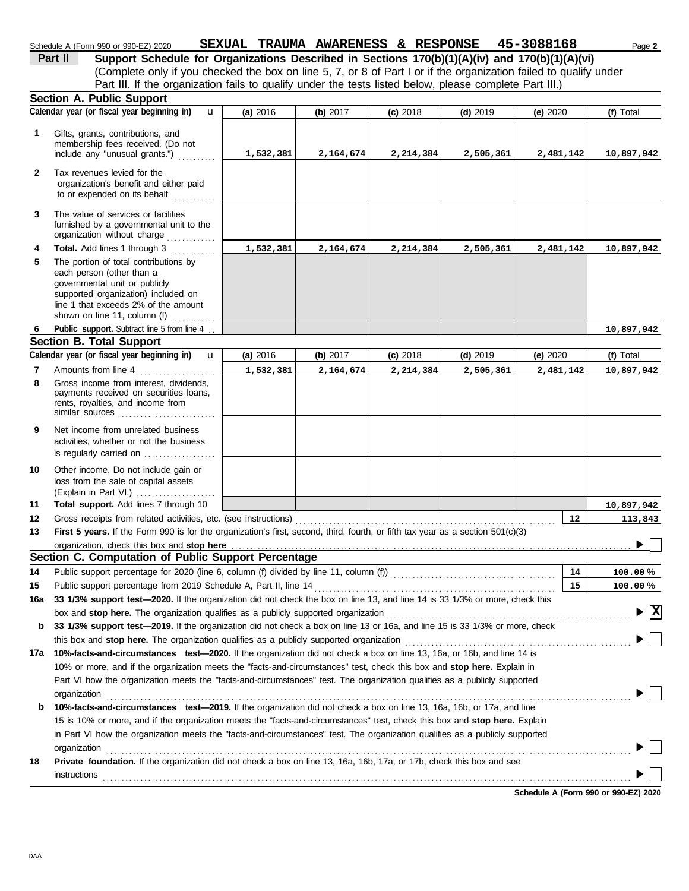|         | Schedule A (Form 990 or 990-EZ) 2020 |  |  | SEXUAL TRAUMA AWARENESS & RESPONSE 45-3088168 | Page 2 |
|---------|--------------------------------------|--|--|-----------------------------------------------|--------|
| $P = 1$ |                                      |  |  |                                               |        |

(Complete only if you checked the box on line 5, 7, or 8 of Part I or if the organization failed to qualify under **Part II** Support Schedule for Organizations Described in Sections 170(b)(1)(A)(iv) and 170(b)(1)(A)(vi) Part III. If the organization fails to qualify under the tests listed below, please complete Part III.)

|              | <b>Section A. Public Support</b>                                                                                                                                                                                            |           |            |            |            |           |    |                                        |
|--------------|-----------------------------------------------------------------------------------------------------------------------------------------------------------------------------------------------------------------------------|-----------|------------|------------|------------|-----------|----|----------------------------------------|
|              | Calendar year (or fiscal year beginning in)<br>$\mathbf{u}$                                                                                                                                                                 | (a) 2016  | (b) $2017$ | $(c)$ 2018 | $(d)$ 2019 | (e) 2020  |    | (f) Total                              |
| 1            | Gifts, grants, contributions, and<br>membership fees received. (Do not<br>include any "unusual grants.")                                                                                                                    | 1,532,381 | 2,164,674  | 2,214,384  | 2,505,361  | 2,481,142 |    | 10,897,942                             |
| $\mathbf{2}$ | Tax revenues levied for the<br>organization's benefit and either paid<br>to or expended on its behalf                                                                                                                       |           |            |            |            |           |    |                                        |
| 3            | The value of services or facilities<br>furnished by a governmental unit to the<br>organization without charge                                                                                                               |           |            |            |            |           |    |                                        |
| 4            | Total. Add lines 1 through 3                                                                                                                                                                                                | 1,532,381 | 2,164,674  | 2,214,384  | 2,505,361  | 2,481,142 |    | 10,897,942                             |
| 5            | The portion of total contributions by<br>each person (other than a<br>governmental unit or publicly<br>supported organization) included on<br>line 1 that exceeds 2% of the amount<br>shown on line 11, column (f) $\ldots$ |           |            |            |            |           |    |                                        |
| 6            | Public support. Subtract line 5 from line 4                                                                                                                                                                                 |           |            |            |            |           |    | 10,897,942                             |
|              | <b>Section B. Total Support</b>                                                                                                                                                                                             |           |            |            |            |           |    |                                        |
|              | Calendar year (or fiscal year beginning in)<br>$\mathbf{u}$                                                                                                                                                                 | (a) 2016  | (b) $2017$ | $(c)$ 2018 | $(d)$ 2019 | (e) 2020  |    | (f) Total                              |
| 7            | Amounts from line 4                                                                                                                                                                                                         | 1,532,381 | 2,164,674  | 2,214,384  | 2,505,361  | 2,481,142 |    | 10,897,942                             |
| 8            | Gross income from interest, dividends,<br>payments received on securities loans.<br>rents, royalties, and income from<br>similar sources                                                                                    |           |            |            |            |           |    |                                        |
| 9            | Net income from unrelated business<br>activities, whether or not the business<br>is regularly carried on                                                                                                                    |           |            |            |            |           |    |                                        |
| 10           | Other income. Do not include gain or<br>loss from the sale of capital assets<br>(Explain in Part VI.)                                                                                                                       |           |            |            |            |           |    |                                        |
| 11           | Total support. Add lines 7 through 10                                                                                                                                                                                       |           |            |            |            |           |    | 10,897,942                             |
| 12           | Gross receipts from related activities, etc. (see instructions)                                                                                                                                                             |           |            |            |            |           | 12 | 113,843                                |
| 13           | First 5 years. If the Form 990 is for the organization's first, second, third, fourth, or fifth tax year as a section 501(c)(3)                                                                                             |           |            |            |            |           |    |                                        |
|              | organization, check this box and stop here                                                                                                                                                                                  |           |            |            |            |           |    |                                        |
|              | Section C. Computation of Public Support Percentage                                                                                                                                                                         |           |            |            |            |           |    |                                        |
| 14           | Public support percentage for 2020 (line 6, column (f) divided by line 11, column (f)) [[[[[[[[[[[[[[[[[[[[[[                                                                                                               |           |            |            |            |           | 14 | $100.00\,\%$                           |
| 15           | 16a 33 1/3% support test-2020. If the organization did not check the box on line 13, and line 14 is 33 1/3% or more, check this                                                                                             |           |            |            |            |           | 15 | 100.00%                                |
|              | box and stop here. The organization qualifies as a publicly supported organization                                                                                                                                          |           |            |            |            |           |    | $\blacktriangleright \boxed{\text{X}}$ |
| b            | 33 1/3% support test-2019. If the organization did not check a box on line 13 or 16a, and line 15 is 33 1/3% or more, check                                                                                                 |           |            |            |            |           |    |                                        |
|              | this box and stop here. The organization qualifies as a publicly supported organization                                                                                                                                     |           |            |            |            |           |    |                                        |
| 17a          | 10%-facts-and-circumstances test-2020. If the organization did not check a box on line 13, 16a, or 16b, and line 14 is                                                                                                      |           |            |            |            |           |    |                                        |
|              | 10% or more, and if the organization meets the "facts-and-circumstances" test, check this box and stop here. Explain in                                                                                                     |           |            |            |            |           |    |                                        |
|              | Part VI how the organization meets the "facts-and-circumstances" test. The organization qualifies as a publicly supported                                                                                                   |           |            |            |            |           |    |                                        |
|              | organization                                                                                                                                                                                                                |           |            |            |            |           |    |                                        |
| b            | 10%-facts-and-circumstances test-2019. If the organization did not check a box on line 13, 16a, 16b, or 17a, and line                                                                                                       |           |            |            |            |           |    |                                        |
|              | 15 is 10% or more, and if the organization meets the "facts-and-circumstances" test, check this box and stop here. Explain                                                                                                  |           |            |            |            |           |    |                                        |
|              | in Part VI how the organization meets the "facts-and-circumstances" test. The organization qualifies as a publicly supported                                                                                                |           |            |            |            |           |    |                                        |
|              | organization                                                                                                                                                                                                                |           |            |            |            |           |    |                                        |
| 18           | Private foundation. If the organization did not check a box on line 13, 16a, 16b, 17a, or 17b, check this box and see                                                                                                       |           |            |            |            |           |    |                                        |
|              | instructions                                                                                                                                                                                                                |           |            |            |            |           |    |                                        |
|              |                                                                                                                                                                                                                             |           |            |            |            |           |    |                                        |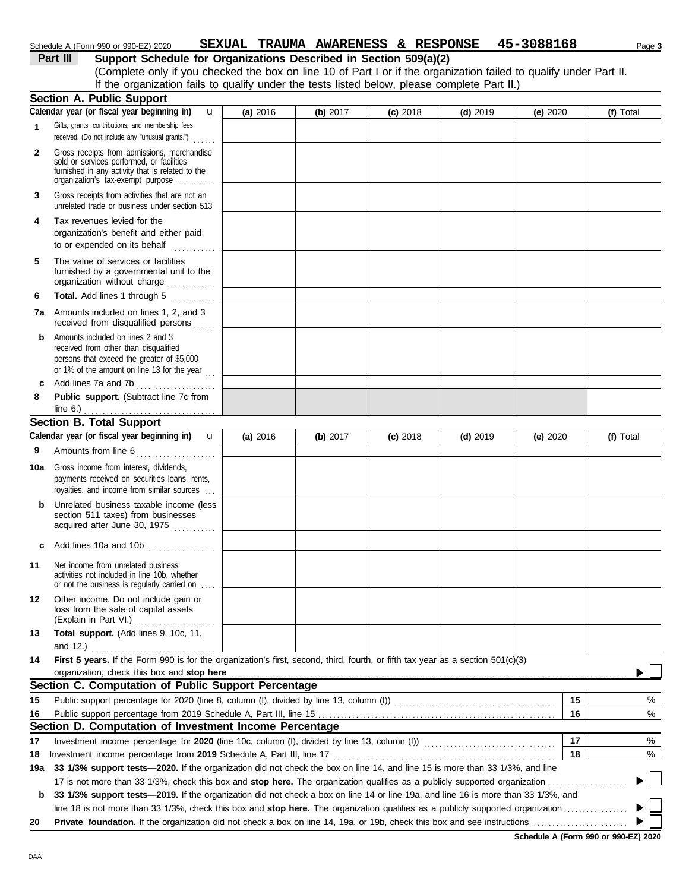### Schedule A (Form 990 or 990-EZ) 2020 Page **3 SEXUAL TRAUMA AWARENESS & RESPONSE 45-3088168**

#### **Part III Support Schedule for Organizations Described in Section 509(a)(2)**

(Complete only if you checked the box on line 10 of Part I or if the organization failed to qualify under Part II. If the organization fails to qualify under the tests listed below, please complete Part II.)

| <b>Section A. Public Support</b>                                                                                                                                                  |                                                                                                                                                                                                                                                                                                                                                                                                                                          |                                                        |                                                                                                                                                                                                     |            |            |                                                                                                                                                                                                                                                                                                                                                                                               |                                                                                                                                                                       |
|-----------------------------------------------------------------------------------------------------------------------------------------------------------------------------------|------------------------------------------------------------------------------------------------------------------------------------------------------------------------------------------------------------------------------------------------------------------------------------------------------------------------------------------------------------------------------------------------------------------------------------------|--------------------------------------------------------|-----------------------------------------------------------------------------------------------------------------------------------------------------------------------------------------------------|------------|------------|-----------------------------------------------------------------------------------------------------------------------------------------------------------------------------------------------------------------------------------------------------------------------------------------------------------------------------------------------------------------------------------------------|-----------------------------------------------------------------------------------------------------------------------------------------------------------------------|
| u                                                                                                                                                                                 | (a) 2016                                                                                                                                                                                                                                                                                                                                                                                                                                 | (b) $2017$                                             | $(c)$ 2018                                                                                                                                                                                          | $(d)$ 2019 |            |                                                                                                                                                                                                                                                                                                                                                                                               | (f) Total                                                                                                                                                             |
| Gifts, grants, contributions, and membership fees<br>received. (Do not include any "unusual grants.")                                                                             |                                                                                                                                                                                                                                                                                                                                                                                                                                          |                                                        |                                                                                                                                                                                                     |            |            |                                                                                                                                                                                                                                                                                                                                                                                               |                                                                                                                                                                       |
| Gross receipts from admissions, merchandise<br>sold or services performed, or facilities<br>furnished in any activity that is related to the<br>organization's fax-exempt purpose |                                                                                                                                                                                                                                                                                                                                                                                                                                          |                                                        |                                                                                                                                                                                                     |            |            |                                                                                                                                                                                                                                                                                                                                                                                               |                                                                                                                                                                       |
| Gross receipts from activities that are not an<br>unrelated trade or business under section 513                                                                                   |                                                                                                                                                                                                                                                                                                                                                                                                                                          |                                                        |                                                                                                                                                                                                     |            |            |                                                                                                                                                                                                                                                                                                                                                                                               |                                                                                                                                                                       |
| Tax revenues levied for the<br>organization's benefit and either paid<br>to or expended on its behalf                                                                             |                                                                                                                                                                                                                                                                                                                                                                                                                                          |                                                        |                                                                                                                                                                                                     |            |            |                                                                                                                                                                                                                                                                                                                                                                                               |                                                                                                                                                                       |
| The value of services or facilities<br>furnished by a governmental unit to the<br>organization without charge                                                                     |                                                                                                                                                                                                                                                                                                                                                                                                                                          |                                                        |                                                                                                                                                                                                     |            |            |                                                                                                                                                                                                                                                                                                                                                                                               |                                                                                                                                                                       |
| Total. Add lines 1 through 5<br>.                                                                                                                                                 |                                                                                                                                                                                                                                                                                                                                                                                                                                          |                                                        |                                                                                                                                                                                                     |            |            |                                                                                                                                                                                                                                                                                                                                                                                               |                                                                                                                                                                       |
| received from disqualified persons                                                                                                                                                |                                                                                                                                                                                                                                                                                                                                                                                                                                          |                                                        |                                                                                                                                                                                                     |            |            |                                                                                                                                                                                                                                                                                                                                                                                               |                                                                                                                                                                       |
| Amounts included on lines 2 and 3<br>received from other than disqualified<br>persons that exceed the greater of \$5,000<br>or 1% of the amount on line 13 for the year $\ldots$  |                                                                                                                                                                                                                                                                                                                                                                                                                                          |                                                        |                                                                                                                                                                                                     |            |            |                                                                                                                                                                                                                                                                                                                                                                                               |                                                                                                                                                                       |
|                                                                                                                                                                                   |                                                                                                                                                                                                                                                                                                                                                                                                                                          |                                                        |                                                                                                                                                                                                     |            |            |                                                                                                                                                                                                                                                                                                                                                                                               |                                                                                                                                                                       |
|                                                                                                                                                                                   |                                                                                                                                                                                                                                                                                                                                                                                                                                          |                                                        |                                                                                                                                                                                                     |            |            |                                                                                                                                                                                                                                                                                                                                                                                               |                                                                                                                                                                       |
|                                                                                                                                                                                   |                                                                                                                                                                                                                                                                                                                                                                                                                                          |                                                        |                                                                                                                                                                                                     |            |            |                                                                                                                                                                                                                                                                                                                                                                                               |                                                                                                                                                                       |
|                                                                                                                                                                                   |                                                                                                                                                                                                                                                                                                                                                                                                                                          |                                                        |                                                                                                                                                                                                     |            |            |                                                                                                                                                                                                                                                                                                                                                                                               | (f) Total                                                                                                                                                             |
|                                                                                                                                                                                   |                                                                                                                                                                                                                                                                                                                                                                                                                                          |                                                        |                                                                                                                                                                                                     |            |            |                                                                                                                                                                                                                                                                                                                                                                                               |                                                                                                                                                                       |
|                                                                                                                                                                                   |                                                                                                                                                                                                                                                                                                                                                                                                                                          |                                                        |                                                                                                                                                                                                     |            |            |                                                                                                                                                                                                                                                                                                                                                                                               |                                                                                                                                                                       |
| payments received on securities loans, rents,<br>royalties, and income from similar sources                                                                                       |                                                                                                                                                                                                                                                                                                                                                                                                                                          |                                                        |                                                                                                                                                                                                     |            |            |                                                                                                                                                                                                                                                                                                                                                                                               |                                                                                                                                                                       |
| Unrelated business taxable income (less<br>section 511 taxes) from businesses<br>acquired after June 30, 1975                                                                     |                                                                                                                                                                                                                                                                                                                                                                                                                                          |                                                        |                                                                                                                                                                                                     |            |            |                                                                                                                                                                                                                                                                                                                                                                                               |                                                                                                                                                                       |
| Add lines 10a and 10b                                                                                                                                                             |                                                                                                                                                                                                                                                                                                                                                                                                                                          |                                                        |                                                                                                                                                                                                     |            |            |                                                                                                                                                                                                                                                                                                                                                                                               |                                                                                                                                                                       |
| Net income from unrelated business<br>activities not included in line 10b, whether<br>or not the business is regularly carried on                                                 |                                                                                                                                                                                                                                                                                                                                                                                                                                          |                                                        |                                                                                                                                                                                                     |            |            |                                                                                                                                                                                                                                                                                                                                                                                               |                                                                                                                                                                       |
| loss from the sale of capital assets                                                                                                                                              |                                                                                                                                                                                                                                                                                                                                                                                                                                          |                                                        |                                                                                                                                                                                                     |            |            |                                                                                                                                                                                                                                                                                                                                                                                               |                                                                                                                                                                       |
| Total support. (Add lines 9, 10c, 11,                                                                                                                                             |                                                                                                                                                                                                                                                                                                                                                                                                                                          |                                                        |                                                                                                                                                                                                     |            |            |                                                                                                                                                                                                                                                                                                                                                                                               |                                                                                                                                                                       |
|                                                                                                                                                                                   |                                                                                                                                                                                                                                                                                                                                                                                                                                          |                                                        |                                                                                                                                                                                                     |            |            |                                                                                                                                                                                                                                                                                                                                                                                               |                                                                                                                                                                       |
|                                                                                                                                                                                   |                                                                                                                                                                                                                                                                                                                                                                                                                                          |                                                        |                                                                                                                                                                                                     |            |            |                                                                                                                                                                                                                                                                                                                                                                                               |                                                                                                                                                                       |
|                                                                                                                                                                                   |                                                                                                                                                                                                                                                                                                                                                                                                                                          |                                                        |                                                                                                                                                                                                     |            |            |                                                                                                                                                                                                                                                                                                                                                                                               |                                                                                                                                                                       |
|                                                                                                                                                                                   |                                                                                                                                                                                                                                                                                                                                                                                                                                          |                                                        |                                                                                                                                                                                                     |            |            | 15                                                                                                                                                                                                                                                                                                                                                                                            | %                                                                                                                                                                     |
|                                                                                                                                                                                   |                                                                                                                                                                                                                                                                                                                                                                                                                                          |                                                        |                                                                                                                                                                                                     |            |            | 16                                                                                                                                                                                                                                                                                                                                                                                            | $\%$                                                                                                                                                                  |
|                                                                                                                                                                                   |                                                                                                                                                                                                                                                                                                                                                                                                                                          |                                                        |                                                                                                                                                                                                     |            |            |                                                                                                                                                                                                                                                                                                                                                                                               |                                                                                                                                                                       |
|                                                                                                                                                                                   |                                                                                                                                                                                                                                                                                                                                                                                                                                          |                                                        |                                                                                                                                                                                                     |            |            |                                                                                                                                                                                                                                                                                                                                                                                               | %                                                                                                                                                                     |
|                                                                                                                                                                                   |                                                                                                                                                                                                                                                                                                                                                                                                                                          |                                                        |                                                                                                                                                                                                     |            |            |                                                                                                                                                                                                                                                                                                                                                                                               | %                                                                                                                                                                     |
|                                                                                                                                                                                   |                                                                                                                                                                                                                                                                                                                                                                                                                                          |                                                        |                                                                                                                                                                                                     |            |            |                                                                                                                                                                                                                                                                                                                                                                                               |                                                                                                                                                                       |
|                                                                                                                                                                                   |                                                                                                                                                                                                                                                                                                                                                                                                                                          |                                                        |                                                                                                                                                                                                     |            |            |                                                                                                                                                                                                                                                                                                                                                                                               | $\mathbb{R}^n$                                                                                                                                                        |
|                                                                                                                                                                                   |                                                                                                                                                                                                                                                                                                                                                                                                                                          |                                                        |                                                                                                                                                                                                     |            |            |                                                                                                                                                                                                                                                                                                                                                                                               |                                                                                                                                                                       |
|                                                                                                                                                                                   |                                                                                                                                                                                                                                                                                                                                                                                                                                          |                                                        |                                                                                                                                                                                                     |            |            |                                                                                                                                                                                                                                                                                                                                                                                               |                                                                                                                                                                       |
|                                                                                                                                                                                   | Calendar year (or fiscal year beginning in)<br>.<br><b>7a</b> Amounts included on lines 1, 2, and 3<br>Add lines 7a and 7b<br>Public support. (Subtract line 7c from<br>line $6.$ )<br><b>Section B. Total Support</b><br>Calendar year (or fiscal year beginning in)<br>$\mathbf{u}$<br>Amounts from line 6<br>.<br>Gross income from interest, dividends,<br>Other income. Do not include gain or<br>(Explain in Part VI.)<br>and 12.) | (a) 2016<br>organization, check this box and stop here | (b) $2017$<br>Section C. Computation of Public Support Percentage<br>Section D. Computation of Investment Income Percentage<br>Investment income percentage from 2019 Schedule A, Part III, line 17 | $(c)$ 2018 | $(d)$ 2019 | First 5 years. If the Form 990 is for the organization's first, second, third, fourth, or fifth tax year as a section 501(c)(3)<br>33 1/3% support tests-2020. If the organization did not check the box on line 14, and line 15 is more than 33 1/3%, and line<br>17 is not more than 33 1/3%, check this box and stop here. The organization qualifies as a publicly supported organization | (e) 2020<br>(e) 2020<br>17<br>18<br>33 1/3% support tests-2019. If the organization did not check a box on line 14 or line 19a, and line 16 is more than 33 1/3%, and |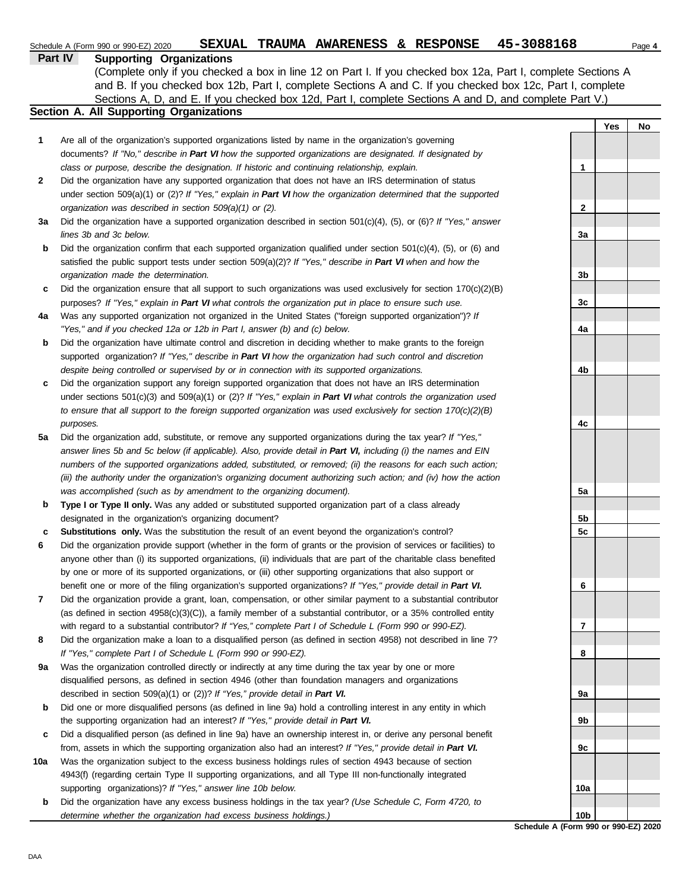|     | 45-3088168<br>SEXUAL TRAUMA AWARENESS & RESPONSE<br>Schedule A (Form 990 or 990-EZ) 2020                                                                                                                                              |                         |     | Page 4 |
|-----|---------------------------------------------------------------------------------------------------------------------------------------------------------------------------------------------------------------------------------------|-------------------------|-----|--------|
|     | Part IV<br><b>Supporting Organizations</b>                                                                                                                                                                                            |                         |     |        |
|     | (Complete only if you checked a box in line 12 on Part I. If you checked box 12a, Part I, complete Sections A                                                                                                                         |                         |     |        |
|     | and B. If you checked box 12b, Part I, complete Sections A and C. If you checked box 12c, Part I, complete                                                                                                                            |                         |     |        |
|     | Sections A, D, and E. If you checked box 12d, Part I, complete Sections A and D, and complete Part V.)                                                                                                                                |                         |     |        |
|     | Section A. All Supporting Organizations                                                                                                                                                                                               |                         |     |        |
|     |                                                                                                                                                                                                                                       |                         | Yes | No     |
| 1   | Are all of the organization's supported organizations listed by name in the organization's governing                                                                                                                                  |                         |     |        |
|     | documents? If "No," describe in Part VI how the supported organizations are designated. If designated by                                                                                                                              |                         |     |        |
|     | class or purpose, describe the designation. If historic and continuing relationship, explain.                                                                                                                                         | 1                       |     |        |
| 2   | Did the organization have any supported organization that does not have an IRS determination of status                                                                                                                                |                         |     |        |
|     | under section 509(a)(1) or (2)? If "Yes," explain in Part VI how the organization determined that the supported                                                                                                                       |                         |     |        |
|     | organization was described in section 509(a)(1) or (2).                                                                                                                                                                               | $\mathbf{2}$            |     |        |
| За  | Did the organization have a supported organization described in section $501(c)(4)$ , (5), or (6)? If "Yes," answer                                                                                                                   |                         |     |        |
|     | lines 3b and 3c below.                                                                                                                                                                                                                | 3a                      |     |        |
| b   | Did the organization confirm that each supported organization qualified under section $501(c)(4)$ , $(5)$ , or $(6)$ and                                                                                                              |                         |     |        |
|     | satisfied the public support tests under section 509(a)(2)? If "Yes," describe in Part VI when and how the                                                                                                                            |                         |     |        |
|     | organization made the determination.                                                                                                                                                                                                  | 3 <sub>b</sub>          |     |        |
| c   | Did the organization ensure that all support to such organizations was used exclusively for section $170(c)(2)(B)$                                                                                                                    |                         |     |        |
|     | purposes? If "Yes," explain in Part VI what controls the organization put in place to ensure such use.                                                                                                                                | 3c                      |     |        |
| 4a  | Was any supported organization not organized in the United States ("foreign supported organization")? If                                                                                                                              |                         |     |        |
|     | "Yes," and if you checked 12a or 12b in Part I, answer (b) and (c) below.                                                                                                                                                             | 4a                      |     |        |
| b   | Did the organization have ultimate control and discretion in deciding whether to make grants to the foreign                                                                                                                           |                         |     |        |
|     | supported organization? If "Yes," describe in Part VI how the organization had such control and discretion                                                                                                                            |                         |     |        |
|     | despite being controlled or supervised by or in connection with its supported organizations.                                                                                                                                          | 4b                      |     |        |
| c   | Did the organization support any foreign supported organization that does not have an IRS determination                                                                                                                               |                         |     |        |
|     | under sections $501(c)(3)$ and $509(a)(1)$ or (2)? If "Yes," explain in Part VI what controls the organization used                                                                                                                   |                         |     |        |
|     | to ensure that all support to the foreign supported organization was used exclusively for section $170(c)(2)(B)$                                                                                                                      |                         |     |        |
|     | purposes.                                                                                                                                                                                                                             | 4c                      |     |        |
| 5a  | Did the organization add, substitute, or remove any supported organizations during the tax year? If "Yes,"                                                                                                                            |                         |     |        |
|     | answer lines 5b and 5c below (if applicable). Also, provide detail in Part VI, including (i) the names and EIN                                                                                                                        |                         |     |        |
|     | numbers of the supported organizations added, substituted, or removed; (ii) the reasons for each such action;                                                                                                                         |                         |     |        |
|     | (iii) the authority under the organization's organizing document authorizing such action; and (iv) how the action                                                                                                                     |                         |     |        |
|     | was accomplished (such as by amendment to the organizing document).                                                                                                                                                                   | 5a                      |     |        |
| b   | Type I or Type II only. Was any added or substituted supported organization part of a class already                                                                                                                                   |                         |     |        |
|     | designated in the organization's organizing document?                                                                                                                                                                                 | 5 <sub>b</sub>          |     |        |
| c   | Substitutions only. Was the substitution the result of an event beyond the organization's control?                                                                                                                                    | 5 <sub>c</sub>          |     |        |
|     | Did the organization provide support (whether in the form of grants or the provision of services or facilities) to                                                                                                                    |                         |     |        |
|     | anyone other than (i) its supported organizations, (ii) individuals that are part of the charitable class benefited                                                                                                                   |                         |     |        |
|     | by one or more of its supported organizations, or (iii) other supporting organizations that also support or                                                                                                                           |                         |     |        |
|     | benefit one or more of the filing organization's supported organizations? If "Yes," provide detail in Part VI.                                                                                                                        | 6                       |     |        |
| 7   | Did the organization provide a grant, loan, compensation, or other similar payment to a substantial contributor<br>(as defined in section $4958(c)(3)(C)$ ), a family member of a substantial contributor, or a 35% controlled entity |                         |     |        |
|     | with regard to a substantial contributor? If "Yes," complete Part I of Schedule L (Form 990 or 990-EZ).                                                                                                                               | $\overline{\mathbf{r}}$ |     |        |
| 8   | Did the organization make a loan to a disqualified person (as defined in section 4958) not described in line 7?                                                                                                                       |                         |     |        |
|     | If "Yes," complete Part I of Schedule L (Form 990 or 990-EZ).                                                                                                                                                                         | 8                       |     |        |
| 9а  | Was the organization controlled directly or indirectly at any time during the tax year by one or more                                                                                                                                 |                         |     |        |
|     | disqualified persons, as defined in section 4946 (other than foundation managers and organizations                                                                                                                                    |                         |     |        |
|     | described in section 509(a)(1) or (2))? If "Yes," provide detail in Part VI.                                                                                                                                                          | 9а                      |     |        |
| b   | Did one or more disqualified persons (as defined in line 9a) hold a controlling interest in any entity in which                                                                                                                       |                         |     |        |
|     | the supporting organization had an interest? If "Yes," provide detail in Part VI.                                                                                                                                                     | 9b                      |     |        |
| c   | Did a disqualified person (as defined in line 9a) have an ownership interest in, or derive any personal benefit                                                                                                                       |                         |     |        |
|     | from, assets in which the supporting organization also had an interest? If "Yes," provide detail in Part VI.                                                                                                                          | 9c                      |     |        |
| 10a | Was the organization subject to the excess business holdings rules of section 4943 because of section                                                                                                                                 |                         |     |        |
|     | 4943(f) (regarding certain Type II supporting organizations, and all Type III non-functionally integrated                                                                                                                             |                         |     |        |
|     | supporting organizations)? If "Yes," answer line 10b below.                                                                                                                                                                           | 10a                     |     |        |
| b   | Did the organization have any excess business holdings in the tax year? (Use Schedule C, Form 4720, to                                                                                                                                |                         |     |        |
|     | determine whether the organization had excess business holdings.)                                                                                                                                                                     | 10 <sub>b</sub>         |     |        |
|     |                                                                                                                                                                                                                                       |                         |     |        |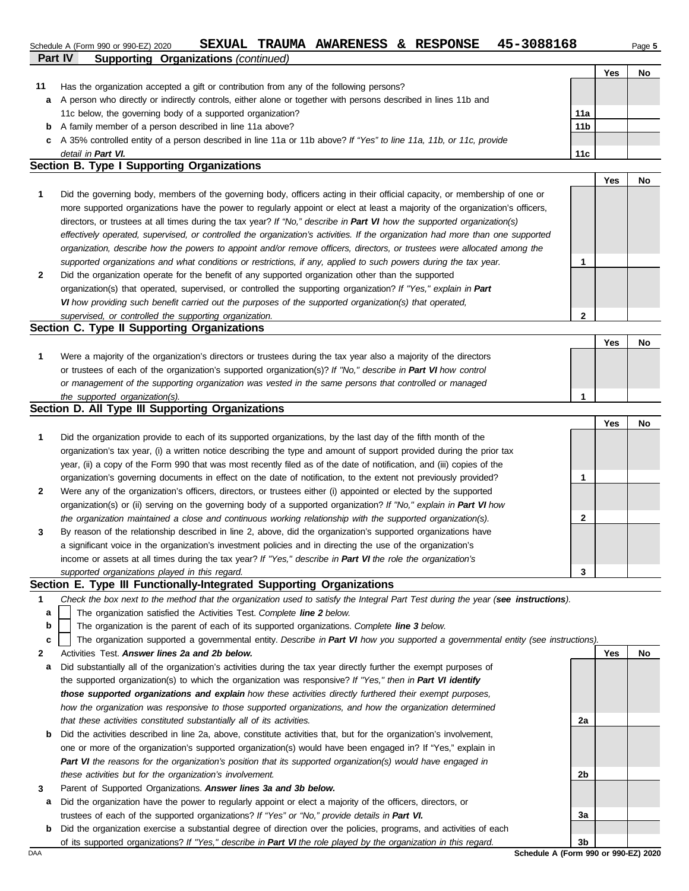### Schedule A (Form 990 or 990-EZ) 2020 Page **5 SEXUAL TRAUMA AWARENESS & RESPONSE 45-3088168**

| <b>Part IV</b> | <b>Supporting Organizations (continued)</b>                                                                        |                 |     |    |
|----------------|--------------------------------------------------------------------------------------------------------------------|-----------------|-----|----|
|                |                                                                                                                    |                 | Yes | No |
| 11             | Has the organization accepted a gift or contribution from any of the following persons?                            |                 |     |    |
| a              | A person who directly or indirectly controls, either alone or together with persons described in lines 11b and     |                 |     |    |
|                | 11c below, the governing body of a supported organization?                                                         | 11a             |     |    |
| b              | A family member of a person described in line 11a above?                                                           | 11 <sub>b</sub> |     |    |
| C.             | A 35% controlled entity of a person described in line 11a or 11b above? If "Yes" to line 11a, 11b, or 11c, provide |                 |     |    |
|                | detail in Part VI.                                                                                                 | 11c             |     |    |

#### **Section B. Type I Supporting Organizations**

|                |                                                                                                                                | Yes | No |
|----------------|--------------------------------------------------------------------------------------------------------------------------------|-----|----|
| 1              | Did the governing body, members of the governing body, officers acting in their official capacity, or membership of one or     |     |    |
|                | more supported organizations have the power to regularly appoint or elect at least a majority of the organization's officers,  |     |    |
|                | directors, or trustees at all times during the tax year? If "No," describe in Part VI how the supported organization(s)        |     |    |
|                | effectively operated, supervised, or controlled the organization's activities. If the organization had more than one supported |     |    |
|                | organization, describe how the powers to appoint and/or remove officers, directors, or trustees were allocated among the       |     |    |
|                | supported organizations and what conditions or restrictions, if any, applied to such powers during the tax year.               |     |    |
| $\overline{2}$ | Did the organization operate for the benefit of any supported organization other than the supported                            |     |    |
|                | organization(s) that operated, supervised, or controlled the supporting organization? If "Yes," explain in Part                |     |    |
|                | VI how providing such benefit carried out the purposes of the supported organization(s) that operated,                         |     |    |
|                | supervised, or controlled the supporting organization.                                                                         |     |    |

### **Section C. Type II Supporting Organizations**

|                                                                                                                  |  | No |
|------------------------------------------------------------------------------------------------------------------|--|----|
| Were a majority of the organization's directors or trustees during the tax year also a majority of the directors |  |    |
| or trustees of each of the organization's supported organization(s)? If "No," describe in Part VI how control    |  |    |
| or management of the supporting organization was vested in the same persons that controlled or managed           |  |    |
| the supported organization(s).                                                                                   |  |    |

#### **Section D. All Type III Supporting Organizations**

|                |                                                                                                                        |   | Yes | No |
|----------------|------------------------------------------------------------------------------------------------------------------------|---|-----|----|
| $\mathbf{1}$   | Did the organization provide to each of its supported organizations, by the last day of the fifth month of the         |   |     |    |
|                | organization's tax year, (i) a written notice describing the type and amount of support provided during the prior tax  |   |     |    |
|                | year, (ii) a copy of the Form 990 that was most recently filed as of the date of notification, and (iii) copies of the |   |     |    |
|                | organization's governing documents in effect on the date of notification, to the extent not previously provided?       |   |     |    |
| $\overline{2}$ | Were any of the organization's officers, directors, or trustees either (i) appointed or elected by the supported       |   |     |    |
|                | organization(s) or (ii) serving on the governing body of a supported organization? If "No," explain in Part VI how     |   |     |    |
|                | the organization maintained a close and continuous working relationship with the supported organization(s).            |   |     |    |
| $\mathbf{3}$   | By reason of the relationship described in line 2, above, did the organization's supported organizations have          |   |     |    |
|                | a significant voice in the organization's investment policies and in directing the use of the organization's           |   |     |    |
|                | income or assets at all times during the tax year? If "Yes," describe in Part VI the role the organization's           |   |     |    |
|                | supported organizations played in this regard.                                                                         | 3 |     |    |

#### **Section E. Type III Functionally-Integrated Supporting Organizations**

- **1** *Check the box next to the method that the organization used to satisfy the Integral Part Test during the year (see instructions).*
	- The organization satisfied the Activities Test. *Complete line 2 below.* **a**
	- The organization is the parent of each of its supported organizations. *Complete line 3 below.* **b**

The organization supported a governmental entity. *Describe in Part VI how you supported a governmental entity (see instructions).* **c**

- **2** Activities Test. *Answer lines 2a and 2b below.*
- **a** Did substantially all of the organization's activities during the tax year directly further the exempt purposes of the supported organization(s) to which the organization was responsive? *If "Yes," then in Part VI identify those supported organizations and explain how these activities directly furthered their exempt purposes,*  how the organization was responsive to those supported organizations, and how the organization determined *that these activities constituted substantially all of its activities.*
- **b** Did the activities described in line 2a, above, constitute activities that, but for the organization's involvement, one or more of the organization's supported organization(s) would have been engaged in? If "Yes," explain in *Part VI the reasons for the organization's position that its supported organization(s) would have engaged in these activities but for the organization's involvement.*
- **3** Parent of Supported Organizations. *Answer lines 3a and 3b below.*
- **a** Did the organization have the power to regularly appoint or elect a majority of the officers, directors, or trustees of each of the supported organizations? *If "Yes" or "No," provide details in Part VI.*
- DAA **Schedule A (Form 990 or 990-EZ) 2020 b** Did the organization exercise a substantial degree of direction over the policies, programs, and activities of each of its supported organizations? *If "Yes," describe in Part VI the role played by the organization in this regard.*

**3a 3b**

**Yes No**

**2a**

**2b**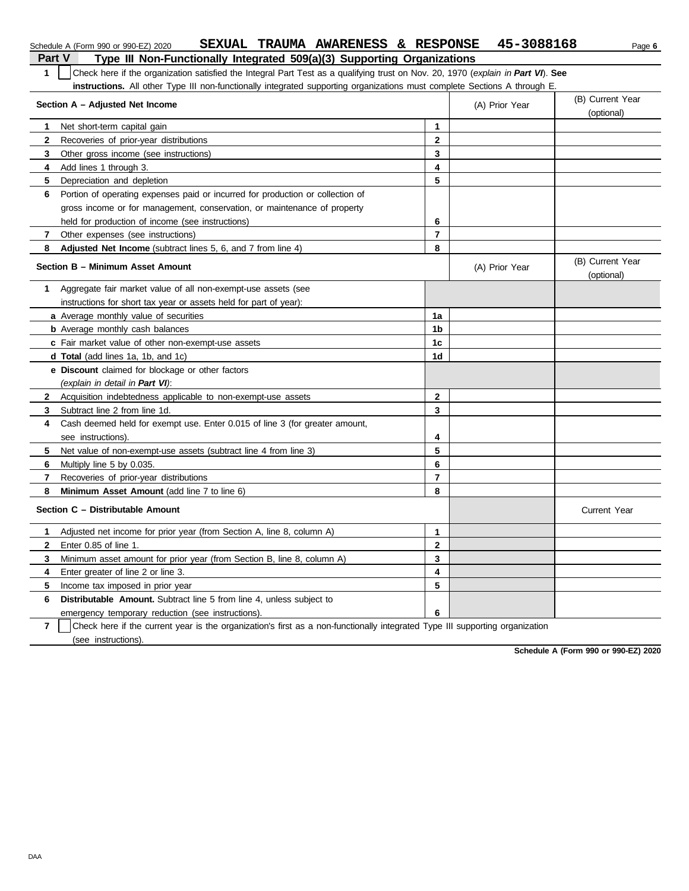|                | SEXUAL TRAUMA AWARENESS & RESPONSE<br>Schedule A (Form 990 or 990-EZ) 2020                                                       |                | 45-3088168     | Page 6                         |
|----------------|----------------------------------------------------------------------------------------------------------------------------------|----------------|----------------|--------------------------------|
| <b>Part V</b>  | Type III Non-Functionally Integrated 509(a)(3) Supporting Organizations                                                          |                |                |                                |
| $\mathbf{1}$   | Check here if the organization satisfied the Integral Part Test as a qualifying trust on Nov. 20, 1970 (explain in Part VI). See |                |                |                                |
|                | instructions. All other Type III non-functionally integrated supporting organizations must complete Sections A through E.        |                |                |                                |
|                | Section A - Adjusted Net Income                                                                                                  |                | (A) Prior Year | (B) Current Year<br>(optional) |
| 1              | Net short-term capital gain                                                                                                      | 1              |                |                                |
| $\mathbf{2}$   | Recoveries of prior-year distributions                                                                                           | $\mathbf{2}$   |                |                                |
| 3              | Other gross income (see instructions)                                                                                            | 3              |                |                                |
| 4              | Add lines 1 through 3.                                                                                                           | 4              |                |                                |
| 5              | Depreciation and depletion                                                                                                       | 5              |                |                                |
| 6              | Portion of operating expenses paid or incurred for production or collection of                                                   |                |                |                                |
|                | gross income or for management, conservation, or maintenance of property                                                         |                |                |                                |
|                | held for production of income (see instructions)                                                                                 | 6              |                |                                |
| 7              | Other expenses (see instructions)                                                                                                | $\overline{7}$ |                |                                |
| 8              | Adjusted Net Income (subtract lines 5, 6, and 7 from line 4)                                                                     | 8              |                |                                |
|                | <b>Section B - Minimum Asset Amount</b>                                                                                          |                | (A) Prior Year | (B) Current Year<br>(optional) |
| 1              | Aggregate fair market value of all non-exempt-use assets (see                                                                    |                |                |                                |
|                | instructions for short tax year or assets held for part of year):                                                                |                |                |                                |
|                | a Average monthly value of securities                                                                                            | 1a             |                |                                |
|                | <b>b</b> Average monthly cash balances                                                                                           | 1 <sub>b</sub> |                |                                |
|                | c Fair market value of other non-exempt-use assets                                                                               | 1 <sub>c</sub> |                |                                |
|                | d Total (add lines 1a, 1b, and 1c)                                                                                               | 1d             |                |                                |
|                | e Discount claimed for blockage or other factors                                                                                 |                |                |                                |
|                | (explain in detail in Part VI):                                                                                                  |                |                |                                |
| $\mathbf{2}$   | Acquisition indebtedness applicable to non-exempt-use assets                                                                     | $\mathbf{2}$   |                |                                |
| 3              | Subtract line 2 from line 1d.                                                                                                    | 3              |                |                                |
| 4              | Cash deemed held for exempt use. Enter 0.015 of line 3 (for greater amount,                                                      |                |                |                                |
|                | see instructions).                                                                                                               | 4              |                |                                |
| 5              | Net value of non-exempt-use assets (subtract line 4 from line 3)                                                                 | 5              |                |                                |
| 6              | Multiply line 5 by 0.035.                                                                                                        | 6              |                |                                |
| 7              | Recoveries of prior-year distributions                                                                                           | $\overline{7}$ |                |                                |
| 8              | Minimum Asset Amount (add line 7 to line 6)                                                                                      | 8              |                |                                |
|                | Section C - Distributable Amount                                                                                                 |                |                | <b>Current Year</b>            |
| 1              | Adjusted net income for prior year (from Section A, line 8, column A)                                                            | 1              |                |                                |
|                | 2 Enter 0.85 of line 1.                                                                                                          | $\mathbf 2$    |                |                                |
| 3              | Minimum asset amount for prior year (from Section B, line 8, column A)                                                           | 3              |                |                                |
| 4              | Enter greater of line 2 or line 3.                                                                                               | 4              |                |                                |
| 5              | Income tax imposed in prior year                                                                                                 | 5              |                |                                |
| 6              | Distributable Amount. Subtract line 5 from line 4, unless subject to                                                             |                |                |                                |
|                | emergency temporary reduction (see instructions).                                                                                | 6              |                |                                |
| $\overline{7}$ | Check here if the current year is the organization's first as a non-functionally integrated Type III supporting organization     |                |                |                                |

(see instructions).

**Schedule A (Form 990 or 990-EZ) 2020**

DAA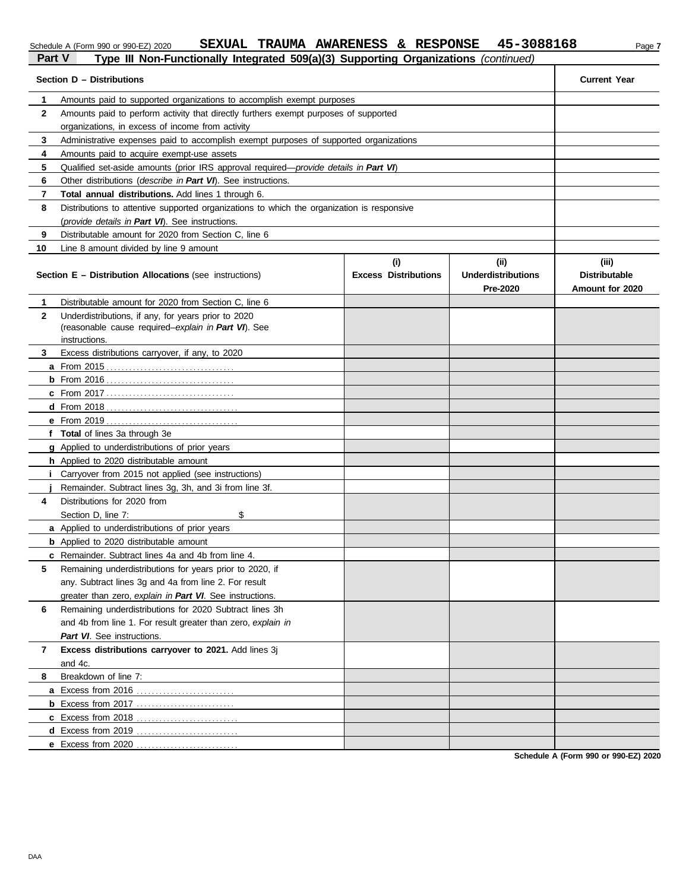### Schedule A (Form 990 or 990-EZ) 2020 **SEXUAL TRAUMA AWARENESS & RESPONSE** 45-3088168 Page 7

# **Part V Part V Type III Non-Functionally Integrated 509(a)(3) Supporting Organizations** *(continued)*

|              | Type in Non Fanononary integrated obo(a)(b) capporting organizations (continuou<br>Section D - Distributions                              |                                    | <b>Current Year</b>                            |                                                  |  |  |  |  |
|--------------|-------------------------------------------------------------------------------------------------------------------------------------------|------------------------------------|------------------------------------------------|--------------------------------------------------|--|--|--|--|
| 1            |                                                                                                                                           |                                    |                                                |                                                  |  |  |  |  |
| $\mathbf{2}$ |                                                                                                                                           |                                    |                                                |                                                  |  |  |  |  |
|              |                                                                                                                                           |                                    |                                                |                                                  |  |  |  |  |
| 3            | organizations, in excess of income from activity<br>Administrative expenses paid to accomplish exempt purposes of supported organizations |                                    |                                                |                                                  |  |  |  |  |
| 4            | Amounts paid to acquire exempt-use assets                                                                                                 |                                    |                                                |                                                  |  |  |  |  |
| 5            | Qualified set-aside amounts (prior IRS approval required—provide details in Part VI)                                                      |                                    |                                                |                                                  |  |  |  |  |
| 6            | Other distributions (describe in Part VI). See instructions.                                                                              |                                    |                                                |                                                  |  |  |  |  |
| 7            | Total annual distributions. Add lines 1 through 6.                                                                                        |                                    |                                                |                                                  |  |  |  |  |
| 8            | Distributions to attentive supported organizations to which the organization is responsive                                                |                                    |                                                |                                                  |  |  |  |  |
|              | (provide details in Part VI). See instructions.                                                                                           |                                    |                                                |                                                  |  |  |  |  |
| 9            | Distributable amount for 2020 from Section C, line 6                                                                                      |                                    |                                                |                                                  |  |  |  |  |
| 10           | Line 8 amount divided by line 9 amount                                                                                                    |                                    |                                                |                                                  |  |  |  |  |
|              | <b>Section E - Distribution Allocations (see instructions)</b>                                                                            | (i)<br><b>Excess Distributions</b> | (iii)<br><b>Underdistributions</b><br>Pre-2020 | (iii)<br><b>Distributable</b><br>Amount for 2020 |  |  |  |  |
| 1.           | Distributable amount for 2020 from Section C, line 6                                                                                      |                                    |                                                |                                                  |  |  |  |  |
| $\mathbf{2}$ | Underdistributions, if any, for years prior to 2020<br>(reasonable cause required-explain in Part VI). See<br>instructions.               |                                    |                                                |                                                  |  |  |  |  |
| 3            | Excess distributions carryover, if any, to 2020                                                                                           |                                    |                                                |                                                  |  |  |  |  |
|              |                                                                                                                                           |                                    |                                                |                                                  |  |  |  |  |
|              |                                                                                                                                           |                                    |                                                |                                                  |  |  |  |  |
|              |                                                                                                                                           |                                    |                                                |                                                  |  |  |  |  |
|              |                                                                                                                                           |                                    |                                                |                                                  |  |  |  |  |
|              |                                                                                                                                           |                                    |                                                |                                                  |  |  |  |  |
|              | f Total of lines 3a through 3e                                                                                                            |                                    |                                                |                                                  |  |  |  |  |
|              | <b>g</b> Applied to underdistributions of prior years                                                                                     |                                    |                                                |                                                  |  |  |  |  |
|              | <b>h</b> Applied to 2020 distributable amount                                                                                             |                                    |                                                |                                                  |  |  |  |  |
|              | Carryover from 2015 not applied (see instructions)                                                                                        |                                    |                                                |                                                  |  |  |  |  |
|              | Remainder. Subtract lines 3g, 3h, and 3i from line 3f.                                                                                    |                                    |                                                |                                                  |  |  |  |  |
| 4            | Distributions for 2020 from                                                                                                               |                                    |                                                |                                                  |  |  |  |  |
|              | \$<br>Section D, line 7:                                                                                                                  |                                    |                                                |                                                  |  |  |  |  |
|              | <b>a</b> Applied to underdistributions of prior years                                                                                     |                                    |                                                |                                                  |  |  |  |  |
|              | <b>b</b> Applied to 2020 distributable amount                                                                                             |                                    |                                                |                                                  |  |  |  |  |
|              | <b>c</b> Remainder. Subtract lines 4a and 4b from line 4.                                                                                 |                                    |                                                |                                                  |  |  |  |  |
| 5            | Remaining underdistributions for years prior to 2020, if                                                                                  |                                    |                                                |                                                  |  |  |  |  |
|              | any. Subtract lines 3g and 4a from line 2. For result                                                                                     |                                    |                                                |                                                  |  |  |  |  |
|              | greater than zero, explain in Part VI. See instructions.                                                                                  |                                    |                                                |                                                  |  |  |  |  |
| 6            | Remaining underdistributions for 2020 Subtract lines 3h                                                                                   |                                    |                                                |                                                  |  |  |  |  |
|              | and 4b from line 1. For result greater than zero, explain in                                                                              |                                    |                                                |                                                  |  |  |  |  |
|              | Part VI. See instructions.                                                                                                                |                                    |                                                |                                                  |  |  |  |  |
| 7            | Excess distributions carryover to 2021. Add lines 3j<br>and 4c.                                                                           |                                    |                                                |                                                  |  |  |  |  |
| 8            | Breakdown of line 7:                                                                                                                      |                                    |                                                |                                                  |  |  |  |  |
|              | a Excess from 2016                                                                                                                        |                                    |                                                |                                                  |  |  |  |  |
|              | <b>b</b> Excess from 2017                                                                                                                 |                                    |                                                |                                                  |  |  |  |  |
|              | c Excess from 2018                                                                                                                        |                                    |                                                |                                                  |  |  |  |  |
|              | <b>d</b> Excess from 2019<br>.                                                                                                            |                                    |                                                |                                                  |  |  |  |  |
|              | e Excess from 2020                                                                                                                        |                                    |                                                |                                                  |  |  |  |  |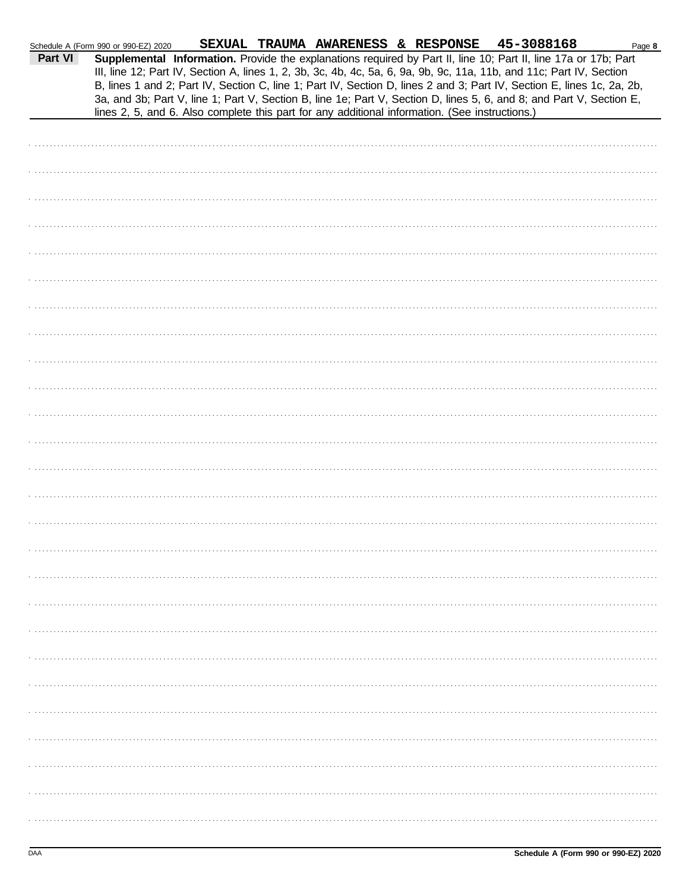|         | Schedule A (Form 990 or 990-EZ) 2020                                                           |  | SEXUAL TRAUMA AWARENESS & RESPONSE |  | 45-3088168                                                                                                                                                                                                                                                                                                                                                                                                                                                                                | Page 8 |
|---------|------------------------------------------------------------------------------------------------|--|------------------------------------|--|-------------------------------------------------------------------------------------------------------------------------------------------------------------------------------------------------------------------------------------------------------------------------------------------------------------------------------------------------------------------------------------------------------------------------------------------------------------------------------------------|--------|
| Part VI | lines 2, 5, and 6. Also complete this part for any additional information. (See instructions.) |  |                                    |  | Supplemental Information. Provide the explanations required by Part II, line 10; Part II, line 17a or 17b; Part<br>III, line 12; Part IV, Section A, lines 1, 2, 3b, 3c, 4b, 4c, 5a, 6, 9a, 9b, 9c, 11a, 11b, and 11c; Part IV, Section<br>B, lines 1 and 2; Part IV, Section C, line 1; Part IV, Section D, lines 2 and 3; Part IV, Section E, lines 1c, 2a, 2b,<br>3a, and 3b; Part V, line 1; Part V, Section B, line 1e; Part V, Section D, lines 5, 6, and 8; and Part V, Section E, |        |
|         |                                                                                                |  |                                    |  |                                                                                                                                                                                                                                                                                                                                                                                                                                                                                           |        |
|         |                                                                                                |  |                                    |  |                                                                                                                                                                                                                                                                                                                                                                                                                                                                                           |        |
|         |                                                                                                |  |                                    |  |                                                                                                                                                                                                                                                                                                                                                                                                                                                                                           |        |
|         |                                                                                                |  |                                    |  |                                                                                                                                                                                                                                                                                                                                                                                                                                                                                           |        |
|         |                                                                                                |  |                                    |  |                                                                                                                                                                                                                                                                                                                                                                                                                                                                                           |        |
|         |                                                                                                |  |                                    |  |                                                                                                                                                                                                                                                                                                                                                                                                                                                                                           |        |
|         |                                                                                                |  |                                    |  |                                                                                                                                                                                                                                                                                                                                                                                                                                                                                           |        |
|         |                                                                                                |  |                                    |  |                                                                                                                                                                                                                                                                                                                                                                                                                                                                                           |        |
|         |                                                                                                |  |                                    |  |                                                                                                                                                                                                                                                                                                                                                                                                                                                                                           |        |
|         |                                                                                                |  |                                    |  |                                                                                                                                                                                                                                                                                                                                                                                                                                                                                           |        |
|         |                                                                                                |  |                                    |  |                                                                                                                                                                                                                                                                                                                                                                                                                                                                                           |        |
|         |                                                                                                |  |                                    |  |                                                                                                                                                                                                                                                                                                                                                                                                                                                                                           |        |
|         |                                                                                                |  |                                    |  |                                                                                                                                                                                                                                                                                                                                                                                                                                                                                           |        |
|         |                                                                                                |  |                                    |  |                                                                                                                                                                                                                                                                                                                                                                                                                                                                                           |        |
|         |                                                                                                |  |                                    |  |                                                                                                                                                                                                                                                                                                                                                                                                                                                                                           |        |
|         |                                                                                                |  |                                    |  |                                                                                                                                                                                                                                                                                                                                                                                                                                                                                           |        |
|         |                                                                                                |  |                                    |  |                                                                                                                                                                                                                                                                                                                                                                                                                                                                                           |        |
|         |                                                                                                |  |                                    |  |                                                                                                                                                                                                                                                                                                                                                                                                                                                                                           |        |
|         |                                                                                                |  |                                    |  |                                                                                                                                                                                                                                                                                                                                                                                                                                                                                           |        |
|         |                                                                                                |  |                                    |  |                                                                                                                                                                                                                                                                                                                                                                                                                                                                                           |        |
|         |                                                                                                |  |                                    |  |                                                                                                                                                                                                                                                                                                                                                                                                                                                                                           |        |
|         |                                                                                                |  |                                    |  |                                                                                                                                                                                                                                                                                                                                                                                                                                                                                           |        |
|         |                                                                                                |  |                                    |  |                                                                                                                                                                                                                                                                                                                                                                                                                                                                                           |        |
|         |                                                                                                |  |                                    |  |                                                                                                                                                                                                                                                                                                                                                                                                                                                                                           |        |
|         |                                                                                                |  |                                    |  |                                                                                                                                                                                                                                                                                                                                                                                                                                                                                           |        |
|         |                                                                                                |  |                                    |  |                                                                                                                                                                                                                                                                                                                                                                                                                                                                                           |        |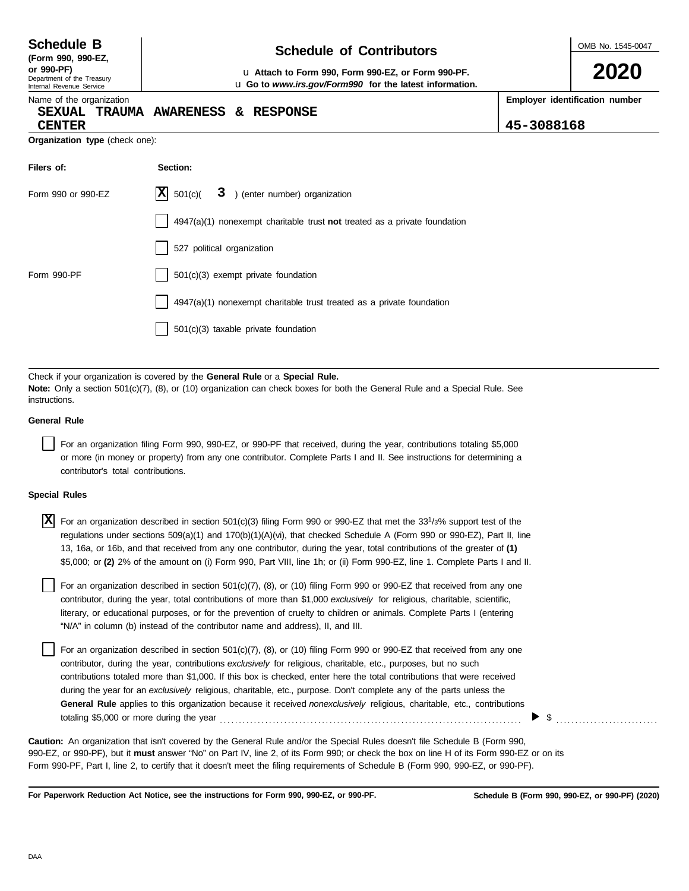Department of the Treasury **(Form 990, 990-EZ,**

#### Internal Revenue Service Name of the organization

### **Schedule of Contributors Schedule B**

**or 990-PF)** u **Attach to Form 990, Form 990-EZ, or Form 990-PF.** u **Go to** *www.irs.gov/Form990* **for the latest information.** OMB No. 1545-0047

**2020**

**Employer identification number**

|  | SEXUAL TRAUMA AWARENESS & RESPONSE |  |
|--|------------------------------------|--|

**CENTER 45-3088168**

**Organization type** (check one):

| Filers of:         | Section:                                                                    |  |  |  |  |  |
|--------------------|-----------------------------------------------------------------------------|--|--|--|--|--|
| Form 990 or 990-EZ | $ \mathbf{X} $ 501(c)( $3$ ) (enter number) organization                    |  |  |  |  |  |
|                    | $4947(a)(1)$ nonexempt charitable trust not treated as a private foundation |  |  |  |  |  |
|                    | 527 political organization                                                  |  |  |  |  |  |
| Form 990-PF        | 501(c)(3) exempt private foundation                                         |  |  |  |  |  |
|                    | 4947(a)(1) nonexempt charitable trust treated as a private foundation       |  |  |  |  |  |
|                    | 501(c)(3) taxable private foundation                                        |  |  |  |  |  |

Check if your organization is covered by the **General Rule** or a **Special Rule. Note:** Only a section 501(c)(7), (8), or (10) organization can check boxes for both the General Rule and a Special Rule. See instructions.

#### **General Rule**

For an organization filing Form 990, 990-EZ, or 990-PF that received, during the year, contributions totaling \$5,000 or more (in money or property) from any one contributor. Complete Parts I and II. See instructions for determining a contributor's total contributions.

#### **Special Rules**

X For an organization described in section 501(c)(3) filing Form 990 or 990-EZ that met the 33<sup>1</sup>/3% support test of the regulations under sections 509(a)(1) and 170(b)(1)(A)(vi), that checked Schedule A (Form 990 or 990-EZ), Part II, line 13, 16a, or 16b, and that received from any one contributor, during the year, total contributions of the greater of **(1)** \$5,000; or **(2)** 2% of the amount on (i) Form 990, Part VIII, line 1h; or (ii) Form 990-EZ, line 1. Complete Parts I and II.

literary, or educational purposes, or for the prevention of cruelty to children or animals. Complete Parts I (entering For an organization described in section 501(c)(7), (8), or (10) filing Form 990 or 990-EZ that received from any one contributor, during the year, total contributions of more than \$1,000 *exclusively* for religious, charitable, scientific, "N/A" in column (b) instead of the contributor name and address), II, and III.

For an organization described in section 501(c)(7), (8), or (10) filing Form 990 or 990-EZ that received from any one contributor, during the year, contributions *exclusively* for religious, charitable, etc., purposes, but no such contributions totaled more than \$1,000. If this box is checked, enter here the total contributions that were received during the year for an *exclusively* religious, charitable, etc., purpose. Don't complete any of the parts unless the **General Rule** applies to this organization because it received *nonexclusively* religious, charitable, etc., contributions totaling \$5,000 or more during the year . . . . . . . . . . . . . . . . . . . . . . . . . . . . . . . . . . . . . . . . . . . . . . . . . . . . . . . . . . . . . . . . . . . . . . . . . . . . . . . .

990-EZ, or 990-PF), but it **must** answer "No" on Part IV, line 2, of its Form 990; or check the box on line H of its Form 990-EZ or on its Form 990-PF, Part I, line 2, to certify that it doesn't meet the filing requirements of Schedule B (Form 990, 990-EZ, or 990-PF). **Caution:** An organization that isn't covered by the General Rule and/or the Special Rules doesn't file Schedule B (Form 990,

**For Paperwork Reduction Act Notice, see the instructions for Form 990, 990-EZ, or 990-PF.**

 $\triangleright$  \$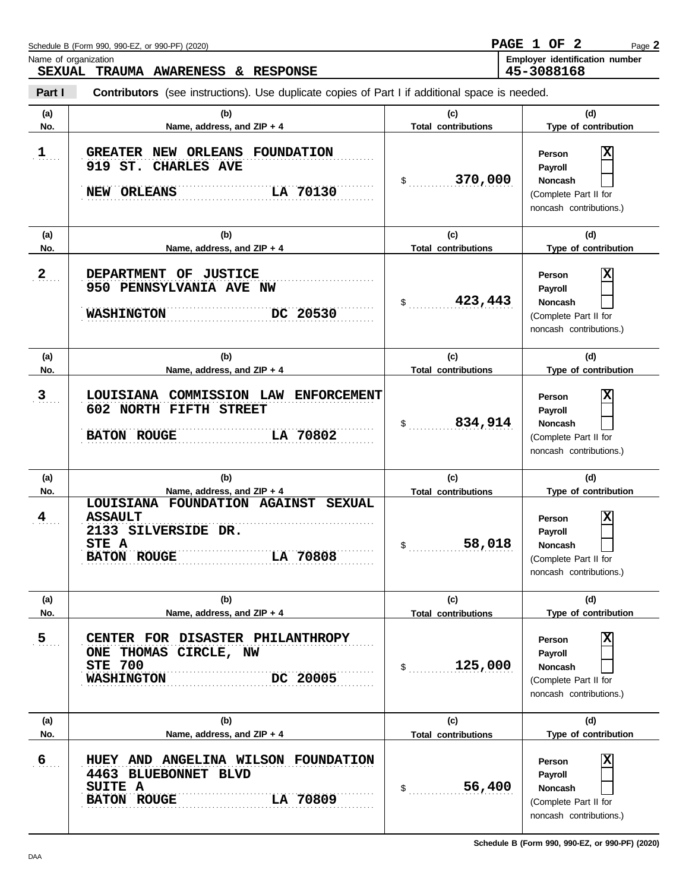|                       | Name of organization<br>SEXUAL TRAUMA AWARENESS & RESPONSE                                                                                 |                                             | Employer identification number<br>45-3088168                                                                  |
|-----------------------|--------------------------------------------------------------------------------------------------------------------------------------------|---------------------------------------------|---------------------------------------------------------------------------------------------------------------|
| Part I                | <b>Contributors</b> (see instructions). Use duplicate copies of Part I if additional space is needed.                                      |                                             |                                                                                                               |
| (a)<br>No.            | (b)<br>Name, address, and ZIP + 4                                                                                                          | (c)<br><b>Total contributions</b>           | (d)<br>Type of contribution                                                                                   |
| 1                     | GREATER NEW ORLEANS FOUNDATION<br>919 ST. CHARLES AVE<br>NEW ORLEANS<br>LA 70130                                                           | 370,000<br>$\mathsf{\$}$                    | X<br>Person<br>Payroll<br>Noncash<br>(Complete Part II for<br>noncash contributions.)                         |
| (a)<br>No.            | (b)<br>Name, address, and ZIP + 4                                                                                                          | (c)<br><b>Total contributions</b>           | (d)<br>Type of contribution                                                                                   |
| 2                     | DEPARTMENT OF JUSTICE<br>950 PENNSYLVANIA AVE NW<br>DC 20530<br><b>WASHINGTON</b>                                                          | 423,443<br>$\mathsf{\$}$                    | X<br>Person<br>Payroll<br>Noncash<br>(Complete Part II for<br>noncash contributions.)                         |
| (a)<br>No.            | (b)<br>Name, address, and ZIP + 4                                                                                                          | (c)<br><b>Total contributions</b>           | (d)<br>Type of contribution                                                                                   |
| $\mathbf{3}$          | LOUISIANA COMMISSION LAW ENFORCEMENT<br>602 NORTH FIFTH STREET<br>LA 70802<br><b>BATON ROUGE</b>                                           | 834,914<br>$\mathsf{\$}$                    | X<br>Person<br>Payroll<br>Noncash<br>(Complete Part II for<br>noncash contributions.)                         |
| (a)<br>No.            | (b)<br>Name, address, and ZIP + 4                                                                                                          | (c)<br><b>Total contributions</b>           | (d)<br>Type of contribution                                                                                   |
| 4                     | LOUISIANA FOUNDATION AGAINST<br><b>SEXUAL</b><br><b>ASSAULT</b><br>2133 SILVERSIDE DR.<br>STE A<br>LA 70808<br><b>BATON ROUGE</b>          | 58,018<br>$\mathsf{\$}$                     | X<br>Person<br>Payroll<br><b>Noncash</b><br>(Complete Part II for<br>noncash contributions.)                  |
| (a)                   | (b)                                                                                                                                        | (c)                                         | (d)                                                                                                           |
| No.<br>5 <sub>1</sub> | Name, address, and ZIP + 4<br>CENTER FOR DISASTER PHILANTHROPY<br>ONE THOMAS CIRCLE, NW<br><b>STE 700</b><br>DC 20005<br><b>WASHINGTON</b> | <b>Total contributions</b><br>125,000<br>\$ | Type of contribution<br>х<br>Person<br>Payroll<br>Noncash<br>(Complete Part II for<br>noncash contributions.) |
| (a)<br>No.            | (b)<br>Name, address, and ZIP + 4                                                                                                          | (c)<br><b>Total contributions</b>           | (d)<br>Type of contribution                                                                                   |
| 6                     | HUEY AND ANGELINA WILSON FOUNDATION<br>4463 BLUEBONNET BLVD<br><b>SUITE A</b><br>LA 70809<br><b>BATON ROUGE</b>                            | 56,400<br>$\sim$                            | X<br>Person<br>Payroll<br><b>Noncash</b><br>(Complete Part II for<br>noncash contributions.)                  |

Page **2**

**PAGE 1 OF 2**

Schedule B (Form 990, 990-EZ, or 990-PF) (2020)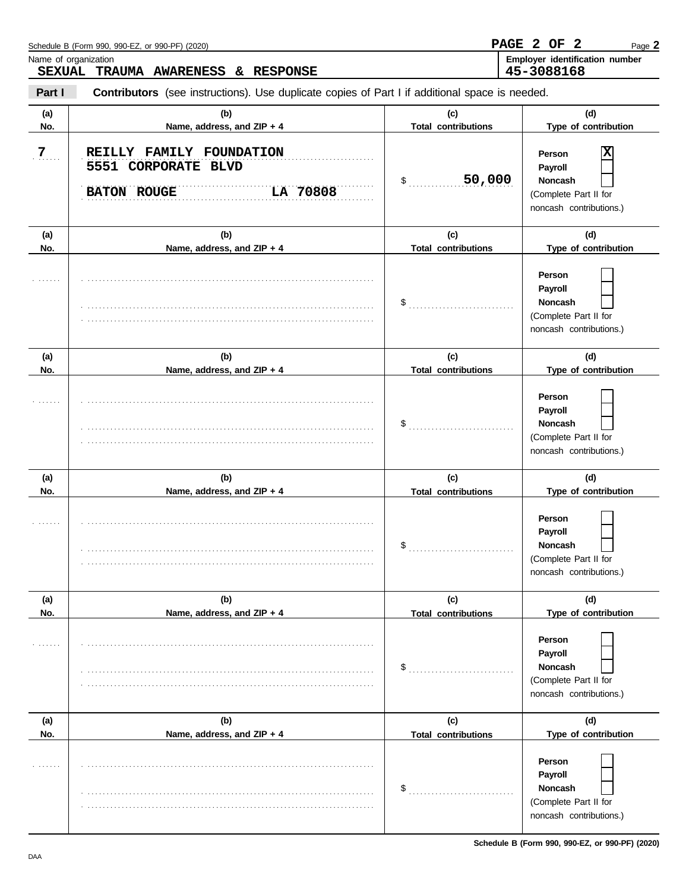|               | Schedule B (Form 990, 990-EZ, or 990-PF) (2020)                                                       |                                   | PAGE 2 OF 2<br>Page 2                                                                 |
|---------------|-------------------------------------------------------------------------------------------------------|-----------------------------------|---------------------------------------------------------------------------------------|
| <b>SEXUAL</b> | Name of organization<br>TRAUMA AWARENESS & RESPONSE                                                   |                                   | Employer identification number<br>45-3088168                                          |
| Part I        | <b>Contributors</b> (see instructions). Use duplicate copies of Part I if additional space is needed. |                                   |                                                                                       |
| (a)<br>No.    | (b)<br>Name, address, and ZIP + 4                                                                     | (c)<br><b>Total contributions</b> | (d)<br>Type of contribution                                                           |
| $7_{\ldots}$  | REILLY FAMILY FOUNDATION<br>5551 CORPORATE BLVD<br><b>BATON ROUGE</b><br>LA 70808                     | 50,000<br>\$                      | X<br>Person<br>Payroll<br>Noncash<br>(Complete Part II for<br>noncash contributions.) |
| (a)           | (b)                                                                                                   | (c)                               | (d)                                                                                   |
| No.           | Name, address, and ZIP + 4                                                                            | <b>Total contributions</b>        | Type of contribution                                                                  |
|               |                                                                                                       | $\$\$                             | Person<br>Payroll<br>Noncash<br>(Complete Part II for<br>noncash contributions.)      |
| (a)           | (b)                                                                                                   | (c)                               | (d)                                                                                   |
| No.           | Name, address, and ZIP + 4                                                                            | <b>Total contributions</b>        | Type of contribution                                                                  |
|               |                                                                                                       | $\frac{1}{2}$                     | Person<br>Payroll<br>Noncash<br>(Complete Part II for<br>noncash contributions.)      |
| (a)           | (b)                                                                                                   | (c)                               | (d)                                                                                   |
| No.           | Name, address, and ZIP + 4                                                                            | <b>Total contributions</b>        | Type of contribution                                                                  |
|               |                                                                                                       | \$                                | Person<br>Payroll<br>Noncash<br>(Complete Part II for<br>noncash contributions.)      |
| (a)           | (b)                                                                                                   | (c)                               | (d)                                                                                   |
| No.           | Name, address, and ZIP + 4                                                                            | <b>Total contributions</b>        | Type of contribution                                                                  |
| .             |                                                                                                       | \$                                | Person<br>Payroll<br>Noncash<br>(Complete Part II for<br>noncash contributions.)      |
| (a)           | (b)                                                                                                   | (c)                               | (d)                                                                                   |
| No.           | Name, address, and ZIP + 4                                                                            | <b>Total contributions</b>        | Type of contribution                                                                  |
| .             |                                                                                                       | \$                                | Person<br>Payroll<br>Noncash<br>(Complete Part II for<br>noncash contributions.)      |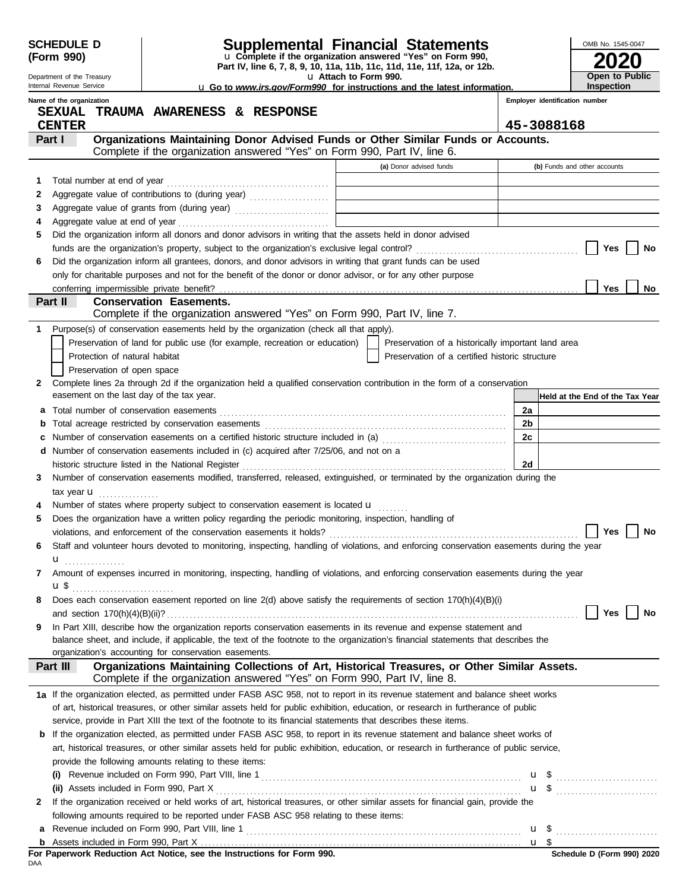| u Complete if the organization answered "Yes" on Form 990,<br>Part IV, line 6, 7, 8, 9, 10, 11a, 11b, 11c, 11d, 11e, 11f, 12a, or 12b.<br>Open to Public<br>Department of the Treasury<br>u Attach to Form 990.<br>Internal Revenue Service<br>Inspection<br><b>u</b> Go to www.irs.gov/Form990 for instructions and the latest information.<br>Name of the organization<br>Employer identification number<br>SEXUAL TRAUMA AWARENESS & RESPONSE<br>45-3088168<br><b>CENTER</b><br>Organizations Maintaining Donor Advised Funds or Other Similar Funds or Accounts.<br>Part I<br>Complete if the organization answered "Yes" on Form 990, Part IV, line 6.<br>(a) Donor advised funds<br>(b) Funds and other accounts<br>1<br>Aggregate value of contributions to (during year) [10] Aggregate value of contributions to (during year)<br>2<br>3<br>4<br>Did the organization inform all donors and donor advisors in writing that the assets held in donor advised<br>5<br>Yes<br>No<br>Did the organization inform all grantees, donors, and donor advisors in writing that grant funds can be used<br>6<br>only for charitable purposes and not for the benefit of the donor or donor advisor, or for any other purpose<br><b>Yes</b><br>conferring impermissible private benefit?<br>No<br>Part II<br><b>Conservation Easements.</b><br>Complete if the organization answered "Yes" on Form 990, Part IV, line 7.<br>Purpose(s) of conservation easements held by the organization (check all that apply).<br>1<br>Preservation of land for public use (for example, recreation or education)<br>Preservation of a historically important land area<br>Protection of natural habitat<br>Preservation of a certified historic structure<br>Preservation of open space<br>Complete lines 2a through 2d if the organization held a qualified conservation contribution in the form of a conservation<br>2<br>easement on the last day of the tax year.<br>Held at the End of the Tax Year<br>2a<br>а<br>2b<br>b<br>Number of conservation easements on a certified historic structure included in (a) [11] Number of conservation easements on a certified historic structure included in (a)<br>2c<br>c<br>Number of conservation easements included in (c) acquired after 7/25/06, and not on a<br>d<br>2d<br>Number of conservation easements modified, transferred, released, extinguished, or terminated by the organization during the<br>3<br>tax year $\mathbf{u}$<br>Number of states where property subject to conservation easement is located <b>u</b><br>Does the organization have a written policy regarding the periodic monitoring, inspection, handling of<br>5<br>Yes<br>No<br>Staff and volunteer hours devoted to monitoring, inspecting, handling of violations, and enforcing conservation easements during the year<br>6<br>u<br>.<br>Amount of expenses incurred in monitoring, inspecting, handling of violations, and enforcing conservation easements during the year<br>7<br>Does each conservation easement reported on line 2(d) above satisfy the requirements of section 170(h)(4)(B)(i)<br>8<br>Yes<br>No<br>In Part XIII, describe how the organization reports conservation easements in its revenue and expense statement and<br>9<br>balance sheet, and include, if applicable, the text of the footnote to the organization's financial statements that describes the<br>organization's accounting for conservation easements.<br>Organizations Maintaining Collections of Art, Historical Treasures, or Other Similar Assets.<br>Part III<br>Complete if the organization answered "Yes" on Form 990, Part IV, line 8.<br>1a If the organization elected, as permitted under FASB ASC 958, not to report in its revenue statement and balance sheet works<br>of art, historical treasures, or other similar assets held for public exhibition, education, or research in furtherance of public<br>service, provide in Part XIII the text of the footnote to its financial statements that describes these items.<br><b>b</b> If the organization elected, as permitted under FASB ASC 958, to report in its revenue statement and balance sheet works of<br>art, historical treasures, or other similar assets held for public exhibition, education, or research in furtherance of public service,<br>provide the following amounts relating to these items:<br>If the organization received or held works of art, historical treasures, or other similar assets for financial gain, provide the<br>$\mathbf{2}$<br>following amounts required to be reported under FASB ASC 958 relating to these items:<br>а<br>For Paperwork Reduction Act Notice, see the Instructions for Form 990.<br>Schedule D (Form 990) 2020<br>DAA | <b>SCHEDULE D</b> | <b>Supplemental Financial Statements</b> | OMB No. 1545-0047 |
|--------------------------------------------------------------------------------------------------------------------------------------------------------------------------------------------------------------------------------------------------------------------------------------------------------------------------------------------------------------------------------------------------------------------------------------------------------------------------------------------------------------------------------------------------------------------------------------------------------------------------------------------------------------------------------------------------------------------------------------------------------------------------------------------------------------------------------------------------------------------------------------------------------------------------------------------------------------------------------------------------------------------------------------------------------------------------------------------------------------------------------------------------------------------------------------------------------------------------------------------------------------------------------------------------------------------------------------------------------------------------------------------------------------------------------------------------------------------------------------------------------------------------------------------------------------------------------------------------------------------------------------------------------------------------------------------------------------------------------------------------------------------------------------------------------------------------------------------------------------------------------------------------------------------------------------------------------------------------------------------------------------------------------------------------------------------------------------------------------------------------------------------------------------------------------------------------------------------------------------------------------------------------------------------------------------------------------------------------------------------------------------------------------------------------------------------------------------------------------------------------------------------------------------------------------------------------------------------------------------------------------------------------------------------------------------------------------------------------------------------------------------------------------------------------------------------------------------------------------------------------------------------------------------------------------------------------------------------------------------------------------------------------------------------------------------------------------------------------------------------------------------------------------------------------------------------------------------------------------------------------------------------------------------------------------------------------------------------------------------------------------------------------------------------------------------------------------------------------------------------------------------------------------------------------------------------------------------------------------------------------------------------------------------------------------------------------------------------------------------------------------------------------------------------------------------------------------------------------------------------------------------------------------------------------------------------------------------------------------------------------------------------------------------------------------------------------------------------------------------------------------------------------------------------------------------------------------------------------------------------------------------------------------------------------------------------------------------------------------------------------------------------------------------------------------------------------------------------------------------------------------------------------------------------------------------------------------------------------------------------------------------------------------------------------------------------------------------------------------------------------------------------------|-------------------|------------------------------------------|-------------------|
|                                                                                                                                                                                                                                                                                                                                                                                                                                                                                                                                                                                                                                                                                                                                                                                                                                                                                                                                                                                                                                                                                                                                                                                                                                                                                                                                                                                                                                                                                                                                                                                                                                                                                                                                                                                                                                                                                                                                                                                                                                                                                                                                                                                                                                                                                                                                                                                                                                                                                                                                                                                                                                                                                                                                                                                                                                                                                                                                                                                                                                                                                                                                                                                                                                                                                                                                                                                                                                                                                                                                                                                                                                                                                                                                                                                                                                                                                                                                                                                                                                                                                                                                                                                                                                                                                                                                                                                                                                                                                                                                                                                                                                                                                                                                                                          | (Form 990)        |                                          |                   |
|                                                                                                                                                                                                                                                                                                                                                                                                                                                                                                                                                                                                                                                                                                                                                                                                                                                                                                                                                                                                                                                                                                                                                                                                                                                                                                                                                                                                                                                                                                                                                                                                                                                                                                                                                                                                                                                                                                                                                                                                                                                                                                                                                                                                                                                                                                                                                                                                                                                                                                                                                                                                                                                                                                                                                                                                                                                                                                                                                                                                                                                                                                                                                                                                                                                                                                                                                                                                                                                                                                                                                                                                                                                                                                                                                                                                                                                                                                                                                                                                                                                                                                                                                                                                                                                                                                                                                                                                                                                                                                                                                                                                                                                                                                                                                                          |                   |                                          |                   |
|                                                                                                                                                                                                                                                                                                                                                                                                                                                                                                                                                                                                                                                                                                                                                                                                                                                                                                                                                                                                                                                                                                                                                                                                                                                                                                                                                                                                                                                                                                                                                                                                                                                                                                                                                                                                                                                                                                                                                                                                                                                                                                                                                                                                                                                                                                                                                                                                                                                                                                                                                                                                                                                                                                                                                                                                                                                                                                                                                                                                                                                                                                                                                                                                                                                                                                                                                                                                                                                                                                                                                                                                                                                                                                                                                                                                                                                                                                                                                                                                                                                                                                                                                                                                                                                                                                                                                                                                                                                                                                                                                                                                                                                                                                                                                                          |                   |                                          |                   |
|                                                                                                                                                                                                                                                                                                                                                                                                                                                                                                                                                                                                                                                                                                                                                                                                                                                                                                                                                                                                                                                                                                                                                                                                                                                                                                                                                                                                                                                                                                                                                                                                                                                                                                                                                                                                                                                                                                                                                                                                                                                                                                                                                                                                                                                                                                                                                                                                                                                                                                                                                                                                                                                                                                                                                                                                                                                                                                                                                                                                                                                                                                                                                                                                                                                                                                                                                                                                                                                                                                                                                                                                                                                                                                                                                                                                                                                                                                                                                                                                                                                                                                                                                                                                                                                                                                                                                                                                                                                                                                                                                                                                                                                                                                                                                                          |                   |                                          |                   |
|                                                                                                                                                                                                                                                                                                                                                                                                                                                                                                                                                                                                                                                                                                                                                                                                                                                                                                                                                                                                                                                                                                                                                                                                                                                                                                                                                                                                                                                                                                                                                                                                                                                                                                                                                                                                                                                                                                                                                                                                                                                                                                                                                                                                                                                                                                                                                                                                                                                                                                                                                                                                                                                                                                                                                                                                                                                                                                                                                                                                                                                                                                                                                                                                                                                                                                                                                                                                                                                                                                                                                                                                                                                                                                                                                                                                                                                                                                                                                                                                                                                                                                                                                                                                                                                                                                                                                                                                                                                                                                                                                                                                                                                                                                                                                                          |                   |                                          |                   |
|                                                                                                                                                                                                                                                                                                                                                                                                                                                                                                                                                                                                                                                                                                                                                                                                                                                                                                                                                                                                                                                                                                                                                                                                                                                                                                                                                                                                                                                                                                                                                                                                                                                                                                                                                                                                                                                                                                                                                                                                                                                                                                                                                                                                                                                                                                                                                                                                                                                                                                                                                                                                                                                                                                                                                                                                                                                                                                                                                                                                                                                                                                                                                                                                                                                                                                                                                                                                                                                                                                                                                                                                                                                                                                                                                                                                                                                                                                                                                                                                                                                                                                                                                                                                                                                                                                                                                                                                                                                                                                                                                                                                                                                                                                                                                                          |                   |                                          |                   |
|                                                                                                                                                                                                                                                                                                                                                                                                                                                                                                                                                                                                                                                                                                                                                                                                                                                                                                                                                                                                                                                                                                                                                                                                                                                                                                                                                                                                                                                                                                                                                                                                                                                                                                                                                                                                                                                                                                                                                                                                                                                                                                                                                                                                                                                                                                                                                                                                                                                                                                                                                                                                                                                                                                                                                                                                                                                                                                                                                                                                                                                                                                                                                                                                                                                                                                                                                                                                                                                                                                                                                                                                                                                                                                                                                                                                                                                                                                                                                                                                                                                                                                                                                                                                                                                                                                                                                                                                                                                                                                                                                                                                                                                                                                                                                                          |                   |                                          |                   |
|                                                                                                                                                                                                                                                                                                                                                                                                                                                                                                                                                                                                                                                                                                                                                                                                                                                                                                                                                                                                                                                                                                                                                                                                                                                                                                                                                                                                                                                                                                                                                                                                                                                                                                                                                                                                                                                                                                                                                                                                                                                                                                                                                                                                                                                                                                                                                                                                                                                                                                                                                                                                                                                                                                                                                                                                                                                                                                                                                                                                                                                                                                                                                                                                                                                                                                                                                                                                                                                                                                                                                                                                                                                                                                                                                                                                                                                                                                                                                                                                                                                                                                                                                                                                                                                                                                                                                                                                                                                                                                                                                                                                                                                                                                                                                                          |                   |                                          |                   |
|                                                                                                                                                                                                                                                                                                                                                                                                                                                                                                                                                                                                                                                                                                                                                                                                                                                                                                                                                                                                                                                                                                                                                                                                                                                                                                                                                                                                                                                                                                                                                                                                                                                                                                                                                                                                                                                                                                                                                                                                                                                                                                                                                                                                                                                                                                                                                                                                                                                                                                                                                                                                                                                                                                                                                                                                                                                                                                                                                                                                                                                                                                                                                                                                                                                                                                                                                                                                                                                                                                                                                                                                                                                                                                                                                                                                                                                                                                                                                                                                                                                                                                                                                                                                                                                                                                                                                                                                                                                                                                                                                                                                                                                                                                                                                                          |                   |                                          |                   |
|                                                                                                                                                                                                                                                                                                                                                                                                                                                                                                                                                                                                                                                                                                                                                                                                                                                                                                                                                                                                                                                                                                                                                                                                                                                                                                                                                                                                                                                                                                                                                                                                                                                                                                                                                                                                                                                                                                                                                                                                                                                                                                                                                                                                                                                                                                                                                                                                                                                                                                                                                                                                                                                                                                                                                                                                                                                                                                                                                                                                                                                                                                                                                                                                                                                                                                                                                                                                                                                                                                                                                                                                                                                                                                                                                                                                                                                                                                                                                                                                                                                                                                                                                                                                                                                                                                                                                                                                                                                                                                                                                                                                                                                                                                                                                                          |                   |                                          |                   |
|                                                                                                                                                                                                                                                                                                                                                                                                                                                                                                                                                                                                                                                                                                                                                                                                                                                                                                                                                                                                                                                                                                                                                                                                                                                                                                                                                                                                                                                                                                                                                                                                                                                                                                                                                                                                                                                                                                                                                                                                                                                                                                                                                                                                                                                                                                                                                                                                                                                                                                                                                                                                                                                                                                                                                                                                                                                                                                                                                                                                                                                                                                                                                                                                                                                                                                                                                                                                                                                                                                                                                                                                                                                                                                                                                                                                                                                                                                                                                                                                                                                                                                                                                                                                                                                                                                                                                                                                                                                                                                                                                                                                                                                                                                                                                                          |                   |                                          |                   |
|                                                                                                                                                                                                                                                                                                                                                                                                                                                                                                                                                                                                                                                                                                                                                                                                                                                                                                                                                                                                                                                                                                                                                                                                                                                                                                                                                                                                                                                                                                                                                                                                                                                                                                                                                                                                                                                                                                                                                                                                                                                                                                                                                                                                                                                                                                                                                                                                                                                                                                                                                                                                                                                                                                                                                                                                                                                                                                                                                                                                                                                                                                                                                                                                                                                                                                                                                                                                                                                                                                                                                                                                                                                                                                                                                                                                                                                                                                                                                                                                                                                                                                                                                                                                                                                                                                                                                                                                                                                                                                                                                                                                                                                                                                                                                                          |                   |                                          |                   |
|                                                                                                                                                                                                                                                                                                                                                                                                                                                                                                                                                                                                                                                                                                                                                                                                                                                                                                                                                                                                                                                                                                                                                                                                                                                                                                                                                                                                                                                                                                                                                                                                                                                                                                                                                                                                                                                                                                                                                                                                                                                                                                                                                                                                                                                                                                                                                                                                                                                                                                                                                                                                                                                                                                                                                                                                                                                                                                                                                                                                                                                                                                                                                                                                                                                                                                                                                                                                                                                                                                                                                                                                                                                                                                                                                                                                                                                                                                                                                                                                                                                                                                                                                                                                                                                                                                                                                                                                                                                                                                                                                                                                                                                                                                                                                                          |                   |                                          |                   |
|                                                                                                                                                                                                                                                                                                                                                                                                                                                                                                                                                                                                                                                                                                                                                                                                                                                                                                                                                                                                                                                                                                                                                                                                                                                                                                                                                                                                                                                                                                                                                                                                                                                                                                                                                                                                                                                                                                                                                                                                                                                                                                                                                                                                                                                                                                                                                                                                                                                                                                                                                                                                                                                                                                                                                                                                                                                                                                                                                                                                                                                                                                                                                                                                                                                                                                                                                                                                                                                                                                                                                                                                                                                                                                                                                                                                                                                                                                                                                                                                                                                                                                                                                                                                                                                                                                                                                                                                                                                                                                                                                                                                                                                                                                                                                                          |                   |                                          |                   |
|                                                                                                                                                                                                                                                                                                                                                                                                                                                                                                                                                                                                                                                                                                                                                                                                                                                                                                                                                                                                                                                                                                                                                                                                                                                                                                                                                                                                                                                                                                                                                                                                                                                                                                                                                                                                                                                                                                                                                                                                                                                                                                                                                                                                                                                                                                                                                                                                                                                                                                                                                                                                                                                                                                                                                                                                                                                                                                                                                                                                                                                                                                                                                                                                                                                                                                                                                                                                                                                                                                                                                                                                                                                                                                                                                                                                                                                                                                                                                                                                                                                                                                                                                                                                                                                                                                                                                                                                                                                                                                                                                                                                                                                                                                                                                                          |                   |                                          |                   |
|                                                                                                                                                                                                                                                                                                                                                                                                                                                                                                                                                                                                                                                                                                                                                                                                                                                                                                                                                                                                                                                                                                                                                                                                                                                                                                                                                                                                                                                                                                                                                                                                                                                                                                                                                                                                                                                                                                                                                                                                                                                                                                                                                                                                                                                                                                                                                                                                                                                                                                                                                                                                                                                                                                                                                                                                                                                                                                                                                                                                                                                                                                                                                                                                                                                                                                                                                                                                                                                                                                                                                                                                                                                                                                                                                                                                                                                                                                                                                                                                                                                                                                                                                                                                                                                                                                                                                                                                                                                                                                                                                                                                                                                                                                                                                                          |                   |                                          |                   |
|                                                                                                                                                                                                                                                                                                                                                                                                                                                                                                                                                                                                                                                                                                                                                                                                                                                                                                                                                                                                                                                                                                                                                                                                                                                                                                                                                                                                                                                                                                                                                                                                                                                                                                                                                                                                                                                                                                                                                                                                                                                                                                                                                                                                                                                                                                                                                                                                                                                                                                                                                                                                                                                                                                                                                                                                                                                                                                                                                                                                                                                                                                                                                                                                                                                                                                                                                                                                                                                                                                                                                                                                                                                                                                                                                                                                                                                                                                                                                                                                                                                                                                                                                                                                                                                                                                                                                                                                                                                                                                                                                                                                                                                                                                                                                                          |                   |                                          |                   |
|                                                                                                                                                                                                                                                                                                                                                                                                                                                                                                                                                                                                                                                                                                                                                                                                                                                                                                                                                                                                                                                                                                                                                                                                                                                                                                                                                                                                                                                                                                                                                                                                                                                                                                                                                                                                                                                                                                                                                                                                                                                                                                                                                                                                                                                                                                                                                                                                                                                                                                                                                                                                                                                                                                                                                                                                                                                                                                                                                                                                                                                                                                                                                                                                                                                                                                                                                                                                                                                                                                                                                                                                                                                                                                                                                                                                                                                                                                                                                                                                                                                                                                                                                                                                                                                                                                                                                                                                                                                                                                                                                                                                                                                                                                                                                                          |                   |                                          |                   |
|                                                                                                                                                                                                                                                                                                                                                                                                                                                                                                                                                                                                                                                                                                                                                                                                                                                                                                                                                                                                                                                                                                                                                                                                                                                                                                                                                                                                                                                                                                                                                                                                                                                                                                                                                                                                                                                                                                                                                                                                                                                                                                                                                                                                                                                                                                                                                                                                                                                                                                                                                                                                                                                                                                                                                                                                                                                                                                                                                                                                                                                                                                                                                                                                                                                                                                                                                                                                                                                                                                                                                                                                                                                                                                                                                                                                                                                                                                                                                                                                                                                                                                                                                                                                                                                                                                                                                                                                                                                                                                                                                                                                                                                                                                                                                                          |                   |                                          |                   |
|                                                                                                                                                                                                                                                                                                                                                                                                                                                                                                                                                                                                                                                                                                                                                                                                                                                                                                                                                                                                                                                                                                                                                                                                                                                                                                                                                                                                                                                                                                                                                                                                                                                                                                                                                                                                                                                                                                                                                                                                                                                                                                                                                                                                                                                                                                                                                                                                                                                                                                                                                                                                                                                                                                                                                                                                                                                                                                                                                                                                                                                                                                                                                                                                                                                                                                                                                                                                                                                                                                                                                                                                                                                                                                                                                                                                                                                                                                                                                                                                                                                                                                                                                                                                                                                                                                                                                                                                                                                                                                                                                                                                                                                                                                                                                                          |                   |                                          |                   |
|                                                                                                                                                                                                                                                                                                                                                                                                                                                                                                                                                                                                                                                                                                                                                                                                                                                                                                                                                                                                                                                                                                                                                                                                                                                                                                                                                                                                                                                                                                                                                                                                                                                                                                                                                                                                                                                                                                                                                                                                                                                                                                                                                                                                                                                                                                                                                                                                                                                                                                                                                                                                                                                                                                                                                                                                                                                                                                                                                                                                                                                                                                                                                                                                                                                                                                                                                                                                                                                                                                                                                                                                                                                                                                                                                                                                                                                                                                                                                                                                                                                                                                                                                                                                                                                                                                                                                                                                                                                                                                                                                                                                                                                                                                                                                                          |                   |                                          |                   |
|                                                                                                                                                                                                                                                                                                                                                                                                                                                                                                                                                                                                                                                                                                                                                                                                                                                                                                                                                                                                                                                                                                                                                                                                                                                                                                                                                                                                                                                                                                                                                                                                                                                                                                                                                                                                                                                                                                                                                                                                                                                                                                                                                                                                                                                                                                                                                                                                                                                                                                                                                                                                                                                                                                                                                                                                                                                                                                                                                                                                                                                                                                                                                                                                                                                                                                                                                                                                                                                                                                                                                                                                                                                                                                                                                                                                                                                                                                                                                                                                                                                                                                                                                                                                                                                                                                                                                                                                                                                                                                                                                                                                                                                                                                                                                                          |                   |                                          |                   |
|                                                                                                                                                                                                                                                                                                                                                                                                                                                                                                                                                                                                                                                                                                                                                                                                                                                                                                                                                                                                                                                                                                                                                                                                                                                                                                                                                                                                                                                                                                                                                                                                                                                                                                                                                                                                                                                                                                                                                                                                                                                                                                                                                                                                                                                                                                                                                                                                                                                                                                                                                                                                                                                                                                                                                                                                                                                                                                                                                                                                                                                                                                                                                                                                                                                                                                                                                                                                                                                                                                                                                                                                                                                                                                                                                                                                                                                                                                                                                                                                                                                                                                                                                                                                                                                                                                                                                                                                                                                                                                                                                                                                                                                                                                                                                                          |                   |                                          |                   |
|                                                                                                                                                                                                                                                                                                                                                                                                                                                                                                                                                                                                                                                                                                                                                                                                                                                                                                                                                                                                                                                                                                                                                                                                                                                                                                                                                                                                                                                                                                                                                                                                                                                                                                                                                                                                                                                                                                                                                                                                                                                                                                                                                                                                                                                                                                                                                                                                                                                                                                                                                                                                                                                                                                                                                                                                                                                                                                                                                                                                                                                                                                                                                                                                                                                                                                                                                                                                                                                                                                                                                                                                                                                                                                                                                                                                                                                                                                                                                                                                                                                                                                                                                                                                                                                                                                                                                                                                                                                                                                                                                                                                                                                                                                                                                                          |                   |                                          |                   |
|                                                                                                                                                                                                                                                                                                                                                                                                                                                                                                                                                                                                                                                                                                                                                                                                                                                                                                                                                                                                                                                                                                                                                                                                                                                                                                                                                                                                                                                                                                                                                                                                                                                                                                                                                                                                                                                                                                                                                                                                                                                                                                                                                                                                                                                                                                                                                                                                                                                                                                                                                                                                                                                                                                                                                                                                                                                                                                                                                                                                                                                                                                                                                                                                                                                                                                                                                                                                                                                                                                                                                                                                                                                                                                                                                                                                                                                                                                                                                                                                                                                                                                                                                                                                                                                                                                                                                                                                                                                                                                                                                                                                                                                                                                                                                                          |                   |                                          |                   |
|                                                                                                                                                                                                                                                                                                                                                                                                                                                                                                                                                                                                                                                                                                                                                                                                                                                                                                                                                                                                                                                                                                                                                                                                                                                                                                                                                                                                                                                                                                                                                                                                                                                                                                                                                                                                                                                                                                                                                                                                                                                                                                                                                                                                                                                                                                                                                                                                                                                                                                                                                                                                                                                                                                                                                                                                                                                                                                                                                                                                                                                                                                                                                                                                                                                                                                                                                                                                                                                                                                                                                                                                                                                                                                                                                                                                                                                                                                                                                                                                                                                                                                                                                                                                                                                                                                                                                                                                                                                                                                                                                                                                                                                                                                                                                                          |                   |                                          |                   |
|                                                                                                                                                                                                                                                                                                                                                                                                                                                                                                                                                                                                                                                                                                                                                                                                                                                                                                                                                                                                                                                                                                                                                                                                                                                                                                                                                                                                                                                                                                                                                                                                                                                                                                                                                                                                                                                                                                                                                                                                                                                                                                                                                                                                                                                                                                                                                                                                                                                                                                                                                                                                                                                                                                                                                                                                                                                                                                                                                                                                                                                                                                                                                                                                                                                                                                                                                                                                                                                                                                                                                                                                                                                                                                                                                                                                                                                                                                                                                                                                                                                                                                                                                                                                                                                                                                                                                                                                                                                                                                                                                                                                                                                                                                                                                                          |                   |                                          |                   |
|                                                                                                                                                                                                                                                                                                                                                                                                                                                                                                                                                                                                                                                                                                                                                                                                                                                                                                                                                                                                                                                                                                                                                                                                                                                                                                                                                                                                                                                                                                                                                                                                                                                                                                                                                                                                                                                                                                                                                                                                                                                                                                                                                                                                                                                                                                                                                                                                                                                                                                                                                                                                                                                                                                                                                                                                                                                                                                                                                                                                                                                                                                                                                                                                                                                                                                                                                                                                                                                                                                                                                                                                                                                                                                                                                                                                                                                                                                                                                                                                                                                                                                                                                                                                                                                                                                                                                                                                                                                                                                                                                                                                                                                                                                                                                                          |                   |                                          |                   |
|                                                                                                                                                                                                                                                                                                                                                                                                                                                                                                                                                                                                                                                                                                                                                                                                                                                                                                                                                                                                                                                                                                                                                                                                                                                                                                                                                                                                                                                                                                                                                                                                                                                                                                                                                                                                                                                                                                                                                                                                                                                                                                                                                                                                                                                                                                                                                                                                                                                                                                                                                                                                                                                                                                                                                                                                                                                                                                                                                                                                                                                                                                                                                                                                                                                                                                                                                                                                                                                                                                                                                                                                                                                                                                                                                                                                                                                                                                                                                                                                                                                                                                                                                                                                                                                                                                                                                                                                                                                                                                                                                                                                                                                                                                                                                                          |                   |                                          |                   |
|                                                                                                                                                                                                                                                                                                                                                                                                                                                                                                                                                                                                                                                                                                                                                                                                                                                                                                                                                                                                                                                                                                                                                                                                                                                                                                                                                                                                                                                                                                                                                                                                                                                                                                                                                                                                                                                                                                                                                                                                                                                                                                                                                                                                                                                                                                                                                                                                                                                                                                                                                                                                                                                                                                                                                                                                                                                                                                                                                                                                                                                                                                                                                                                                                                                                                                                                                                                                                                                                                                                                                                                                                                                                                                                                                                                                                                                                                                                                                                                                                                                                                                                                                                                                                                                                                                                                                                                                                                                                                                                                                                                                                                                                                                                                                                          |                   |                                          |                   |
|                                                                                                                                                                                                                                                                                                                                                                                                                                                                                                                                                                                                                                                                                                                                                                                                                                                                                                                                                                                                                                                                                                                                                                                                                                                                                                                                                                                                                                                                                                                                                                                                                                                                                                                                                                                                                                                                                                                                                                                                                                                                                                                                                                                                                                                                                                                                                                                                                                                                                                                                                                                                                                                                                                                                                                                                                                                                                                                                                                                                                                                                                                                                                                                                                                                                                                                                                                                                                                                                                                                                                                                                                                                                                                                                                                                                                                                                                                                                                                                                                                                                                                                                                                                                                                                                                                                                                                                                                                                                                                                                                                                                                                                                                                                                                                          |                   |                                          |                   |
|                                                                                                                                                                                                                                                                                                                                                                                                                                                                                                                                                                                                                                                                                                                                                                                                                                                                                                                                                                                                                                                                                                                                                                                                                                                                                                                                                                                                                                                                                                                                                                                                                                                                                                                                                                                                                                                                                                                                                                                                                                                                                                                                                                                                                                                                                                                                                                                                                                                                                                                                                                                                                                                                                                                                                                                                                                                                                                                                                                                                                                                                                                                                                                                                                                                                                                                                                                                                                                                                                                                                                                                                                                                                                                                                                                                                                                                                                                                                                                                                                                                                                                                                                                                                                                                                                                                                                                                                                                                                                                                                                                                                                                                                                                                                                                          |                   |                                          |                   |
|                                                                                                                                                                                                                                                                                                                                                                                                                                                                                                                                                                                                                                                                                                                                                                                                                                                                                                                                                                                                                                                                                                                                                                                                                                                                                                                                                                                                                                                                                                                                                                                                                                                                                                                                                                                                                                                                                                                                                                                                                                                                                                                                                                                                                                                                                                                                                                                                                                                                                                                                                                                                                                                                                                                                                                                                                                                                                                                                                                                                                                                                                                                                                                                                                                                                                                                                                                                                                                                                                                                                                                                                                                                                                                                                                                                                                                                                                                                                                                                                                                                                                                                                                                                                                                                                                                                                                                                                                                                                                                                                                                                                                                                                                                                                                                          |                   |                                          |                   |
|                                                                                                                                                                                                                                                                                                                                                                                                                                                                                                                                                                                                                                                                                                                                                                                                                                                                                                                                                                                                                                                                                                                                                                                                                                                                                                                                                                                                                                                                                                                                                                                                                                                                                                                                                                                                                                                                                                                                                                                                                                                                                                                                                                                                                                                                                                                                                                                                                                                                                                                                                                                                                                                                                                                                                                                                                                                                                                                                                                                                                                                                                                                                                                                                                                                                                                                                                                                                                                                                                                                                                                                                                                                                                                                                                                                                                                                                                                                                                                                                                                                                                                                                                                                                                                                                                                                                                                                                                                                                                                                                                                                                                                                                                                                                                                          |                   |                                          |                   |
|                                                                                                                                                                                                                                                                                                                                                                                                                                                                                                                                                                                                                                                                                                                                                                                                                                                                                                                                                                                                                                                                                                                                                                                                                                                                                                                                                                                                                                                                                                                                                                                                                                                                                                                                                                                                                                                                                                                                                                                                                                                                                                                                                                                                                                                                                                                                                                                                                                                                                                                                                                                                                                                                                                                                                                                                                                                                                                                                                                                                                                                                                                                                                                                                                                                                                                                                                                                                                                                                                                                                                                                                                                                                                                                                                                                                                                                                                                                                                                                                                                                                                                                                                                                                                                                                                                                                                                                                                                                                                                                                                                                                                                                                                                                                                                          |                   |                                          |                   |
|                                                                                                                                                                                                                                                                                                                                                                                                                                                                                                                                                                                                                                                                                                                                                                                                                                                                                                                                                                                                                                                                                                                                                                                                                                                                                                                                                                                                                                                                                                                                                                                                                                                                                                                                                                                                                                                                                                                                                                                                                                                                                                                                                                                                                                                                                                                                                                                                                                                                                                                                                                                                                                                                                                                                                                                                                                                                                                                                                                                                                                                                                                                                                                                                                                                                                                                                                                                                                                                                                                                                                                                                                                                                                                                                                                                                                                                                                                                                                                                                                                                                                                                                                                                                                                                                                                                                                                                                                                                                                                                                                                                                                                                                                                                                                                          |                   |                                          |                   |
|                                                                                                                                                                                                                                                                                                                                                                                                                                                                                                                                                                                                                                                                                                                                                                                                                                                                                                                                                                                                                                                                                                                                                                                                                                                                                                                                                                                                                                                                                                                                                                                                                                                                                                                                                                                                                                                                                                                                                                                                                                                                                                                                                                                                                                                                                                                                                                                                                                                                                                                                                                                                                                                                                                                                                                                                                                                                                                                                                                                                                                                                                                                                                                                                                                                                                                                                                                                                                                                                                                                                                                                                                                                                                                                                                                                                                                                                                                                                                                                                                                                                                                                                                                                                                                                                                                                                                                                                                                                                                                                                                                                                                                                                                                                                                                          |                   |                                          |                   |
|                                                                                                                                                                                                                                                                                                                                                                                                                                                                                                                                                                                                                                                                                                                                                                                                                                                                                                                                                                                                                                                                                                                                                                                                                                                                                                                                                                                                                                                                                                                                                                                                                                                                                                                                                                                                                                                                                                                                                                                                                                                                                                                                                                                                                                                                                                                                                                                                                                                                                                                                                                                                                                                                                                                                                                                                                                                                                                                                                                                                                                                                                                                                                                                                                                                                                                                                                                                                                                                                                                                                                                                                                                                                                                                                                                                                                                                                                                                                                                                                                                                                                                                                                                                                                                                                                                                                                                                                                                                                                                                                                                                                                                                                                                                                                                          |                   |                                          |                   |
|                                                                                                                                                                                                                                                                                                                                                                                                                                                                                                                                                                                                                                                                                                                                                                                                                                                                                                                                                                                                                                                                                                                                                                                                                                                                                                                                                                                                                                                                                                                                                                                                                                                                                                                                                                                                                                                                                                                                                                                                                                                                                                                                                                                                                                                                                                                                                                                                                                                                                                                                                                                                                                                                                                                                                                                                                                                                                                                                                                                                                                                                                                                                                                                                                                                                                                                                                                                                                                                                                                                                                                                                                                                                                                                                                                                                                                                                                                                                                                                                                                                                                                                                                                                                                                                                                                                                                                                                                                                                                                                                                                                                                                                                                                                                                                          |                   |                                          |                   |
|                                                                                                                                                                                                                                                                                                                                                                                                                                                                                                                                                                                                                                                                                                                                                                                                                                                                                                                                                                                                                                                                                                                                                                                                                                                                                                                                                                                                                                                                                                                                                                                                                                                                                                                                                                                                                                                                                                                                                                                                                                                                                                                                                                                                                                                                                                                                                                                                                                                                                                                                                                                                                                                                                                                                                                                                                                                                                                                                                                                                                                                                                                                                                                                                                                                                                                                                                                                                                                                                                                                                                                                                                                                                                                                                                                                                                                                                                                                                                                                                                                                                                                                                                                                                                                                                                                                                                                                                                                                                                                                                                                                                                                                                                                                                                                          |                   |                                          |                   |
|                                                                                                                                                                                                                                                                                                                                                                                                                                                                                                                                                                                                                                                                                                                                                                                                                                                                                                                                                                                                                                                                                                                                                                                                                                                                                                                                                                                                                                                                                                                                                                                                                                                                                                                                                                                                                                                                                                                                                                                                                                                                                                                                                                                                                                                                                                                                                                                                                                                                                                                                                                                                                                                                                                                                                                                                                                                                                                                                                                                                                                                                                                                                                                                                                                                                                                                                                                                                                                                                                                                                                                                                                                                                                                                                                                                                                                                                                                                                                                                                                                                                                                                                                                                                                                                                                                                                                                                                                                                                                                                                                                                                                                                                                                                                                                          |                   |                                          |                   |
|                                                                                                                                                                                                                                                                                                                                                                                                                                                                                                                                                                                                                                                                                                                                                                                                                                                                                                                                                                                                                                                                                                                                                                                                                                                                                                                                                                                                                                                                                                                                                                                                                                                                                                                                                                                                                                                                                                                                                                                                                                                                                                                                                                                                                                                                                                                                                                                                                                                                                                                                                                                                                                                                                                                                                                                                                                                                                                                                                                                                                                                                                                                                                                                                                                                                                                                                                                                                                                                                                                                                                                                                                                                                                                                                                                                                                                                                                                                                                                                                                                                                                                                                                                                                                                                                                                                                                                                                                                                                                                                                                                                                                                                                                                                                                                          |                   |                                          |                   |
|                                                                                                                                                                                                                                                                                                                                                                                                                                                                                                                                                                                                                                                                                                                                                                                                                                                                                                                                                                                                                                                                                                                                                                                                                                                                                                                                                                                                                                                                                                                                                                                                                                                                                                                                                                                                                                                                                                                                                                                                                                                                                                                                                                                                                                                                                                                                                                                                                                                                                                                                                                                                                                                                                                                                                                                                                                                                                                                                                                                                                                                                                                                                                                                                                                                                                                                                                                                                                                                                                                                                                                                                                                                                                                                                                                                                                                                                                                                                                                                                                                                                                                                                                                                                                                                                                                                                                                                                                                                                                                                                                                                                                                                                                                                                                                          |                   |                                          |                   |
|                                                                                                                                                                                                                                                                                                                                                                                                                                                                                                                                                                                                                                                                                                                                                                                                                                                                                                                                                                                                                                                                                                                                                                                                                                                                                                                                                                                                                                                                                                                                                                                                                                                                                                                                                                                                                                                                                                                                                                                                                                                                                                                                                                                                                                                                                                                                                                                                                                                                                                                                                                                                                                                                                                                                                                                                                                                                                                                                                                                                                                                                                                                                                                                                                                                                                                                                                                                                                                                                                                                                                                                                                                                                                                                                                                                                                                                                                                                                                                                                                                                                                                                                                                                                                                                                                                                                                                                                                                                                                                                                                                                                                                                                                                                                                                          |                   |                                          |                   |
|                                                                                                                                                                                                                                                                                                                                                                                                                                                                                                                                                                                                                                                                                                                                                                                                                                                                                                                                                                                                                                                                                                                                                                                                                                                                                                                                                                                                                                                                                                                                                                                                                                                                                                                                                                                                                                                                                                                                                                                                                                                                                                                                                                                                                                                                                                                                                                                                                                                                                                                                                                                                                                                                                                                                                                                                                                                                                                                                                                                                                                                                                                                                                                                                                                                                                                                                                                                                                                                                                                                                                                                                                                                                                                                                                                                                                                                                                                                                                                                                                                                                                                                                                                                                                                                                                                                                                                                                                                                                                                                                                                                                                                                                                                                                                                          |                   |                                          |                   |
|                                                                                                                                                                                                                                                                                                                                                                                                                                                                                                                                                                                                                                                                                                                                                                                                                                                                                                                                                                                                                                                                                                                                                                                                                                                                                                                                                                                                                                                                                                                                                                                                                                                                                                                                                                                                                                                                                                                                                                                                                                                                                                                                                                                                                                                                                                                                                                                                                                                                                                                                                                                                                                                                                                                                                                                                                                                                                                                                                                                                                                                                                                                                                                                                                                                                                                                                                                                                                                                                                                                                                                                                                                                                                                                                                                                                                                                                                                                                                                                                                                                                                                                                                                                                                                                                                                                                                                                                                                                                                                                                                                                                                                                                                                                                                                          |                   |                                          |                   |
|                                                                                                                                                                                                                                                                                                                                                                                                                                                                                                                                                                                                                                                                                                                                                                                                                                                                                                                                                                                                                                                                                                                                                                                                                                                                                                                                                                                                                                                                                                                                                                                                                                                                                                                                                                                                                                                                                                                                                                                                                                                                                                                                                                                                                                                                                                                                                                                                                                                                                                                                                                                                                                                                                                                                                                                                                                                                                                                                                                                                                                                                                                                                                                                                                                                                                                                                                                                                                                                                                                                                                                                                                                                                                                                                                                                                                                                                                                                                                                                                                                                                                                                                                                                                                                                                                                                                                                                                                                                                                                                                                                                                                                                                                                                                                                          |                   |                                          |                   |
|                                                                                                                                                                                                                                                                                                                                                                                                                                                                                                                                                                                                                                                                                                                                                                                                                                                                                                                                                                                                                                                                                                                                                                                                                                                                                                                                                                                                                                                                                                                                                                                                                                                                                                                                                                                                                                                                                                                                                                                                                                                                                                                                                                                                                                                                                                                                                                                                                                                                                                                                                                                                                                                                                                                                                                                                                                                                                                                                                                                                                                                                                                                                                                                                                                                                                                                                                                                                                                                                                                                                                                                                                                                                                                                                                                                                                                                                                                                                                                                                                                                                                                                                                                                                                                                                                                                                                                                                                                                                                                                                                                                                                                                                                                                                                                          |                   |                                          |                   |
|                                                                                                                                                                                                                                                                                                                                                                                                                                                                                                                                                                                                                                                                                                                                                                                                                                                                                                                                                                                                                                                                                                                                                                                                                                                                                                                                                                                                                                                                                                                                                                                                                                                                                                                                                                                                                                                                                                                                                                                                                                                                                                                                                                                                                                                                                                                                                                                                                                                                                                                                                                                                                                                                                                                                                                                                                                                                                                                                                                                                                                                                                                                                                                                                                                                                                                                                                                                                                                                                                                                                                                                                                                                                                                                                                                                                                                                                                                                                                                                                                                                                                                                                                                                                                                                                                                                                                                                                                                                                                                                                                                                                                                                                                                                                                                          |                   |                                          |                   |
|                                                                                                                                                                                                                                                                                                                                                                                                                                                                                                                                                                                                                                                                                                                                                                                                                                                                                                                                                                                                                                                                                                                                                                                                                                                                                                                                                                                                                                                                                                                                                                                                                                                                                                                                                                                                                                                                                                                                                                                                                                                                                                                                                                                                                                                                                                                                                                                                                                                                                                                                                                                                                                                                                                                                                                                                                                                                                                                                                                                                                                                                                                                                                                                                                                                                                                                                                                                                                                                                                                                                                                                                                                                                                                                                                                                                                                                                                                                                                                                                                                                                                                                                                                                                                                                                                                                                                                                                                                                                                                                                                                                                                                                                                                                                                                          |                   |                                          |                   |
|                                                                                                                                                                                                                                                                                                                                                                                                                                                                                                                                                                                                                                                                                                                                                                                                                                                                                                                                                                                                                                                                                                                                                                                                                                                                                                                                                                                                                                                                                                                                                                                                                                                                                                                                                                                                                                                                                                                                                                                                                                                                                                                                                                                                                                                                                                                                                                                                                                                                                                                                                                                                                                                                                                                                                                                                                                                                                                                                                                                                                                                                                                                                                                                                                                                                                                                                                                                                                                                                                                                                                                                                                                                                                                                                                                                                                                                                                                                                                                                                                                                                                                                                                                                                                                                                                                                                                                                                                                                                                                                                                                                                                                                                                                                                                                          |                   |                                          |                   |
|                                                                                                                                                                                                                                                                                                                                                                                                                                                                                                                                                                                                                                                                                                                                                                                                                                                                                                                                                                                                                                                                                                                                                                                                                                                                                                                                                                                                                                                                                                                                                                                                                                                                                                                                                                                                                                                                                                                                                                                                                                                                                                                                                                                                                                                                                                                                                                                                                                                                                                                                                                                                                                                                                                                                                                                                                                                                                                                                                                                                                                                                                                                                                                                                                                                                                                                                                                                                                                                                                                                                                                                                                                                                                                                                                                                                                                                                                                                                                                                                                                                                                                                                                                                                                                                                                                                                                                                                                                                                                                                                                                                                                                                                                                                                                                          |                   |                                          |                   |
|                                                                                                                                                                                                                                                                                                                                                                                                                                                                                                                                                                                                                                                                                                                                                                                                                                                                                                                                                                                                                                                                                                                                                                                                                                                                                                                                                                                                                                                                                                                                                                                                                                                                                                                                                                                                                                                                                                                                                                                                                                                                                                                                                                                                                                                                                                                                                                                                                                                                                                                                                                                                                                                                                                                                                                                                                                                                                                                                                                                                                                                                                                                                                                                                                                                                                                                                                                                                                                                                                                                                                                                                                                                                                                                                                                                                                                                                                                                                                                                                                                                                                                                                                                                                                                                                                                                                                                                                                                                                                                                                                                                                                                                                                                                                                                          |                   |                                          |                   |
|                                                                                                                                                                                                                                                                                                                                                                                                                                                                                                                                                                                                                                                                                                                                                                                                                                                                                                                                                                                                                                                                                                                                                                                                                                                                                                                                                                                                                                                                                                                                                                                                                                                                                                                                                                                                                                                                                                                                                                                                                                                                                                                                                                                                                                                                                                                                                                                                                                                                                                                                                                                                                                                                                                                                                                                                                                                                                                                                                                                                                                                                                                                                                                                                                                                                                                                                                                                                                                                                                                                                                                                                                                                                                                                                                                                                                                                                                                                                                                                                                                                                                                                                                                                                                                                                                                                                                                                                                                                                                                                                                                                                                                                                                                                                                                          |                   |                                          |                   |

|     |  |  |  | For Paperwork Reduction Act Notice, see the Instructions for Form 990. |  |  |
|-----|--|--|--|------------------------------------------------------------------------|--|--|
| DAA |  |  |  |                                                                        |  |  |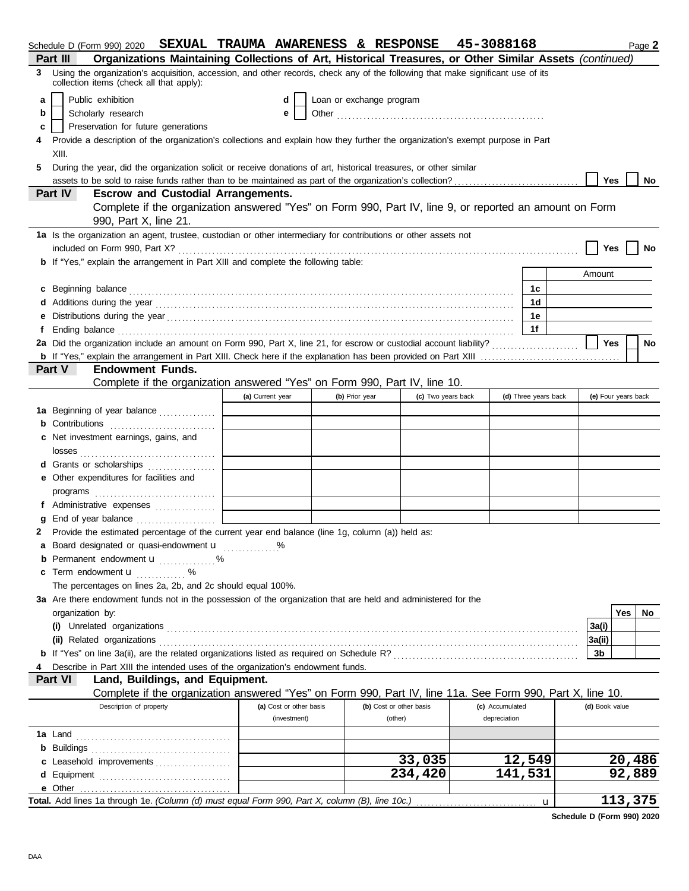|    | Schedule D (Form 990) 2020 SEXUAL TRAUMA AWARENESS & RESPONSE                                                                                                               |                         |                          |                    | 45-3088168      |                      |                     |     | Page 2  |
|----|-----------------------------------------------------------------------------------------------------------------------------------------------------------------------------|-------------------------|--------------------------|--------------------|-----------------|----------------------|---------------------|-----|---------|
|    | Organizations Maintaining Collections of Art, Historical Treasures, or Other Similar Assets (continued)<br>Part III                                                         |                         |                          |                    |                 |                      |                     |     |         |
| 3  | Using the organization's acquisition, accession, and other records, check any of the following that make significant use of its<br>collection items (check all that apply): |                         |                          |                    |                 |                      |                     |     |         |
| a  | Public exhibition                                                                                                                                                           | d                       | Loan or exchange program |                    |                 |                      |                     |     |         |
| b  | Scholarly research                                                                                                                                                          | e                       |                          |                    |                 |                      |                     |     |         |
| c  | Preservation for future generations                                                                                                                                         |                         |                          |                    |                 |                      |                     |     |         |
| 4  | Provide a description of the organization's collections and explain how they further the organization's exempt purpose in Part                                              |                         |                          |                    |                 |                      |                     |     |         |
|    | XIII.                                                                                                                                                                       |                         |                          |                    |                 |                      |                     |     |         |
| 5. | During the year, did the organization solicit or receive donations of art, historical treasures, or other similar                                                           |                         |                          |                    |                 |                      |                     |     |         |
|    |                                                                                                                                                                             |                         |                          |                    |                 |                      | <b>Yes</b>          |     | No      |
|    | Part IV<br><b>Escrow and Custodial Arrangements.</b>                                                                                                                        |                         |                          |                    |                 |                      |                     |     |         |
|    | Complete if the organization answered "Yes" on Form 990, Part IV, line 9, or reported an amount on Form                                                                     |                         |                          |                    |                 |                      |                     |     |         |
|    | 990, Part X, line 21.                                                                                                                                                       |                         |                          |                    |                 |                      |                     |     |         |
|    | 1a Is the organization an agent, trustee, custodian or other intermediary for contributions or other assets not                                                             |                         |                          |                    |                 |                      |                     |     |         |
|    |                                                                                                                                                                             |                         |                          |                    |                 |                      | Yes                 |     | No      |
|    | <b>b</b> If "Yes," explain the arrangement in Part XIII and complete the following table:                                                                                   |                         |                          |                    |                 |                      |                     |     |         |
|    |                                                                                                                                                                             |                         |                          |                    |                 |                      | Amount              |     |         |
|    | c Beginning balance                                                                                                                                                         |                         |                          |                    |                 | 1c                   |                     |     |         |
|    |                                                                                                                                                                             |                         |                          |                    |                 | 1 <sub>d</sub>       |                     |     |         |
|    |                                                                                                                                                                             |                         |                          |                    |                 | 1е                   |                     |     |         |
|    |                                                                                                                                                                             |                         |                          |                    |                 | 1f                   |                     |     |         |
|    | 2a Did the organization include an amount on Form 990, Part X, line 21, for escrow or custodial account liability?                                                          |                         |                          |                    |                 |                      | Yes                 |     | No      |
|    |                                                                                                                                                                             |                         |                          |                    |                 |                      |                     |     |         |
|    | <b>Endowment Funds.</b><br>Part V                                                                                                                                           |                         |                          |                    |                 |                      |                     |     |         |
|    | Complete if the organization answered "Yes" on Form 990, Part IV, line 10.                                                                                                  |                         |                          |                    |                 |                      |                     |     |         |
|    |                                                                                                                                                                             | (a) Current year        | (b) Prior year           | (c) Two years back |                 | (d) Three years back | (e) Four years back |     |         |
|    | 1a Beginning of year balance                                                                                                                                                |                         |                          |                    |                 |                      |                     |     |         |
|    | <b>b</b> Contributions <b>contributions</b>                                                                                                                                 |                         |                          |                    |                 |                      |                     |     |         |
|    | c Net investment earnings, gains, and                                                                                                                                       |                         |                          |                    |                 |                      |                     |     |         |
|    | losses                                                                                                                                                                      |                         |                          |                    |                 |                      |                     |     |         |
|    | <b>d</b> Grants or scholarships                                                                                                                                             |                         |                          |                    |                 |                      |                     |     |         |
|    | .<br>e Other expenditures for facilities and                                                                                                                                |                         |                          |                    |                 |                      |                     |     |         |
|    |                                                                                                                                                                             |                         |                          |                    |                 |                      |                     |     |         |
|    |                                                                                                                                                                             |                         |                          |                    |                 |                      |                     |     |         |
|    |                                                                                                                                                                             |                         |                          |                    |                 |                      |                     |     |         |
| 2. | End of year balance<br>Provide the estimated percentage of the current year end balance (line 1g, column (a)) held as:                                                      |                         |                          |                    |                 |                      |                     |     |         |
|    | Board designated or quasi-endowment u %                                                                                                                                     |                         |                          |                    |                 |                      |                     |     |         |
|    |                                                                                                                                                                             |                         |                          |                    |                 |                      |                     |     |         |
|    | <b>b</b> Permanent endowment <b>u</b> %                                                                                                                                     |                         |                          |                    |                 |                      |                     |     |         |
|    | <b>c</b> Term endowment $\mathbf{u}$                                                                                                                                        |                         |                          |                    |                 |                      |                     |     |         |
|    | The percentages on lines 2a, 2b, and 2c should equal 100%.                                                                                                                  |                         |                          |                    |                 |                      |                     |     |         |
|    | 3a Are there endowment funds not in the possession of the organization that are held and administered for the                                                               |                         |                          |                    |                 |                      |                     |     |         |
|    | organization by:                                                                                                                                                            |                         |                          |                    |                 |                      |                     | Yes | No.     |
|    |                                                                                                                                                                             |                         |                          |                    |                 |                      | 3a(i)               |     |         |
|    | (ii) Related organizations                                                                                                                                                  |                         |                          |                    |                 |                      | 3a(ii)              |     |         |
|    |                                                                                                                                                                             |                         |                          |                    |                 |                      | 3b                  |     |         |
|    | Describe in Part XIII the intended uses of the organization's endowment funds.                                                                                              |                         |                          |                    |                 |                      |                     |     |         |
|    | Land, Buildings, and Equipment.<br>Part VI                                                                                                                                  |                         |                          |                    |                 |                      |                     |     |         |
|    | Complete if the organization answered "Yes" on Form 990, Part IV, line 11a. See Form 990, Part X, line 10.                                                                  |                         |                          |                    |                 |                      |                     |     |         |
|    | Description of property                                                                                                                                                     | (a) Cost or other basis | (b) Cost or other basis  |                    | (c) Accumulated |                      | (d) Book value      |     |         |
|    |                                                                                                                                                                             | (investment)            | (other)                  |                    | depreciation    |                      |                     |     |         |
|    | 1a Land                                                                                                                                                                     |                         |                          |                    |                 |                      |                     |     |         |
|    |                                                                                                                                                                             |                         |                          |                    |                 |                      |                     |     |         |
|    | c Leasehold improvements                                                                                                                                                    |                         |                          | 33,035             |                 | 12,549               |                     |     | 20,486  |
|    |                                                                                                                                                                             |                         |                          | 234,420            |                 | 141,531              |                     |     | 92,889  |
|    |                                                                                                                                                                             |                         |                          |                    |                 |                      |                     |     |         |
|    | Total. Add lines 1a through 1e. (Column (d) must equal Form 990, Part X, column (B), line 10c.) $\ldots$ $\ldots$ $\ldots$ $\ldots$                                         |                         |                          |                    |                 |                      |                     |     | 113,375 |

**Schedule D (Form 990) 2020**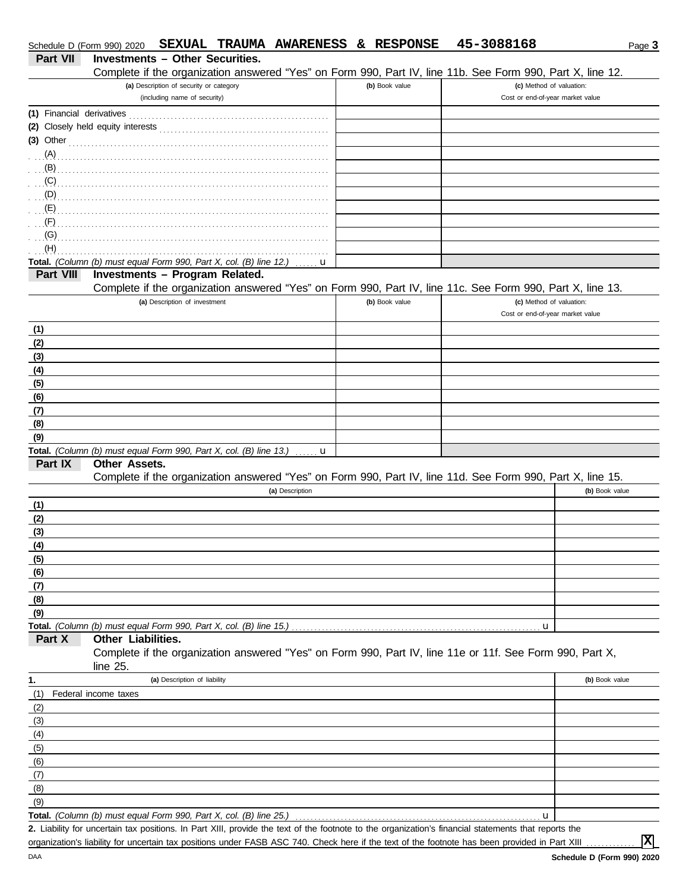| Schedule D (Form 990) 2020 | SEXUAL TRAUMA AWARENESS & RESPONSE                                                                                                                   |                | 45-3088168                                                   | Page 3         |
|----------------------------|------------------------------------------------------------------------------------------------------------------------------------------------------|----------------|--------------------------------------------------------------|----------------|
| Part VII                   | <b>Investments - Other Securities.</b>                                                                                                               |                |                                                              |                |
|                            | Complete if the organization answered "Yes" on Form 990, Part IV, line 11b. See Form 990, Part X, line 12.                                           |                |                                                              |                |
|                            | (a) Description of security or category<br>(including name of security)                                                                              | (b) Book value | (c) Method of valuation:<br>Cost or end-of-year market value |                |
| (1) Financial derivatives  |                                                                                                                                                      |                |                                                              |                |
|                            |                                                                                                                                                      |                |                                                              |                |
| $(3)$ Other                |                                                                                                                                                      |                |                                                              |                |
| $(A)$ .                    |                                                                                                                                                      |                |                                                              |                |
| (B)                        |                                                                                                                                                      |                |                                                              |                |
| (C)                        |                                                                                                                                                      |                |                                                              |                |
| (D)                        |                                                                                                                                                      |                |                                                              |                |
| (E)                        |                                                                                                                                                      |                |                                                              |                |
| (F)                        |                                                                                                                                                      |                |                                                              |                |
| (G)                        |                                                                                                                                                      |                |                                                              |                |
| (H)                        |                                                                                                                                                      |                |                                                              |                |
|                            | Total. (Column (b) must equal Form 990, Part X, col. (B) line 12.)<br>u                                                                              |                |                                                              |                |
| Part VIII                  | Investments - Program Related.                                                                                                                       |                |                                                              |                |
|                            | Complete if the organization answered "Yes" on Form 990, Part IV, line 11c. See Form 990, Part X, line 13.<br>(a) Description of investment          | (b) Book value | (c) Method of valuation:                                     |                |
|                            |                                                                                                                                                      |                | Cost or end-of-year market value                             |                |
| (1)                        |                                                                                                                                                      |                |                                                              |                |
| (2)                        |                                                                                                                                                      |                |                                                              |                |
| (3)                        |                                                                                                                                                      |                |                                                              |                |
| (4)                        |                                                                                                                                                      |                |                                                              |                |
| (5)                        |                                                                                                                                                      |                |                                                              |                |
| (6)                        |                                                                                                                                                      |                |                                                              |                |
| (7)                        |                                                                                                                                                      |                |                                                              |                |
| (8)                        |                                                                                                                                                      |                |                                                              |                |
| (9)                        |                                                                                                                                                      |                |                                                              |                |
|                            | Total. (Column (b) must equal Form 990, Part X, col. (B) line 13.)<br>. <b>. u</b>                                                                   |                |                                                              |                |
| Part IX                    | <b>Other Assets.</b><br>Complete if the organization answered "Yes" on Form 990, Part IV, line 11d. See Form 990, Part X, line 15.                   |                |                                                              |                |
|                            | (a) Description                                                                                                                                      |                |                                                              | (b) Book value |
| (1)                        |                                                                                                                                                      |                |                                                              |                |
| (2)                        |                                                                                                                                                      |                |                                                              |                |
| (3)                        |                                                                                                                                                      |                |                                                              |                |
| (4)                        |                                                                                                                                                      |                |                                                              |                |
| (5)                        |                                                                                                                                                      |                |                                                              |                |
| (6)                        |                                                                                                                                                      |                |                                                              |                |
| (7)                        |                                                                                                                                                      |                |                                                              |                |
| (8)                        |                                                                                                                                                      |                |                                                              |                |
| (9)                        |                                                                                                                                                      |                |                                                              |                |
|                            | Total. (Column (b) must equal Form 990, Part X, col. (B) line 15.)                                                                                   |                | u                                                            |                |
| Part X                     | Other Liabilities.<br>Complete if the organization answered "Yes" on Form 990, Part IV, line 11e or 11f. See Form 990, Part X,                       |                |                                                              |                |
|                            | line $25$ .                                                                                                                                          |                |                                                              |                |
| 1.                         | (a) Description of liability                                                                                                                         |                |                                                              | (b) Book value |
| (1)                        | Federal income taxes                                                                                                                                 |                |                                                              |                |
| (2)                        |                                                                                                                                                      |                |                                                              |                |
| (3)                        |                                                                                                                                                      |                |                                                              |                |
| (4)<br>(5)                 |                                                                                                                                                      |                |                                                              |                |
| (6)                        |                                                                                                                                                      |                |                                                              |                |
| (7)                        |                                                                                                                                                      |                |                                                              |                |
| (8)                        |                                                                                                                                                      |                |                                                              |                |
| (9)                        |                                                                                                                                                      |                |                                                              |                |
|                            | Total. (Column (b) must equal Form 990, Part X, col. (B) line 25.)                                                                                   |                | u                                                            |                |
|                            | 2. Liability for uncertain tax positions. In Part XIII, provide the text of the footnote to the organization's financial statements that reports the |                |                                                              |                |
|                            | organization's liability for uncertain tax positions under FASB ASC 740. Check here if the text of the footnote has been provided in Part XIII       |                |                                                              | $ \mathbf{x} $ |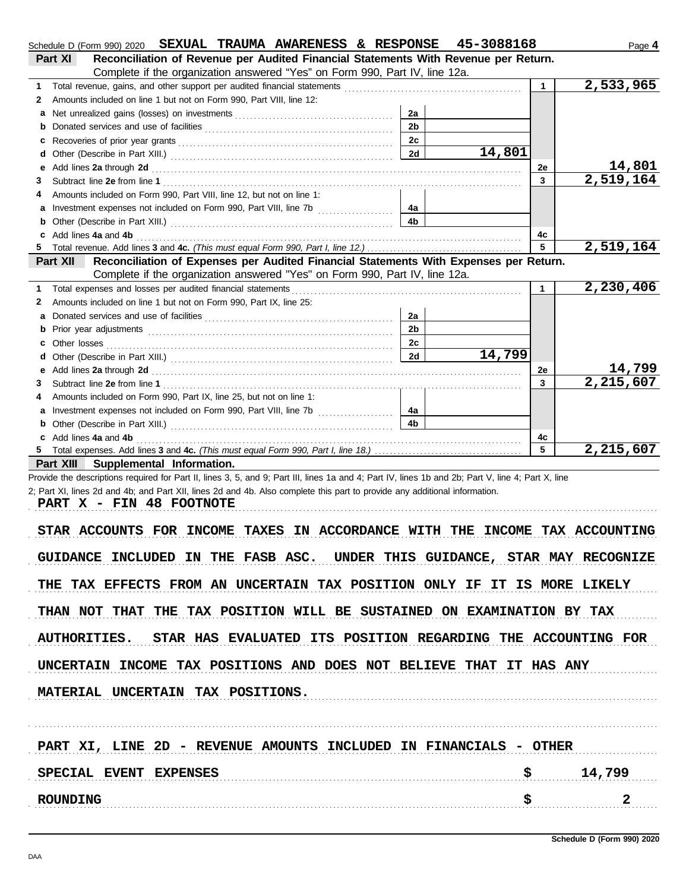|    | Schedule D (Form 990) 2020 SEXUAL TRAUMA AWARENESS & RESPONSE                                                                                      |                | 45-3088168 |              | Page 4    |
|----|----------------------------------------------------------------------------------------------------------------------------------------------------|----------------|------------|--------------|-----------|
|    | Reconciliation of Revenue per Audited Financial Statements With Revenue per Return.<br>Part XI                                                     |                |            |              |           |
|    | Complete if the organization answered "Yes" on Form 990, Part IV, line 12a.                                                                        |                |            |              |           |
| 1. | Total revenue, gains, and other support per audited financial statements                                                                           |                |            | $\mathbf{1}$ | 2,533,965 |
| 2  | Amounts included on line 1 but not on Form 990, Part VIII, line 12:                                                                                |                |            |              |           |
| а  |                                                                                                                                                    | 2a             |            |              |           |
| b  |                                                                                                                                                    | 2 <sub>b</sub> |            |              |           |
| c  |                                                                                                                                                    | 2c             |            |              |           |
| d  |                                                                                                                                                    | 2d             | 14,801     |              |           |
| е  | Add lines 2a through 2d                                                                                                                            |                |            | 2e           | 14,801    |
| З  |                                                                                                                                                    |                |            | 3            | 2,519,164 |
|    | Amounts included on Form 990, Part VIII, line 12, but not on line 1:                                                                               |                |            |              |           |
| а  |                                                                                                                                                    | 4a             |            |              |           |
| b  |                                                                                                                                                    | 4b             |            |              |           |
|    | Add lines 4a and 4b                                                                                                                                |                |            | 4c<br>5      | 2,519,164 |
|    | Reconciliation of Expenses per Audited Financial Statements With Expenses per Return.<br>Part XII                                                  |                |            |              |           |
|    | Complete if the organization answered "Yes" on Form 990, Part IV, line 12a.                                                                        |                |            |              |           |
|    | Total expenses and losses per audited financial statements                                                                                         |                |            | $\mathbf{1}$ | 2,230,406 |
| 2  | Amounts included on line 1 but not on Form 990, Part IX, line 25:                                                                                  |                |            |              |           |
|    |                                                                                                                                                    | 2a             |            |              |           |
| а  |                                                                                                                                                    | 2 <sub>b</sub> |            |              |           |
| с  | Other losses                                                                                                                                       | 2c             |            |              |           |
| d  |                                                                                                                                                    | 2d             | 14,799     |              |           |
| е  |                                                                                                                                                    |                |            | 2е           | 14,799    |
| З  |                                                                                                                                                    |                |            | 3            | 2,215,607 |
|    | Amounts included on Form 990, Part IX, line 25, but not on line 1:                                                                                 |                |            |              |           |
| а  | Investment expenses not included on Form 990, Part VIII, line 7b [                                                                                 | 4a             |            |              |           |
| b  |                                                                                                                                                    | 4b             |            |              |           |
|    | Add lines 4a and 4b                                                                                                                                |                |            | 4c           |           |
| 5  |                                                                                                                                                    |                |            | 5            | 2,215,607 |
|    | Part XIII Supplemental Information.                                                                                                                |                |            |              |           |
|    | Provide the descriptions required for Part II, lines 3, 5, and 9; Part III, lines 1a and 4; Part IV, lines 1b and 2b; Part V, line 4; Part X, line |                |            |              |           |
|    | 2; Part XI, lines 2d and 4b; and Part XII, lines 2d and 4b. Also complete this part to provide any additional information.                         |                |            |              |           |
|    | PART X - FIN 48 FOOTNOTE                                                                                                                           |                |            |              |           |
|    |                                                                                                                                                    |                |            |              |           |
|    | STAR ACCOUNTS FOR INCOME TAXES IN ACCORDANCE WITH THE INCOME TAX ACCOUNTING                                                                        |                |            |              |           |
|    |                                                                                                                                                    |                |            |              |           |
|    | GUIDANCE INCLUDED IN THE FASB ASC. UNDER THIS GUIDANCE, STAR MAY RECOGNIZE                                                                         |                |            |              |           |
|    |                                                                                                                                                    |                |            |              |           |
|    | THE TAX EFFECTS FROM AN UNCERTAIN TAX POSITION ONLY IF IT IS MORE LIKELY                                                                           |                |            |              |           |
|    |                                                                                                                                                    |                |            |              |           |
|    | THAN NOT THAT THE TAX POSITION WILL BE SUSTAINED ON EXAMINATION BY TAX                                                                             |                |            |              |           |
|    |                                                                                                                                                    |                |            |              |           |
|    | AUTHORITIES. STAR HAS EVALUATED ITS POSITION REGARDING THE ACCOUNTING FOR                                                                          |                |            |              |           |
|    |                                                                                                                                                    |                |            |              |           |
|    | UNCERTAIN INCOME TAX POSITIONS AND DOES NOT BELIEVE THAT IT HAS ANY                                                                                |                |            |              |           |
|    |                                                                                                                                                    |                |            |              |           |
|    | MATERIAL UNCERTAIN TAX POSITIONS.                                                                                                                  |                |            |              |           |
|    |                                                                                                                                                    |                |            |              |           |
|    |                                                                                                                                                    |                |            |              |           |
|    |                                                                                                                                                    |                |            |              |           |
|    | PART XI, LINE 2D - REVENUE AMOUNTS INCLUDED IN FINANCIALS - OTHER                                                                                  |                |            |              |           |
|    |                                                                                                                                                    |                |            |              |           |
|    | SPECIAL EVENT EXPENSES                                                                                                                             |                |            |              | 14,799    |
|    |                                                                                                                                                    |                |            |              |           |
|    | <b>ROUNDING</b>                                                                                                                                    |                |            |              |           |
|    |                                                                                                                                                    |                |            |              |           |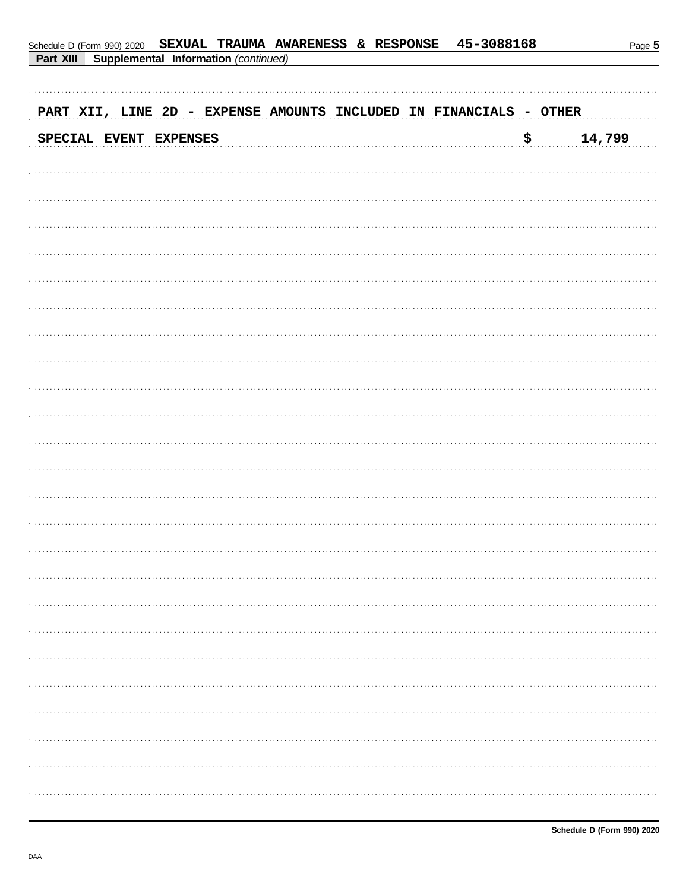| Schedule D (Form 990) 2020 SEXUAL TRAUMA AWARENESS & RESPONSE<br>Part XIII | Supplemental Information (continued) |  | 45-3088168                  | Page 5 |
|----------------------------------------------------------------------------|--------------------------------------|--|-----------------------------|--------|
| PART XII, LINE 2D - EXPENSE AMOUNTS INCLUDED IN FINANCIALS - OTHER         |                                      |  |                             |        |
| SPECIAL EVENT EXPENSES                                                     |                                      |  | $\boldsymbol{\mathsf{S}}$ . | 14,799 |
|                                                                            |                                      |  |                             |        |
|                                                                            |                                      |  |                             |        |
|                                                                            |                                      |  |                             |        |
|                                                                            |                                      |  |                             |        |
|                                                                            |                                      |  |                             |        |
|                                                                            |                                      |  |                             |        |
|                                                                            |                                      |  |                             |        |
|                                                                            |                                      |  |                             |        |
|                                                                            |                                      |  |                             |        |
|                                                                            |                                      |  |                             |        |
|                                                                            |                                      |  |                             |        |
|                                                                            |                                      |  |                             |        |
|                                                                            |                                      |  |                             |        |
|                                                                            |                                      |  |                             |        |
|                                                                            |                                      |  |                             |        |
|                                                                            |                                      |  |                             |        |
|                                                                            |                                      |  |                             |        |
|                                                                            |                                      |  |                             |        |
|                                                                            |                                      |  |                             |        |
|                                                                            |                                      |  |                             |        |
|                                                                            |                                      |  |                             |        |
|                                                                            |                                      |  |                             |        |
|                                                                            |                                      |  |                             |        |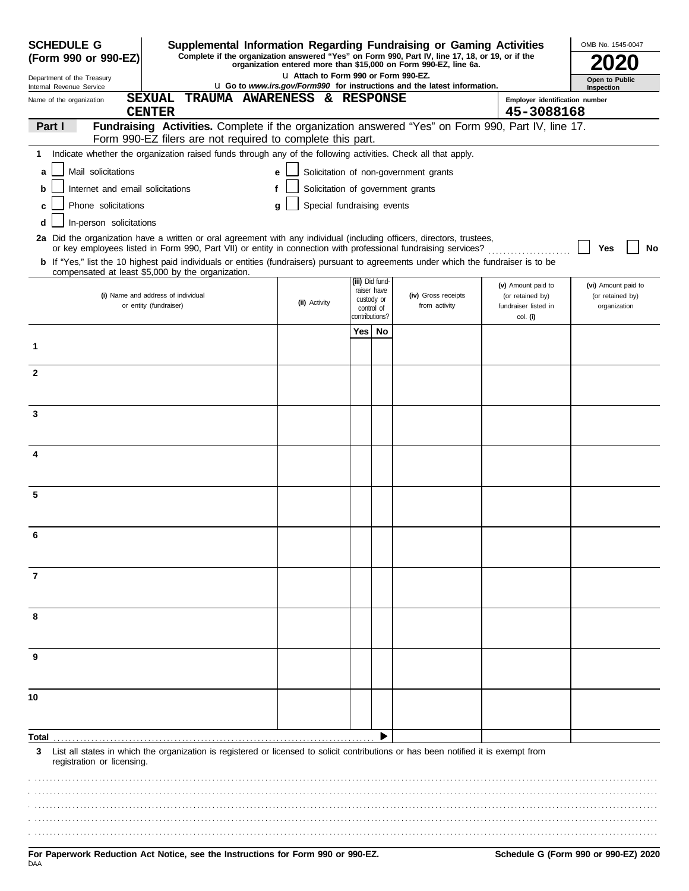| <b>SCHEDULE G</b>                                      | Supplemental Information Regarding Fundraising or Gaming Activities                                                                                                                                                                      |                                        |                |                           |                                                                                 |                                        | OMB No. 1545-0047                       |
|--------------------------------------------------------|------------------------------------------------------------------------------------------------------------------------------------------------------------------------------------------------------------------------------------------|----------------------------------------|----------------|---------------------------|---------------------------------------------------------------------------------|----------------------------------------|-----------------------------------------|
| (Form 990 or 990-EZ)                                   | Complete if the organization answered "Yes" on Form 990, Part IV, line 17, 18, or 19, or if the                                                                                                                                          |                                        |                |                           | organization entered more than \$15,000 on Form 990-EZ, line 6a.                |                                        |                                         |
| Department of the Treasury<br>Internal Revenue Service |                                                                                                                                                                                                                                          | L1 Attach to Form 990 or Form 990-EZ.  |                |                           | <b>u</b> Go to www.irs.gov/Form990 for instructions and the latest information. |                                        | Open to Public<br>Inspection            |
| Name of the organization                               | <b>SEXUAL</b><br>TRAUMA AWARENESS & RESPONSE                                                                                                                                                                                             |                                        |                |                           |                                                                                 | Employer identification number         |                                         |
|                                                        | <b>CENTER</b>                                                                                                                                                                                                                            |                                        |                |                           |                                                                                 | 45-3088168                             |                                         |
| Part I                                                 | Fundraising Activities. Complete if the organization answered "Yes" on Form 990, Part IV, line 17.<br>Form 990-EZ filers are not required to complete this part.                                                                         |                                        |                |                           |                                                                                 |                                        |                                         |
| 1.                                                     | Indicate whether the organization raised funds through any of the following activities. Check all that apply.                                                                                                                            |                                        |                |                           |                                                                                 |                                        |                                         |
| Mail solicitations<br>a                                |                                                                                                                                                                                                                                          | e                                      |                |                           | Solicitation of non-government grants                                           |                                        |                                         |
| Internet and email solicitations<br>b                  |                                                                                                                                                                                                                                          | Solicitation of government grants<br>f |                |                           |                                                                                 |                                        |                                         |
| Phone solicitations<br>c                               |                                                                                                                                                                                                                                          | Special fundraising events<br>g        |                |                           |                                                                                 |                                        |                                         |
| In-person solicitations<br>d                           |                                                                                                                                                                                                                                          |                                        |                |                           |                                                                                 |                                        |                                         |
|                                                        | 2a Did the organization have a written or oral agreement with any individual (including officers, directors, trustees,<br>or key employees listed in Form 990, Part VII) or entity in connection with professional fundraising services? |                                        |                |                           |                                                                                 |                                        | No<br>Yes                               |
|                                                        | b If "Yes," list the 10 highest paid individuals or entities (fundraisers) pursuant to agreements under which the fundraiser is to be                                                                                                    |                                        |                |                           |                                                                                 |                                        |                                         |
|                                                        | compensated at least \$5,000 by the organization.                                                                                                                                                                                        |                                        |                | (iii) Did fund-           |                                                                                 |                                        |                                         |
|                                                        | (i) Name and address of individual                                                                                                                                                                                                       |                                        |                | raiser have<br>custody or | (iv) Gross receipts                                                             | (v) Amount paid to<br>(or retained by) | (vi) Amount paid to<br>(or retained by) |
|                                                        | or entity (fundraiser)                                                                                                                                                                                                                   | (ii) Activity                          | contributions? | control of                | from activity                                                                   | fundraiser listed in<br>col. (i)       | organization                            |
|                                                        |                                                                                                                                                                                                                                          |                                        | Yes            | No                        |                                                                                 |                                        |                                         |
| 1                                                      |                                                                                                                                                                                                                                          |                                        |                |                           |                                                                                 |                                        |                                         |
| $\mathbf{2}$                                           |                                                                                                                                                                                                                                          |                                        |                |                           |                                                                                 |                                        |                                         |
|                                                        |                                                                                                                                                                                                                                          |                                        |                |                           |                                                                                 |                                        |                                         |
|                                                        |                                                                                                                                                                                                                                          |                                        |                |                           |                                                                                 |                                        |                                         |
| 3                                                      |                                                                                                                                                                                                                                          |                                        |                |                           |                                                                                 |                                        |                                         |
|                                                        |                                                                                                                                                                                                                                          |                                        |                |                           |                                                                                 |                                        |                                         |
| 4                                                      |                                                                                                                                                                                                                                          |                                        |                |                           |                                                                                 |                                        |                                         |
|                                                        |                                                                                                                                                                                                                                          |                                        |                |                           |                                                                                 |                                        |                                         |
| 5                                                      |                                                                                                                                                                                                                                          |                                        |                |                           |                                                                                 |                                        |                                         |
|                                                        |                                                                                                                                                                                                                                          |                                        |                |                           |                                                                                 |                                        |                                         |
| 6                                                      |                                                                                                                                                                                                                                          |                                        |                |                           |                                                                                 |                                        |                                         |
|                                                        |                                                                                                                                                                                                                                          |                                        |                |                           |                                                                                 |                                        |                                         |
|                                                        |                                                                                                                                                                                                                                          |                                        |                |                           |                                                                                 |                                        |                                         |
| 7                                                      |                                                                                                                                                                                                                                          |                                        |                |                           |                                                                                 |                                        |                                         |
|                                                        |                                                                                                                                                                                                                                          |                                        |                |                           |                                                                                 |                                        |                                         |
| 8                                                      |                                                                                                                                                                                                                                          |                                        |                |                           |                                                                                 |                                        |                                         |
|                                                        |                                                                                                                                                                                                                                          |                                        |                |                           |                                                                                 |                                        |                                         |
| 9                                                      |                                                                                                                                                                                                                                          |                                        |                |                           |                                                                                 |                                        |                                         |
|                                                        |                                                                                                                                                                                                                                          |                                        |                |                           |                                                                                 |                                        |                                         |
| 10                                                     |                                                                                                                                                                                                                                          |                                        |                |                           |                                                                                 |                                        |                                         |
|                                                        |                                                                                                                                                                                                                                          |                                        |                |                           |                                                                                 |                                        |                                         |
|                                                        |                                                                                                                                                                                                                                          |                                        |                |                           |                                                                                 |                                        |                                         |
| Total                                                  |                                                                                                                                                                                                                                          |                                        |                |                           |                                                                                 |                                        |                                         |
| 3<br>registration or licensing.                        | List all states in which the organization is registered or licensed to solicit contributions or has been notified it is exempt from                                                                                                      |                                        |                |                           |                                                                                 |                                        |                                         |
|                                                        |                                                                                                                                                                                                                                          |                                        |                |                           |                                                                                 |                                        |                                         |
|                                                        |                                                                                                                                                                                                                                          |                                        |                |                           |                                                                                 |                                        |                                         |
|                                                        |                                                                                                                                                                                                                                          |                                        |                |                           |                                                                                 |                                        |                                         |
|                                                        |                                                                                                                                                                                                                                          |                                        |                |                           |                                                                                 |                                        |                                         |
|                                                        |                                                                                                                                                                                                                                          |                                        |                |                           |                                                                                 |                                        |                                         |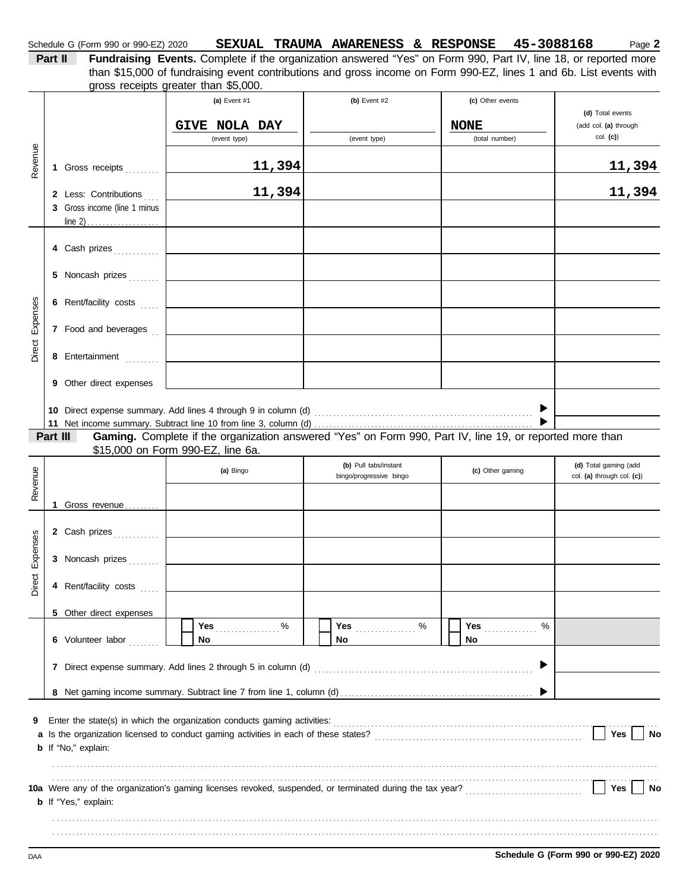| Schedule G (Form 990 or 990-EZ) 2020 |  |  | SEXUAL TRAUMA AWARENESS & RESPONSE 45-3088168 | Page $2$ |
|--------------------------------------|--|--|-----------------------------------------------|----------|
|                                      |  |  |                                               |          |

**Part II Fundraising Events.** Complete if the organization answered "Yes" on Form 990, Part IV, line 18, or reported more gross receipts greater than \$5,000. than \$15,000 of fundraising event contributions and gross income on Form 990-EZ, lines 1 and 6b. List events with

|                 |          |                                                                          | (a) Event $#1$                    |        | (b) Event $#2$                                                                                           | (c) Other events |                                      |
|-----------------|----------|--------------------------------------------------------------------------|-----------------------------------|--------|----------------------------------------------------------------------------------------------------------|------------------|--------------------------------------|
|                 |          |                                                                          |                                   |        |                                                                                                          |                  | (d) Total events                     |
|                 |          |                                                                          | <b>GIVE NOLA DAY</b>              |        |                                                                                                          | <b>NONE</b>      | (add col. (a) through                |
|                 |          |                                                                          | (event type)                      |        | (event type)                                                                                             | (total number)   | $col.$ (c))                          |
| Revenue         |          | 1 Gross receipts                                                         |                                   | 11,394 |                                                                                                          |                  | 11,394                               |
|                 |          | 2 Less: Contributions                                                    |                                   | 11,394 |                                                                                                          |                  | 11,394                               |
|                 |          | 3 Gross income (line 1 minus                                             |                                   |        |                                                                                                          |                  |                                      |
|                 |          |                                                                          |                                   |        |                                                                                                          |                  |                                      |
|                 |          |                                                                          |                                   |        |                                                                                                          |                  |                                      |
|                 |          | 4 Cash prizes                                                            |                                   |        |                                                                                                          |                  |                                      |
|                 |          |                                                                          |                                   |        |                                                                                                          |                  |                                      |
|                 |          | 5 Noncash prizes                                                         |                                   |        |                                                                                                          |                  |                                      |
|                 |          |                                                                          |                                   |        |                                                                                                          |                  |                                      |
|                 |          | 6 Rent/facility costs                                                    |                                   |        |                                                                                                          |                  |                                      |
| Direct Expenses |          |                                                                          |                                   |        |                                                                                                          |                  |                                      |
|                 |          | 7 Food and beverages                                                     |                                   |        |                                                                                                          |                  |                                      |
|                 |          |                                                                          |                                   |        |                                                                                                          |                  |                                      |
|                 |          | 8 Entertainment                                                          |                                   |        |                                                                                                          |                  |                                      |
|                 |          |                                                                          |                                   |        |                                                                                                          |                  |                                      |
|                 |          | 9 Other direct expenses                                                  |                                   |        |                                                                                                          |                  |                                      |
|                 |          |                                                                          |                                   |        |                                                                                                          |                  |                                      |
|                 |          |                                                                          |                                   |        |                                                                                                          |                  |                                      |
|                 | Part III |                                                                          |                                   |        | Gaming. Complete if the organization answered "Yes" on Form 990, Part IV, line 19, or reported more than |                  |                                      |
|                 |          |                                                                          | \$15,000 on Form 990-EZ, line 6a. |        |                                                                                                          |                  |                                      |
|                 |          |                                                                          |                                   |        | (b) Pull tabs/instant                                                                                    |                  | (d) Total gaming (add                |
|                 |          |                                                                          | (a) Bingo                         |        | bingo/progressive bingo                                                                                  | (c) Other gaming | col. (a) through col. (c))           |
| Revenue         |          |                                                                          |                                   |        |                                                                                                          |                  |                                      |
|                 |          | 1 Gross revenue                                                          |                                   |        |                                                                                                          |                  |                                      |
|                 |          |                                                                          |                                   |        |                                                                                                          |                  |                                      |
|                 |          | 2 Cash prizes                                                            |                                   |        |                                                                                                          |                  |                                      |
| Expenses        |          |                                                                          |                                   |        |                                                                                                          |                  |                                      |
|                 |          | 3 Noncash prizes                                                         |                                   |        |                                                                                                          |                  |                                      |
| Direct          |          |                                                                          |                                   |        |                                                                                                          |                  |                                      |
|                 |          | 4 Rent/facility costs                                                    |                                   |        |                                                                                                          |                  |                                      |
|                 |          |                                                                          |                                   |        |                                                                                                          |                  |                                      |
|                 |          | 5 Other direct expenses                                                  |                                   |        |                                                                                                          |                  |                                      |
|                 |          | 6 Volunteer labor                                                        | Yes                               | %      | Yes<br>%                                                                                                 | $\%$<br>Yes      |                                      |
|                 |          |                                                                          | No                                |        | No                                                                                                       | No               |                                      |
|                 |          | 7 Direct expense summary. Add lines 2 through 5 in column (d)            |                                   |        |                                                                                                          |                  |                                      |
|                 |          |                                                                          |                                   |        |                                                                                                          |                  |                                      |
|                 |          |                                                                          |                                   |        |                                                                                                          |                  |                                      |
|                 |          |                                                                          |                                   |        |                                                                                                          |                  |                                      |
| 9               |          | Enter the state(s) in which the organization conducts gaming activities: |                                   |        |                                                                                                          |                  |                                      |
|                 |          |                                                                          |                                   |        |                                                                                                          |                  | Yes<br>No                            |
|                 |          | <b>b</b> If "No," explain:                                               |                                   |        |                                                                                                          |                  |                                      |
|                 |          |                                                                          |                                   |        |                                                                                                          |                  |                                      |
|                 |          |                                                                          |                                   |        |                                                                                                          |                  |                                      |
|                 |          |                                                                          |                                   |        |                                                                                                          |                  | Yes<br>No                            |
|                 |          | <b>b</b> If "Yes," explain:                                              |                                   |        |                                                                                                          |                  |                                      |
|                 |          |                                                                          |                                   |        |                                                                                                          |                  |                                      |
|                 |          |                                                                          |                                   |        |                                                                                                          |                  |                                      |
|                 |          |                                                                          |                                   |        |                                                                                                          |                  |                                      |
| DAA             |          |                                                                          |                                   |        |                                                                                                          |                  | Schedule G (Form 990 or 990-EZ) 2020 |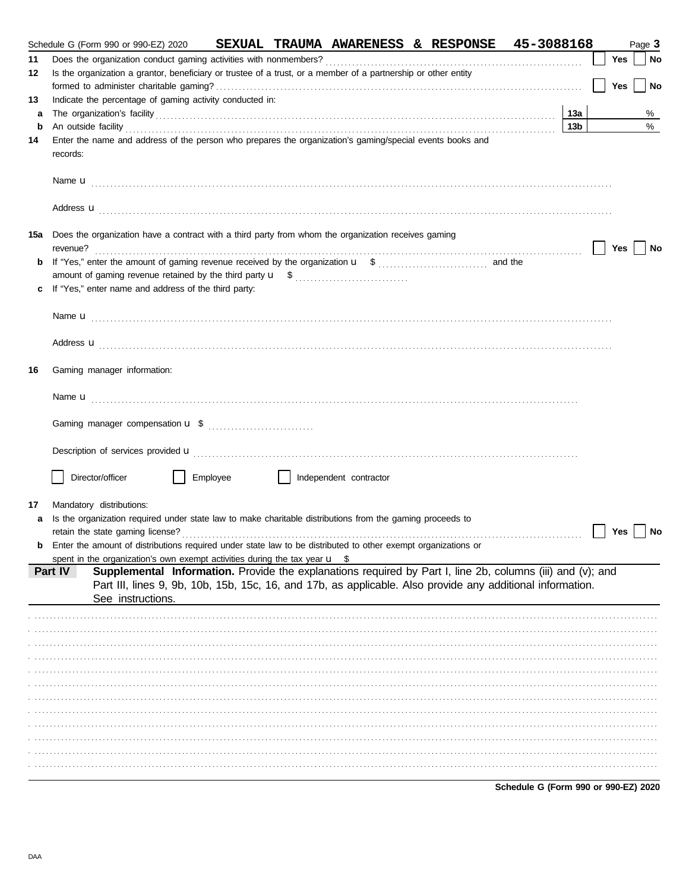|     | Schedule G (Form 990 or 990-EZ) 2020                                                                                                                                                                                                 |          | SEXUAL TRAUMA AWARENESS & RESPONSE |  | 45-3088168 |                 |     | Page 3 |           |
|-----|--------------------------------------------------------------------------------------------------------------------------------------------------------------------------------------------------------------------------------------|----------|------------------------------------|--|------------|-----------------|-----|--------|-----------|
| 11  |                                                                                                                                                                                                                                      |          |                                    |  |            |                 |     | Yes    | ∣ No      |
| 12  | Is the organization a grantor, beneficiary or trustee of a trust, or a member of a partnership or other entity                                                                                                                       |          |                                    |  |            |                 |     |        |           |
|     |                                                                                                                                                                                                                                      |          |                                    |  |            |                 | Yes |        | No        |
| 13  | Indicate the percentage of gaming activity conducted in:                                                                                                                                                                             |          |                                    |  |            |                 |     |        |           |
| a   |                                                                                                                                                                                                                                      |          |                                    |  |            | 13a             |     |        | %         |
| b   | An outside facility <b>contained a set of the contract of the contract of the contract of the contract of the contract of the contract of the contract of the contract of the contract of the contract of the contract of the co</b> |          |                                    |  |            | 13 <sub>b</sub> |     |        | $\%$      |
| 14  | Enter the name and address of the person who prepares the organization's gaming/special events books and<br>records:                                                                                                                 |          |                                    |  |            |                 |     |        |           |
|     |                                                                                                                                                                                                                                      |          |                                    |  |            |                 |     |        |           |
|     | Address <b>u</b>                                                                                                                                                                                                                     |          |                                    |  |            |                 |     |        |           |
| 15а | Does the organization have a contract with a third party from whom the organization receives gaming                                                                                                                                  |          |                                    |  |            |                 | Yes |        | No        |
|     |                                                                                                                                                                                                                                      |          |                                    |  |            |                 |     |        |           |
|     |                                                                                                                                                                                                                                      |          |                                    |  |            |                 |     |        |           |
| c   | If "Yes," enter name and address of the third party:                                                                                                                                                                                 |          |                                    |  |            |                 |     |        |           |
|     |                                                                                                                                                                                                                                      |          |                                    |  |            |                 |     |        |           |
|     | Address <b>u</b>                                                                                                                                                                                                                     |          |                                    |  |            |                 |     |        |           |
| 16  | Gaming manager information:                                                                                                                                                                                                          |          |                                    |  |            |                 |     |        |           |
|     |                                                                                                                                                                                                                                      |          |                                    |  |            |                 |     |        |           |
|     |                                                                                                                                                                                                                                      |          |                                    |  |            |                 |     |        |           |
|     | Description of services provided <b>u</b> electron contract the service of the service of services provided <b>u</b>                                                                                                                 |          |                                    |  |            |                 |     |        |           |
|     | Director/officer                                                                                                                                                                                                                     | Employee | Independent contractor             |  |            |                 |     |        |           |
|     |                                                                                                                                                                                                                                      |          |                                    |  |            |                 |     |        |           |
| 17  | Mandatory distributions:                                                                                                                                                                                                             |          |                                    |  |            |                 |     |        |           |
| a   | Is the organization required under state law to make charitable distributions from the gaming proceeds to                                                                                                                            |          |                                    |  |            |                 |     | Yes    | <b>No</b> |
|     | Enter the amount of distributions required under state law to be distributed to other exempt organizations or                                                                                                                        |          |                                    |  |            |                 |     |        |           |
|     | spent in the organization's own exempt activities during the tax year $\mathbf{u}$ \$                                                                                                                                                |          |                                    |  |            |                 |     |        |           |
|     | Supplemental Information. Provide the explanations required by Part I, line 2b, columns (iii) and (v); and<br>Part IV                                                                                                                |          |                                    |  |            |                 |     |        |           |
|     | Part III, lines 9, 9b, 10b, 15b, 15c, 16, and 17b, as applicable. Also provide any additional information.                                                                                                                           |          |                                    |  |            |                 |     |        |           |
|     | See instructions.                                                                                                                                                                                                                    |          |                                    |  |            |                 |     |        |           |
|     |                                                                                                                                                                                                                                      |          |                                    |  |            |                 |     |        |           |
|     |                                                                                                                                                                                                                                      |          |                                    |  |            |                 |     |        |           |
|     |                                                                                                                                                                                                                                      |          |                                    |  |            |                 |     |        |           |
|     |                                                                                                                                                                                                                                      |          |                                    |  |            |                 |     |        |           |
|     |                                                                                                                                                                                                                                      |          |                                    |  |            |                 |     |        |           |
|     |                                                                                                                                                                                                                                      |          |                                    |  |            |                 |     |        |           |
|     |                                                                                                                                                                                                                                      |          |                                    |  |            |                 |     |        |           |
|     |                                                                                                                                                                                                                                      |          |                                    |  |            |                 |     |        |           |
|     |                                                                                                                                                                                                                                      |          |                                    |  |            |                 |     |        |           |
|     |                                                                                                                                                                                                                                      |          |                                    |  |            |                 |     |        |           |
|     |                                                                                                                                                                                                                                      |          |                                    |  |            |                 |     |        |           |
|     |                                                                                                                                                                                                                                      |          |                                    |  |            |                 |     |        |           |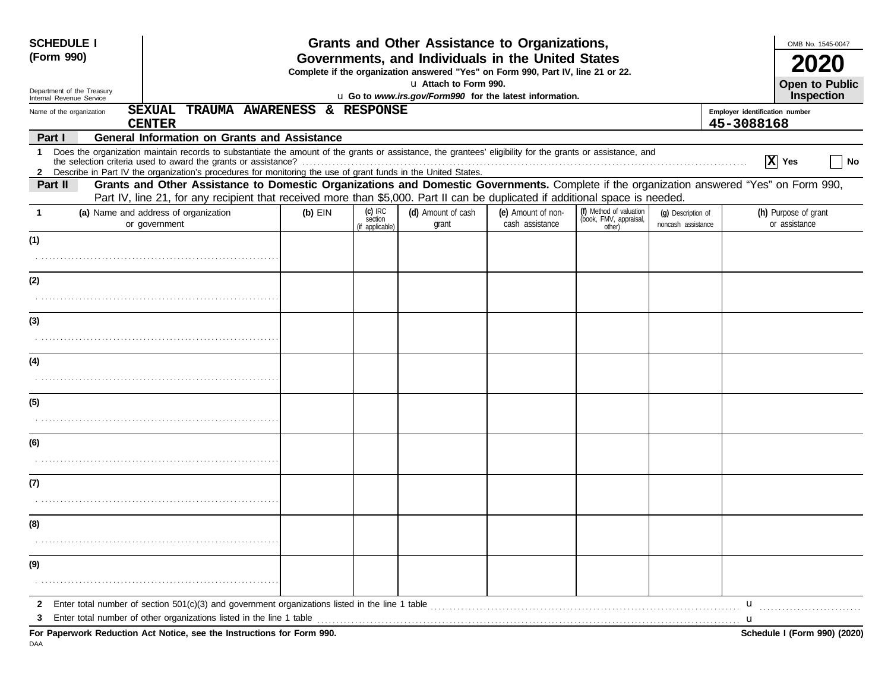| <b>General Information on Grants and Assistance</b> |                                                                        | Governments, and Individuals in the United States<br>Complete if the organization answered "Yes" on Form 990, Part IV, line 21 or 22.<br>La Attach to Form 990.                                                                                                               |                                       |                                                                                               |                                          | <b>Open to Public</b><br>Inspection                                                                                                                                                                                                                                                                                                                                                                                                     |  |  |  |  |  |  |  |  |
|-----------------------------------------------------|------------------------------------------------------------------------|-------------------------------------------------------------------------------------------------------------------------------------------------------------------------------------------------------------------------------------------------------------------------------|---------------------------------------|-----------------------------------------------------------------------------------------------|------------------------------------------|-----------------------------------------------------------------------------------------------------------------------------------------------------------------------------------------------------------------------------------------------------------------------------------------------------------------------------------------------------------------------------------------------------------------------------------------|--|--|--|--|--|--|--|--|
|                                                     |                                                                        |                                                                                                                                                                                                                                                                               |                                       |                                                                                               |                                          |                                                                                                                                                                                                                                                                                                                                                                                                                                         |  |  |  |  |  |  |  |  |
|                                                     |                                                                        |                                                                                                                                                                                                                                                                               |                                       |                                                                                               |                                          |                                                                                                                                                                                                                                                                                                                                                                                                                                         |  |  |  |  |  |  |  |  |
|                                                     |                                                                        |                                                                                                                                                                                                                                                                               |                                       | u Go to www.irs.gov/Form990 for the latest information.<br>SEXUAL TRAUMA AWARENESS & RESPONSE |                                          |                                                                                                                                                                                                                                                                                                                                                                                                                                         |  |  |  |  |  |  |  |  |
|                                                     |                                                                        |                                                                                                                                                                                                                                                                               |                                       |                                                                                               |                                          | Employer identification number<br>45-3088168                                                                                                                                                                                                                                                                                                                                                                                            |  |  |  |  |  |  |  |  |
|                                                     |                                                                        |                                                                                                                                                                                                                                                                               |                                       |                                                                                               |                                          |                                                                                                                                                                                                                                                                                                                                                                                                                                         |  |  |  |  |  |  |  |  |
|                                                     |                                                                        | Does the organization maintain records to substantiate the amount of the grants or assistance, the grantees' eligibility for the grants or assistance, and<br>2 Describe in Part IV the organization's procedures for monitoring the use of grant funds in the United States. |                                       |                                                                                               |                                          | X Yes<br>No                                                                                                                                                                                                                                                                                                                                                                                                                             |  |  |  |  |  |  |  |  |
|                                                     |                                                                        |                                                                                                                                                                                                                                                                               |                                       |                                                                                               |                                          |                                                                                                                                                                                                                                                                                                                                                                                                                                         |  |  |  |  |  |  |  |  |
|                                                     |                                                                        |                                                                                                                                                                                                                                                                               |                                       |                                                                                               |                                          |                                                                                                                                                                                                                                                                                                                                                                                                                                         |  |  |  |  |  |  |  |  |
| $(b)$ EIN                                           | $(c)$ IRC<br>section<br>(if applicable)                                | grant                                                                                                                                                                                                                                                                         | (e) Amount of non-<br>cash assistance | (book, FMV, appraisal,<br>other)                                                              | (g) Description of<br>noncash assistance | (h) Purpose of grant<br>or assistance                                                                                                                                                                                                                                                                                                                                                                                                   |  |  |  |  |  |  |  |  |
|                                                     |                                                                        |                                                                                                                                                                                                                                                                               |                                       |                                                                                               |                                          |                                                                                                                                                                                                                                                                                                                                                                                                                                         |  |  |  |  |  |  |  |  |
|                                                     |                                                                        |                                                                                                                                                                                                                                                                               |                                       |                                                                                               |                                          |                                                                                                                                                                                                                                                                                                                                                                                                                                         |  |  |  |  |  |  |  |  |
|                                                     |                                                                        |                                                                                                                                                                                                                                                                               |                                       |                                                                                               |                                          |                                                                                                                                                                                                                                                                                                                                                                                                                                         |  |  |  |  |  |  |  |  |
|                                                     |                                                                        |                                                                                                                                                                                                                                                                               |                                       |                                                                                               |                                          |                                                                                                                                                                                                                                                                                                                                                                                                                                         |  |  |  |  |  |  |  |  |
|                                                     |                                                                        |                                                                                                                                                                                                                                                                               |                                       |                                                                                               |                                          |                                                                                                                                                                                                                                                                                                                                                                                                                                         |  |  |  |  |  |  |  |  |
|                                                     |                                                                        |                                                                                                                                                                                                                                                                               |                                       |                                                                                               |                                          |                                                                                                                                                                                                                                                                                                                                                                                                                                         |  |  |  |  |  |  |  |  |
|                                                     |                                                                        |                                                                                                                                                                                                                                                                               |                                       |                                                                                               |                                          |                                                                                                                                                                                                                                                                                                                                                                                                                                         |  |  |  |  |  |  |  |  |
|                                                     |                                                                        |                                                                                                                                                                                                                                                                               |                                       |                                                                                               |                                          |                                                                                                                                                                                                                                                                                                                                                                                                                                         |  |  |  |  |  |  |  |  |
|                                                     |                                                                        |                                                                                                                                                                                                                                                                               |                                       |                                                                                               |                                          |                                                                                                                                                                                                                                                                                                                                                                                                                                         |  |  |  |  |  |  |  |  |
|                                                     |                                                                        |                                                                                                                                                                                                                                                                               |                                       |                                                                                               |                                          |                                                                                                                                                                                                                                                                                                                                                                                                                                         |  |  |  |  |  |  |  |  |
|                                                     |                                                                        |                                                                                                                                                                                                                                                                               |                                       |                                                                                               |                                          |                                                                                                                                                                                                                                                                                                                                                                                                                                         |  |  |  |  |  |  |  |  |
|                                                     |                                                                        |                                                                                                                                                                                                                                                                               |                                       |                                                                                               |                                          |                                                                                                                                                                                                                                                                                                                                                                                                                                         |  |  |  |  |  |  |  |  |
|                                                     |                                                                        |                                                                                                                                                                                                                                                                               |                                       |                                                                                               |                                          |                                                                                                                                                                                                                                                                                                                                                                                                                                         |  |  |  |  |  |  |  |  |
|                                                     |                                                                        |                                                                                                                                                                                                                                                                               |                                       |                                                                                               |                                          |                                                                                                                                                                                                                                                                                                                                                                                                                                         |  |  |  |  |  |  |  |  |
|                                                     |                                                                        |                                                                                                                                                                                                                                                                               |                                       |                                                                                               |                                          |                                                                                                                                                                                                                                                                                                                                                                                                                                         |  |  |  |  |  |  |  |  |
|                                                     |                                                                        |                                                                                                                                                                                                                                                                               |                                       |                                                                                               |                                          |                                                                                                                                                                                                                                                                                                                                                                                                                                         |  |  |  |  |  |  |  |  |
|                                                     |                                                                        |                                                                                                                                                                                                                                                                               |                                       |                                                                                               |                                          |                                                                                                                                                                                                                                                                                                                                                                                                                                         |  |  |  |  |  |  |  |  |
|                                                     |                                                                        |                                                                                                                                                                                                                                                                               |                                       |                                                                                               |                                          |                                                                                                                                                                                                                                                                                                                                                                                                                                         |  |  |  |  |  |  |  |  |
|                                                     |                                                                        |                                                                                                                                                                                                                                                                               |                                       |                                                                                               |                                          |                                                                                                                                                                                                                                                                                                                                                                                                                                         |  |  |  |  |  |  |  |  |
|                                                     |                                                                        |                                                                                                                                                                                                                                                                               |                                       |                                                                                               |                                          |                                                                                                                                                                                                                                                                                                                                                                                                                                         |  |  |  |  |  |  |  |  |
|                                                     | For Paperwork Reduction Act Notice, see the Instructions for Form 990. |                                                                                                                                                                                                                                                                               | (d) Amount of cash                    |                                                                                               | (f) Method of valuation                  | Grants and Other Assistance to Domestic Organizations and Domestic Governments. Complete if the organization answered "Yes" on Form 990,<br>Part IV, line 21, for any recipient that received more than \$5,000. Part II can be duplicated if additional space is needed.<br>Enter total number of other organizations listed in the line 1 table <i>manufacture in the content of the line</i> 1 table manufacture in the line 1 table |  |  |  |  |  |  |  |  |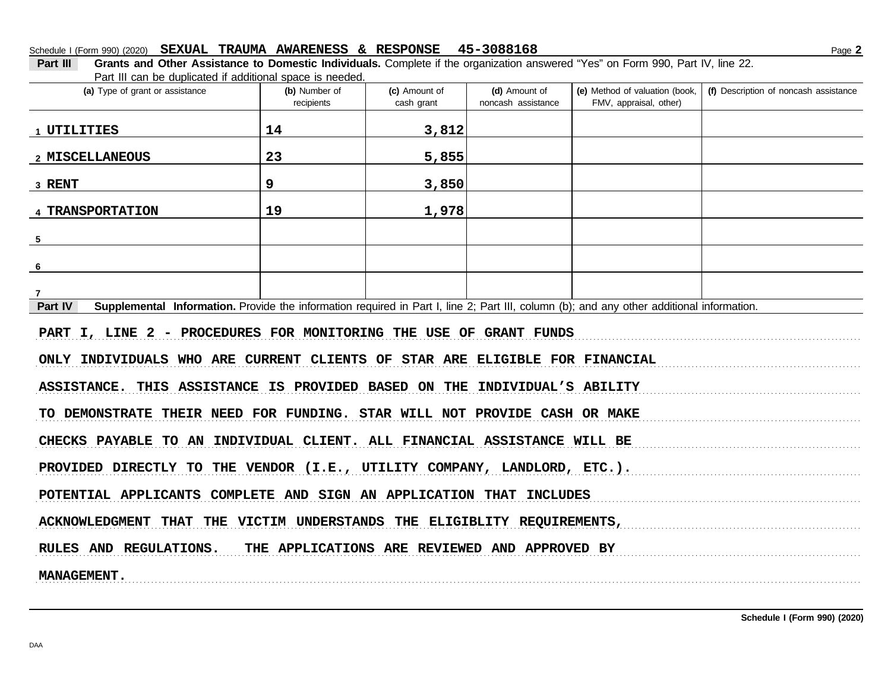### Schedule I (Form 990) (2020) Page **2 SEXUAL TRAUMA AWARENESS & RESPONSE 45-3088168**

**Part III Grants and Other Assistance to Domestic Individuals.** Complete if the organization answered "Yes" on Form 990, Part IV, line 22. Part III can be duplicated if additional space is needed.

| i ait ili cari be duplicated il additional space is rieeded                                                                                          |                                                |                             |                                     |                                                          |                                       |  |  |  |  |  |  |  |
|------------------------------------------------------------------------------------------------------------------------------------------------------|------------------------------------------------|-----------------------------|-------------------------------------|----------------------------------------------------------|---------------------------------------|--|--|--|--|--|--|--|
| (a) Type of grant or assistance                                                                                                                      | (b) Number of<br>recipients                    | (c) Amount of<br>cash grant | (d) Amount of<br>noncash assistance | (e) Method of valuation (book,<br>FMV, appraisal, other) | (f) Description of noncash assistance |  |  |  |  |  |  |  |
| 1 UTILITIES                                                                                                                                          | 14                                             | 3,812                       |                                     |                                                          |                                       |  |  |  |  |  |  |  |
| 5,855<br>23<br>2 MISCELLANEOUS                                                                                                                       |                                                |                             |                                     |                                                          |                                       |  |  |  |  |  |  |  |
| 3 RENT                                                                                                                                               | 9                                              | 3,850                       |                                     |                                                          |                                       |  |  |  |  |  |  |  |
| 4 TRANSPORTATION                                                                                                                                     | 19                                             | 1,978                       |                                     |                                                          |                                       |  |  |  |  |  |  |  |
| 5                                                                                                                                                    |                                                |                             |                                     |                                                          |                                       |  |  |  |  |  |  |  |
| 6                                                                                                                                                    |                                                |                             |                                     |                                                          |                                       |  |  |  |  |  |  |  |
| $\overline{7}$                                                                                                                                       |                                                |                             |                                     |                                                          |                                       |  |  |  |  |  |  |  |
| Supplemental Information. Provide the information required in Part I, line 2; Part III, column (b); and any other additional information.<br>Part IV |                                                |                             |                                     |                                                          |                                       |  |  |  |  |  |  |  |
| PART I, LINE 2 - PROCEDURES FOR MONITORING THE USE OF GRANT FUNDS                                                                                    |                                                |                             |                                     |                                                          |                                       |  |  |  |  |  |  |  |
| ONLY INDIVIDUALS WHO ARE CURRENT CLIENTS OF STAR ARE ELIGIBLE FOR FINANCIAL                                                                          |                                                |                             |                                     |                                                          |                                       |  |  |  |  |  |  |  |
| ASSISTANCE. THIS ASSISTANCE IS PROVIDED BASED ON THE INDIVIDUAL'S ABILITY                                                                            |                                                |                             |                                     |                                                          |                                       |  |  |  |  |  |  |  |
| TO DEMONSTRATE THEIR NEED FOR FUNDING. STAR WILL NOT PROVIDE CASH OR MAKE                                                                            |                                                |                             |                                     |                                                          |                                       |  |  |  |  |  |  |  |
| CHECKS PAYABLE TO AN INDIVIDUAL CLIENT. ALL FINANCIAL ASSISTANCE WILL BE                                                                             |                                                |                             |                                     |                                                          |                                       |  |  |  |  |  |  |  |
| PROVIDED DIRECTLY TO THE VENDOR (I.E., UTILITY COMPANY, LANDLORD, ETC.).                                                                             |                                                |                             |                                     |                                                          |                                       |  |  |  |  |  |  |  |
| POTENTIAL APPLICANTS                                                                                                                                 | COMPLETE AND SIGN AN APPLICATION THAT INCLUDES |                             |                                     |                                                          |                                       |  |  |  |  |  |  |  |
| ACKNOWLEDGMENT THAT                                                                                                                                  | THE VICTIM UNDERSTANDS                         |                             | THE ELIGIBLITY REQUIREMENTS,        |                                                          |                                       |  |  |  |  |  |  |  |
| RULES AND REGULATIONS.                                                                                                                               | THE APPLICATIONS ARE REVIEWED AND APPROVED BY  |                             |                                     |                                                          |                                       |  |  |  |  |  |  |  |
| <b>MANAGEMENT.</b>                                                                                                                                   |                                                |                             |                                     |                                                          |                                       |  |  |  |  |  |  |  |
|                                                                                                                                                      |                                                |                             |                                     |                                                          |                                       |  |  |  |  |  |  |  |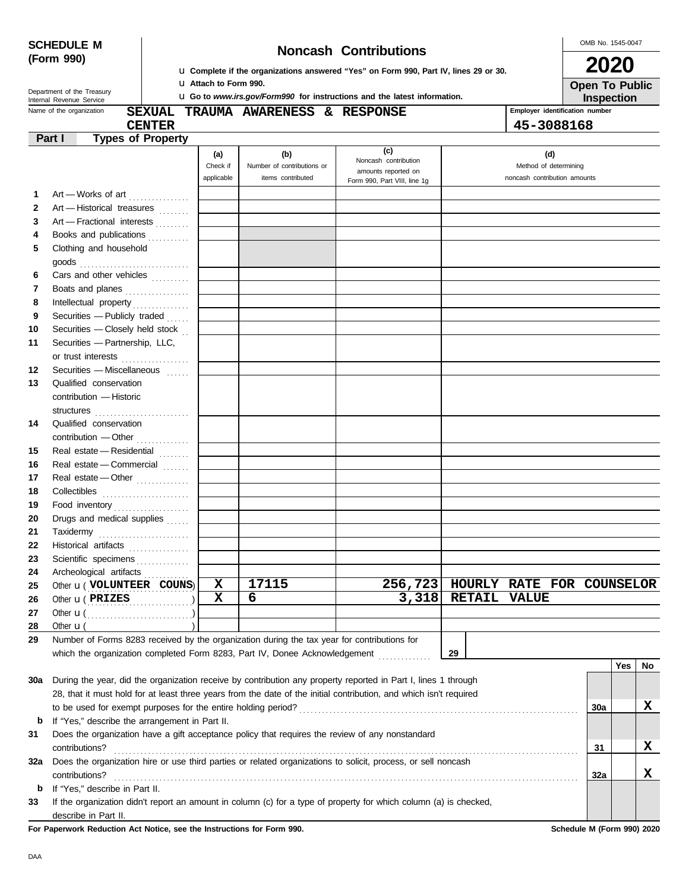# **(Form 990)**

## **SCHEDULE M Noncash Contributions**

OMB No. 1545-0047

| 2020                  |
|-----------------------|
| <b>Open To Public</b> |
| Insnection            |

u **Complete if the organizations answered "Yes" on Form 990, Part IV, lines 29 or 30.** u **Attach to Form 990.**

|              | Department of the Treasury<br>Internal Revenue Service |                                                              |               | U AIIAUII IU FUIIII 990.      |       |                                                        | <b>u</b> Go to www.irs.gov/Form990 for instructions and the latest information.                                    |    |                                                              | Open to Public<br>Inspection   |     |    |  |
|--------------|--------------------------------------------------------|--------------------------------------------------------------|---------------|-------------------------------|-------|--------------------------------------------------------|--------------------------------------------------------------------------------------------------------------------|----|--------------------------------------------------------------|--------------------------------|-----|----|--|
|              | Name of the organization                               |                                                              |               |                               |       |                                                        | SEXUAL TRAUMA AWARENESS & RESPONSE                                                                                 |    |                                                              | Employer identification number |     |    |  |
|              |                                                        |                                                              | <b>CENTER</b> |                               |       |                                                        |                                                                                                                    |    | 45-3088168                                                   |                                |     |    |  |
|              | Part I                                                 | <b>Types of Property</b>                                     |               |                               |       |                                                        |                                                                                                                    |    |                                                              |                                |     |    |  |
|              |                                                        |                                                              |               | (a)<br>Check if<br>applicable |       | (b)<br>Number of contributions or<br>items contributed | (c)<br>Noncash contribution<br>amounts reported on<br>Form 990, Part VIII, line 1g                                 |    | (d)<br>Method of determining<br>noncash contribution amounts |                                |     |    |  |
| 1            |                                                        | Art - Works of art                                           |               |                               |       |                                                        |                                                                                                                    |    |                                                              |                                |     |    |  |
| $\mathbf{2}$ |                                                        | Art - Historical treasures                                   |               |                               |       |                                                        |                                                                                                                    |    |                                                              |                                |     |    |  |
| 3            |                                                        | Art - Fractional interests                                   |               |                               |       |                                                        |                                                                                                                    |    |                                                              |                                |     |    |  |
| 4            |                                                        | Books and publications                                       |               |                               |       |                                                        |                                                                                                                    |    |                                                              |                                |     |    |  |
| 5            |                                                        | Clothing and household                                       |               |                               |       |                                                        |                                                                                                                    |    |                                                              |                                |     |    |  |
|              |                                                        | $\mathsf{goods}\xrightarrow{\hspace{0.5cm}}$                 |               |                               |       |                                                        |                                                                                                                    |    |                                                              |                                |     |    |  |
| 6            |                                                        | Cars and other vehicles                                      |               |                               |       |                                                        |                                                                                                                    |    |                                                              |                                |     |    |  |
| 7            |                                                        | Boats and planes                                             |               |                               |       |                                                        |                                                                                                                    |    |                                                              |                                |     |    |  |
| 8            |                                                        | Intellectual property                                        |               |                               |       |                                                        |                                                                                                                    |    |                                                              |                                |     |    |  |
| 9            |                                                        | Securities - Publicly traded                                 |               |                               |       |                                                        |                                                                                                                    |    |                                                              |                                |     |    |  |
| 10           |                                                        | Securities - Closely held stock                              |               |                               |       |                                                        |                                                                                                                    |    |                                                              |                                |     |    |  |
| 11           |                                                        | Securities - Partnership, LLC,                               |               |                               |       |                                                        |                                                                                                                    |    |                                                              |                                |     |    |  |
|              |                                                        | or trust interests                                           |               |                               |       |                                                        |                                                                                                                    |    |                                                              |                                |     |    |  |
| 12           |                                                        | Securities - Miscellaneous                                   |               |                               |       |                                                        |                                                                                                                    |    |                                                              |                                |     |    |  |
| 13           |                                                        | Qualified conservation                                       |               |                               |       |                                                        |                                                                                                                    |    |                                                              |                                |     |    |  |
|              |                                                        | contribution - Historic                                      |               |                               |       |                                                        |                                                                                                                    |    |                                                              |                                |     |    |  |
|              |                                                        | structures                                                   |               |                               |       |                                                        |                                                                                                                    |    |                                                              |                                |     |    |  |
| 14           |                                                        | Qualified conservation                                       |               |                               |       |                                                        |                                                                                                                    |    |                                                              |                                |     |    |  |
|              |                                                        |                                                              |               |                               |       |                                                        |                                                                                                                    |    |                                                              |                                |     |    |  |
| 15           |                                                        | Real estate - Residential                                    |               |                               |       |                                                        |                                                                                                                    |    |                                                              |                                |     |    |  |
| 16           |                                                        | Real estate - Commercial                                     |               |                               |       |                                                        |                                                                                                                    |    |                                                              |                                |     |    |  |
| 17           |                                                        | Real estate - Other                                          |               |                               |       |                                                        |                                                                                                                    |    |                                                              |                                |     |    |  |
| 18           |                                                        |                                                              |               |                               |       |                                                        |                                                                                                                    |    |                                                              |                                |     |    |  |
| 19           |                                                        | Food inventory                                               |               |                               |       |                                                        |                                                                                                                    |    |                                                              |                                |     |    |  |
| 20           |                                                        | Drugs and medical supplies                                   |               |                               |       |                                                        |                                                                                                                    |    |                                                              |                                |     |    |  |
| 21           |                                                        | Taxidermy                                                    |               |                               |       |                                                        |                                                                                                                    |    |                                                              |                                |     |    |  |
| 22           |                                                        | Historical artifacts                                         |               |                               |       |                                                        |                                                                                                                    |    |                                                              |                                |     |    |  |
| 23           |                                                        | Scientific specimens                                         |               |                               |       |                                                        |                                                                                                                    |    |                                                              |                                |     |    |  |
| 24           |                                                        | Archeological artifacts                                      |               |                               |       |                                                        |                                                                                                                    |    |                                                              |                                |     |    |  |
| 25           |                                                        | Other $\mathbf{u}$ ( VOLUNTEER COUNS)                        |               | X                             | 17115 |                                                        | 256,723 HOURLY RATE FOR COUNSELOR                                                                                  |    |                                                              |                                |     |    |  |
| 26           |                                                        | Other <b>u</b> ( PRIZES                                      |               | $\mathbf x$                   | 6     |                                                        | 3,318                                                                                                              |    | RETAIL VALUE                                                 |                                |     |    |  |
| 27           |                                                        | Other $\mathbf{u}(\dots, \dots, \dots, \dots, \dots, \dots)$ |               |                               |       |                                                        |                                                                                                                    |    |                                                              |                                |     |    |  |
| 28           | Other $\mathbf{u}$ (                                   |                                                              |               |                               |       |                                                        |                                                                                                                    |    |                                                              |                                |     |    |  |
| 29           |                                                        |                                                              |               |                               |       |                                                        | Number of Forms 8283 received by the organization during the tax year for contributions for                        |    |                                                              |                                |     |    |  |
|              |                                                        |                                                              |               |                               |       |                                                        | which the organization completed Form 8283, Part IV, Donee Acknowledgement                                         | 29 |                                                              |                                |     |    |  |
|              |                                                        |                                                              |               |                               |       |                                                        |                                                                                                                    |    |                                                              |                                | Yes | No |  |
| 30a          |                                                        |                                                              |               |                               |       |                                                        | During the year, did the organization receive by contribution any property reported in Part I, lines 1 through     |    |                                                              |                                |     |    |  |
|              |                                                        |                                                              |               |                               |       |                                                        | 28, that it must hold for at least three years from the date of the initial contribution, and which isn't required |    |                                                              |                                |     |    |  |
|              |                                                        |                                                              |               |                               |       |                                                        |                                                                                                                    |    |                                                              | 30a                            |     | x  |  |
| b            |                                                        | If "Yes," describe the arrangement in Part II.               |               |                               |       |                                                        |                                                                                                                    |    |                                                              |                                |     |    |  |
| 31           |                                                        |                                                              |               |                               |       |                                                        | Does the organization have a gift acceptance policy that requires the review of any nonstandard                    |    |                                                              |                                |     |    |  |
|              | contributions?                                         |                                                              |               |                               |       |                                                        |                                                                                                                    |    |                                                              | 31                             |     | X  |  |
| 32a          |                                                        |                                                              |               |                               |       |                                                        | Does the organization hire or use third parties or related organizations to solicit, process, or sell noncash      |    |                                                              |                                |     |    |  |
|              | contributions?                                         |                                                              |               |                               |       |                                                        |                                                                                                                    |    |                                                              | 32a                            |     | x  |  |
| b            |                                                        | If "Yes," describe in Part II.                               |               |                               |       |                                                        |                                                                                                                    |    |                                                              |                                |     |    |  |
| 33           |                                                        |                                                              |               |                               |       |                                                        | If the organization didn't report an amount in column (c) for a type of property for which column (a) is checked,  |    |                                                              |                                |     |    |  |
|              |                                                        | describe in Part II.                                         |               |                               |       |                                                        |                                                                                                                    |    |                                                              |                                |     |    |  |

**For Paperwork Reduction Act Notice, see the Instructions for Form 990. Schedule M (Form 990) 2020**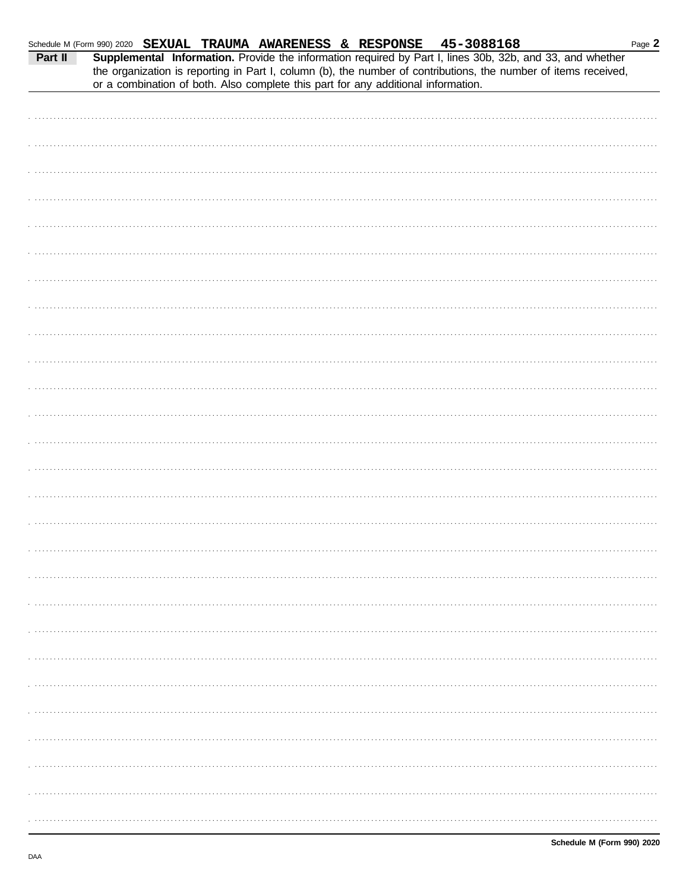| Part II |  | or a combination of both. Also complete this part for any additional information. | Schedule M (Form 990) 2020 SEXUAL TRAUMA AWARENESS & RESPONSE 45-3088168<br>Supplemental Information. Provide the information required by Part I, lines 30b, 32b, and 33, and whether<br>the organization is reporting in Part I, column (b), the number of contributions, the number of items received, | Page 2 |
|---------|--|-----------------------------------------------------------------------------------|----------------------------------------------------------------------------------------------------------------------------------------------------------------------------------------------------------------------------------------------------------------------------------------------------------|--------|
|         |  |                                                                                   |                                                                                                                                                                                                                                                                                                          |        |
|         |  |                                                                                   |                                                                                                                                                                                                                                                                                                          |        |
|         |  |                                                                                   |                                                                                                                                                                                                                                                                                                          |        |
|         |  |                                                                                   |                                                                                                                                                                                                                                                                                                          |        |
|         |  |                                                                                   |                                                                                                                                                                                                                                                                                                          |        |
|         |  |                                                                                   |                                                                                                                                                                                                                                                                                                          |        |
|         |  |                                                                                   |                                                                                                                                                                                                                                                                                                          |        |
|         |  |                                                                                   |                                                                                                                                                                                                                                                                                                          |        |
|         |  |                                                                                   |                                                                                                                                                                                                                                                                                                          |        |
|         |  |                                                                                   |                                                                                                                                                                                                                                                                                                          |        |
|         |  |                                                                                   |                                                                                                                                                                                                                                                                                                          |        |
|         |  |                                                                                   |                                                                                                                                                                                                                                                                                                          |        |
|         |  |                                                                                   |                                                                                                                                                                                                                                                                                                          |        |
|         |  |                                                                                   |                                                                                                                                                                                                                                                                                                          |        |
|         |  |                                                                                   |                                                                                                                                                                                                                                                                                                          |        |
|         |  |                                                                                   |                                                                                                                                                                                                                                                                                                          |        |
|         |  |                                                                                   |                                                                                                                                                                                                                                                                                                          |        |
|         |  |                                                                                   |                                                                                                                                                                                                                                                                                                          |        |
|         |  |                                                                                   |                                                                                                                                                                                                                                                                                                          |        |
|         |  |                                                                                   |                                                                                                                                                                                                                                                                                                          |        |
|         |  |                                                                                   |                                                                                                                                                                                                                                                                                                          |        |
|         |  |                                                                                   |                                                                                                                                                                                                                                                                                                          |        |
|         |  |                                                                                   |                                                                                                                                                                                                                                                                                                          |        |
|         |  |                                                                                   |                                                                                                                                                                                                                                                                                                          |        |
|         |  |                                                                                   |                                                                                                                                                                                                                                                                                                          |        |
|         |  |                                                                                   |                                                                                                                                                                                                                                                                                                          |        |
|         |  |                                                                                   |                                                                                                                                                                                                                                                                                                          |        |
|         |  |                                                                                   |                                                                                                                                                                                                                                                                                                          |        |
|         |  |                                                                                   |                                                                                                                                                                                                                                                                                                          |        |
|         |  |                                                                                   |                                                                                                                                                                                                                                                                                                          |        |
|         |  |                                                                                   |                                                                                                                                                                                                                                                                                                          |        |
|         |  |                                                                                   |                                                                                                                                                                                                                                                                                                          |        |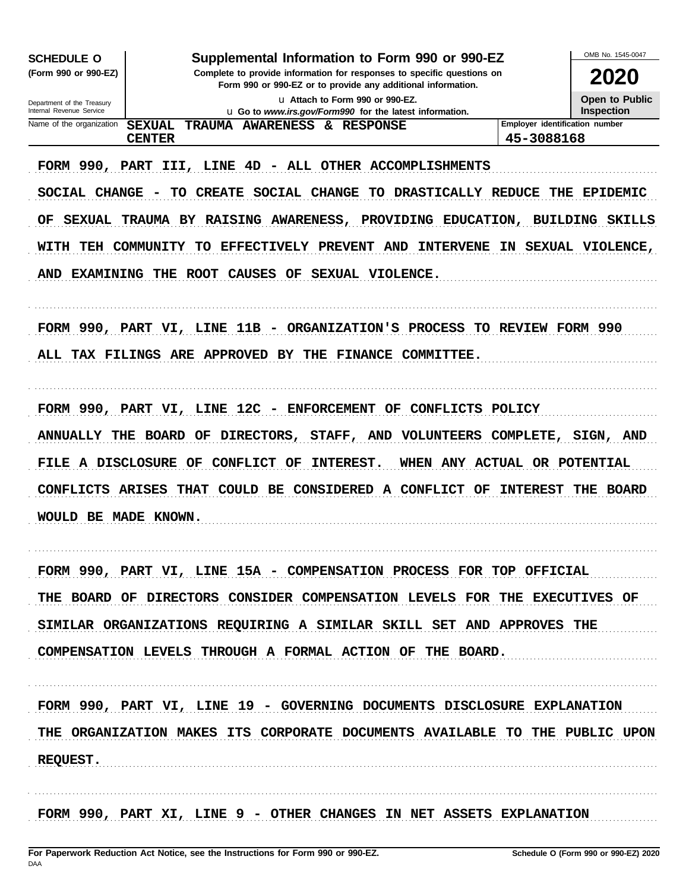| <b>SCHEDULE O</b>                                      | Supplemental Information to Form 990 or 990-EZ                                                                                         |                                | OMB No. 1545-0047                          |
|--------------------------------------------------------|----------------------------------------------------------------------------------------------------------------------------------------|--------------------------------|--------------------------------------------|
| (Form 990 or 990-EZ)                                   | Complete to provide information for responses to specific questions on<br>Form 990 or 990-EZ or to provide any additional information. |                                | <b>2020</b>                                |
| Department of the Treasury<br>Internal Revenue Service | Lu Attach to Form 990 or 990-EZ.<br>u Go to www.irs.gov/Form990 for the latest information.                                            |                                | <b>Open to Public</b><br><b>Inspection</b> |
| Name of the organization                               | <b>SEXUAL</b><br>TRAUMA AWARENESS & RESPONSE                                                                                           | Employer identification number |                                            |
|                                                        | <b>CENTER</b>                                                                                                                          | 45-3088168                     |                                            |
| FORM 990, PART                                         | III, LINE 4D - ALL OTHER ACCOMPLISHMENTS                                                                                               |                                |                                            |
| <b>SOCIAL CHANGE</b>                                   | CREATE SOCIAL CHANGE<br>TO DRASTICALLY REDUCE<br>TO.<br>$\overline{\phantom{0}}$                                                       | THE                            | <b>EPIDEMIC</b>                            |
| SEXUAL<br>OF                                           | TRAUMA BY RAISING AWARENESS, PROVIDING EDUCATION,                                                                                      |                                | <b>BUILDING SKILLS</b>                     |
| WITH TEH COMMUNITY                                     | EFFECTIVELY PREVENT AND INTERVENE<br>TO.                                                                                               |                                | IN SEXUAL VIOLENCE,                        |
| <b>AND</b><br><b>EXAMINING</b>                         | THE ROOT CAUSES OF SEXUAL VIOLENCE.                                                                                                    |                                |                                            |
|                                                        |                                                                                                                                        |                                |                                            |
|                                                        | FORM 990, PART VI, LINE 11B - ORGANIZATION'S PROCESS TO REVIEW FORM 990                                                                |                                |                                            |
|                                                        |                                                                                                                                        |                                |                                            |
|                                                        | ALL TAX FILINGS ARE APPROVED BY THE FINANCE COMMITTEE.                                                                                 |                                |                                            |
|                                                        |                                                                                                                                        |                                |                                            |
|                                                        | FORM 990, PART VI, LINE 12C - ENFORCEMENT<br>OF<br>CONFLICTS POLICY                                                                    |                                |                                            |
| <b>ANNUALLY THE</b>                                    | DIRECTORS, STAFF, AND VOLUNTEERS COMPLETE, SIGN, AND<br><b>BOARD</b><br>OF                                                             |                                |                                            |
| FILE A DISCLOSURE                                      | OF<br><b>CONFLICT</b><br>INTEREST.<br>WHEN ANY ACTUAL OR POTENTIAL<br>OF                                                               |                                |                                            |
| CONFLICTS                                              | ARISES<br>THAT COULD BE<br>CONSIDERED A CONFLICT<br>OF                                                                                 | <b>INTEREST</b>                | <b>THE BOARD</b>                           |
| WOULD BE MADE                                          | KNOWN.                                                                                                                                 |                                |                                            |
|                                                        |                                                                                                                                        |                                |                                            |
|                                                        | FORM 990, PART VI, LINE 15A - COMPENSATION PROCESS FOR TOP OFFICIAL                                                                    |                                |                                            |
|                                                        | THE BOARD OF DIRECTORS CONSIDER COMPENSATION LEVELS FOR THE EXECUTIVES OF                                                              |                                |                                            |
|                                                        | SIMILAR ORGANIZATIONS REQUIRING A SIMILAR SKILL SET AND APPROVES THE                                                                   |                                |                                            |
|                                                        | COMPENSATION LEVELS THROUGH A FORMAL ACTION OF THE BOARD.                                                                              |                                |                                            |
|                                                        |                                                                                                                                        |                                |                                            |
|                                                        |                                                                                                                                        |                                |                                            |
|                                                        | FORM 990, PART VI, LINE 19 - GOVERNING DOCUMENTS DISCLOSURE EXPLANATION                                                                |                                |                                            |
|                                                        | THE ORGANIZATION MAKES ITS CORPORATE DOCUMENTS AVAILABLE TO THE PUBLIC UPON                                                            |                                |                                            |
| <b>REQUEST.</b>                                        |                                                                                                                                        |                                |                                            |
|                                                        |                                                                                                                                        |                                |                                            |

FORM 990, PART XI, LINE 9 - OTHER CHANGES IN NET ASSETS EXPLANATION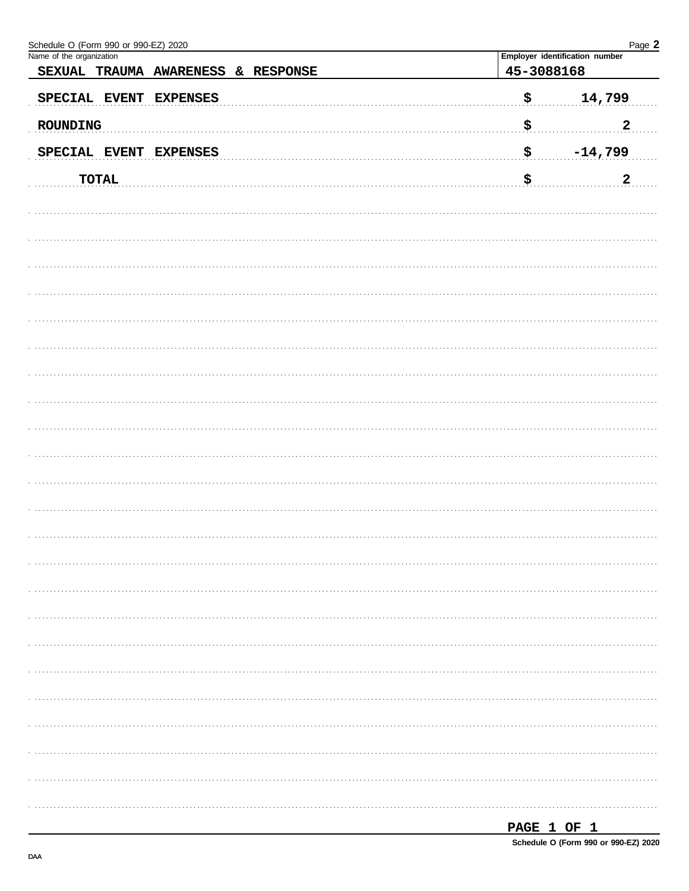| Schedule O (Form 990 or 990-EZ) 2020                           | Page 2                                       |
|----------------------------------------------------------------|----------------------------------------------|
| Name of the organization<br>SEXUAL TRAUMA AWARENESS & RESPONSE | Employer identification number<br>45-3088168 |
|                                                                |                                              |
| SPECIAL EVENT<br><b>EXPENSES</b>                               | $\ddot{\mathbf{S}}$<br>14,799                |
| ROUNDING                                                       | $\boldsymbol{\xi}$<br>$\mathbf{2}$           |
| SPECIAL EVENT EXPENSES                                         | $\ddot{\mathbf{S}}$<br>$-14,799$             |
| <b>TOTAL</b>                                                   | \$<br>$\mathbf{2}$                           |
|                                                                |                                              |
|                                                                |                                              |
|                                                                |                                              |
|                                                                |                                              |
|                                                                |                                              |
|                                                                |                                              |
|                                                                |                                              |
|                                                                |                                              |
|                                                                |                                              |
|                                                                |                                              |
|                                                                |                                              |
|                                                                |                                              |
|                                                                |                                              |
|                                                                |                                              |
|                                                                |                                              |
|                                                                |                                              |
|                                                                |                                              |
|                                                                |                                              |
|                                                                |                                              |
|                                                                |                                              |
|                                                                |                                              |
|                                                                |                                              |
|                                                                |                                              |
|                                                                |                                              |
|                                                                |                                              |
|                                                                |                                              |
|                                                                |                                              |
|                                                                |                                              |
|                                                                |                                              |
|                                                                |                                              |

| . .<br>w<br>v |  |  |  |  |
|---------------|--|--|--|--|
|---------------|--|--|--|--|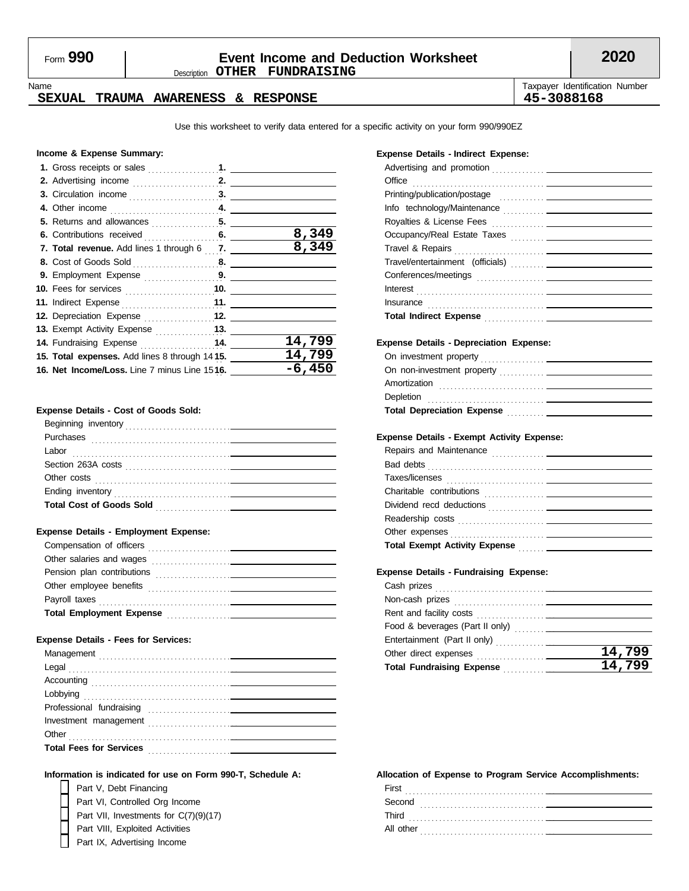### Description **OTHER FUNDRAISING** Form **990 Event Income and Deduction Worksheet 2020**

**14,799 14,799**

#### Name Taxpayer Identification Number **SEXUAL TRAUMA AWARENESS & RESPONSE 45-3088168**

Use this worksheet to verify data entered for a specific activity on your form 990/990EZ

#### **Income & Expense Summary:**

|                                               | 8,349    |
|-----------------------------------------------|----------|
| 7. Total revenue. Add lines 1 through 6 7.    | 8,349    |
|                                               |          |
| 9. Employment Expense 9.                      |          |
|                                               |          |
|                                               |          |
| 12. Depreciation Expense 12.                  |          |
|                                               |          |
| 14. Fundraising Expense <b>14.</b> 14.        | 14,799   |
| 15. Total expenses. Add lines 8 through 1415. | 14,799   |
| 16. Net Income/Loss. Line 7 minus Line 1516.  | $-6,450$ |
|                                               |          |

#### **Expense Details - Cost of Goods Sold:**

| Beginning inventory             |
|---------------------------------|
| Purchases                       |
| Labor                           |
| Section 263A costs              |
| Other costs                     |
|                                 |
| <b>Total Cost of Goods Sold</b> |
|                                 |

#### **Expense Details - Employment Expense:**

| Compensation of officers        |
|---------------------------------|
| Other salaries and wages        |
| Pension plan contributions      |
| Other employee benefits         |
| Payroll taxes                   |
| <b>Total Employment Expense</b> |

#### **Expense Details - Fees for Services:**

| Professional fundraising       |  |
|--------------------------------|--|
|                                |  |
| Other                          |  |
| <b>Total Fees for Services</b> |  |
|                                |  |

#### **Information is indicated for use on Form 990-T, Schedule A:**

Part V, Debt Financing Part IX, Advertising Income Part VIII, Exploited Activities Part VI, Controlled Org Income Part VII, Investments for C(7)(9)(17)

#### **Expense Details - Indirect Expense:**

#### **Allocation of Expense to Program Service Accomplishments:**

**Total Fundraising Expense** . . . . . . . . . . . . . .

Food & beverages (Part II only) ......... Entertainment (Part II only) ...............

Other direct expenses . . . . . . . . . . . . . . . . . . . . .

| First<br>.     |  |
|----------------|--|
| Second<br>.    |  |
| Third<br>.     |  |
| All other<br>. |  |
|                |  |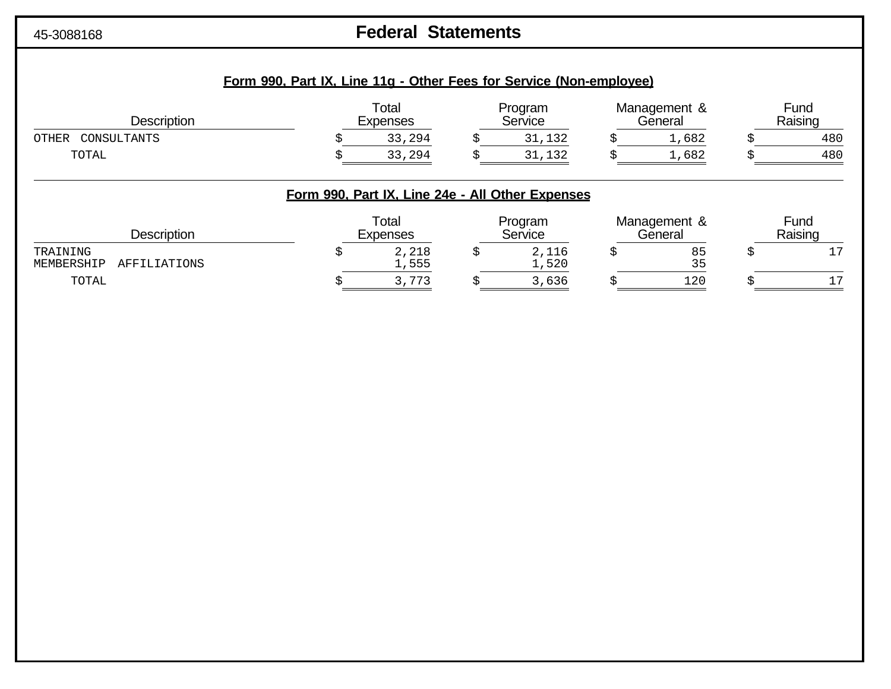# 45-3088168 **Federal Statements**

| <b>Description</b>                                           |    | Total<br><b>Expenses</b>                                  |   | Program<br>Service |   | Management &<br>General |   | Fund<br>Raising |
|--------------------------------------------------------------|----|-----------------------------------------------------------|---|--------------------|---|-------------------------|---|-----------------|
| CONSULTANTS<br><b>OTHER</b>                                  |    | 33,294                                                    |   | 31,132             |   | 1,682                   |   | 480             |
| TOTAL                                                        |    | 33,294                                                    |   | 31,132             |   | 1,682                   |   | 480             |
|                                                              |    |                                                           |   |                    |   |                         |   |                 |
|                                                              |    | Form 990, Part IX, Line 24e - All Other Expenses<br>Total |   | Program<br>Service |   | Management &<br>General |   | Fund            |
| <b>Description</b><br>TRAINING<br>AFFILIATIONS<br>MEMBERSHIP | Ŝ. | <b>Expenses</b><br>2,218<br>1,555                         | Ś | 2,116<br>1,520     | Ŝ | 85<br>35                | S | Raising<br>17   |